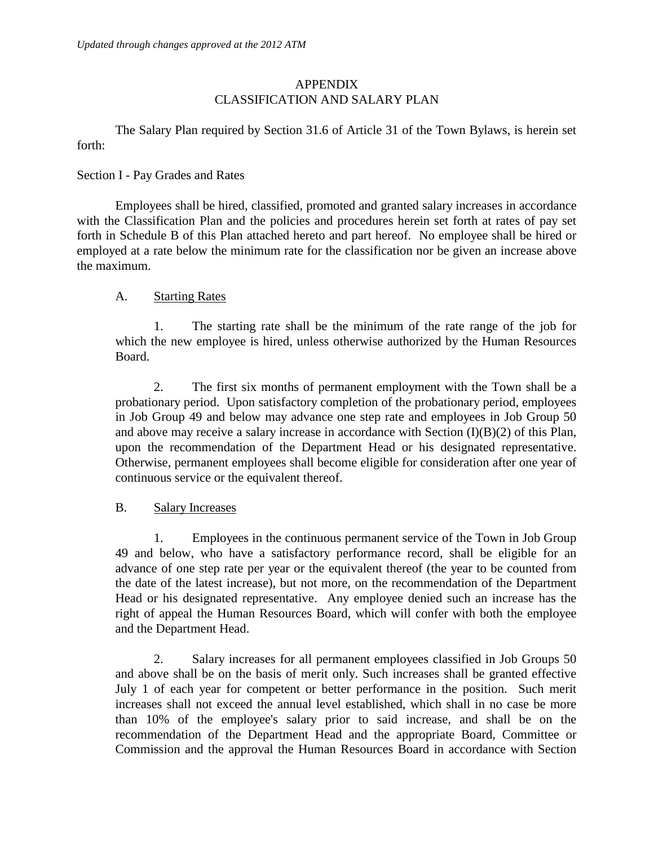#### APPENDIX CLASSIFICATION AND SALARY PLAN

The Salary Plan required by Section 31.6 of Article 31 of the Town Bylaws, is herein set forth:

#### Section I - Pay Grades and Rates

Employees shall be hired, classified, promoted and granted salary increases in accordance with the Classification Plan and the policies and procedures herein set forth at rates of pay set forth in Schedule B of this Plan attached hereto and part hereof. No employee shall be hired or employed at a rate below the minimum rate for the classification nor be given an increase above the maximum.

#### A. Starting Rates

1. The starting rate shall be the minimum of the rate range of the job for which the new employee is hired, unless otherwise authorized by the Human Resources Board.

2. The first six months of permanent employment with the Town shall be a probationary period. Upon satisfactory completion of the probationary period, employees in Job Group 49 and below may advance one step rate and employees in Job Group 50 and above may receive a salary increase in accordance with Section  $(I)(B)(2)$  of this Plan, upon the recommendation of the Department Head or his designated representative. Otherwise, permanent employees shall become eligible for consideration after one year of continuous service or the equivalent thereof.

#### B. Salary Increases

1. Employees in the continuous permanent service of the Town in Job Group 49 and below, who have a satisfactory performance record, shall be eligible for an advance of one step rate per year or the equivalent thereof (the year to be counted from the date of the latest increase), but not more, on the recommendation of the Department Head or his designated representative. Any employee denied such an increase has the right of appeal the Human Resources Board, which will confer with both the employee and the Department Head.

2. Salary increases for all permanent employees classified in Job Groups 50 and above shall be on the basis of merit only. Such increases shall be granted effective July 1 of each year for competent or better performance in the position. Such merit increases shall not exceed the annual level established, which shall in no case be more than 10% of the employee's salary prior to said increase, and shall be on the recommendation of the Department Head and the appropriate Board, Committee or Commission and the approval the Human Resources Board in accordance with Section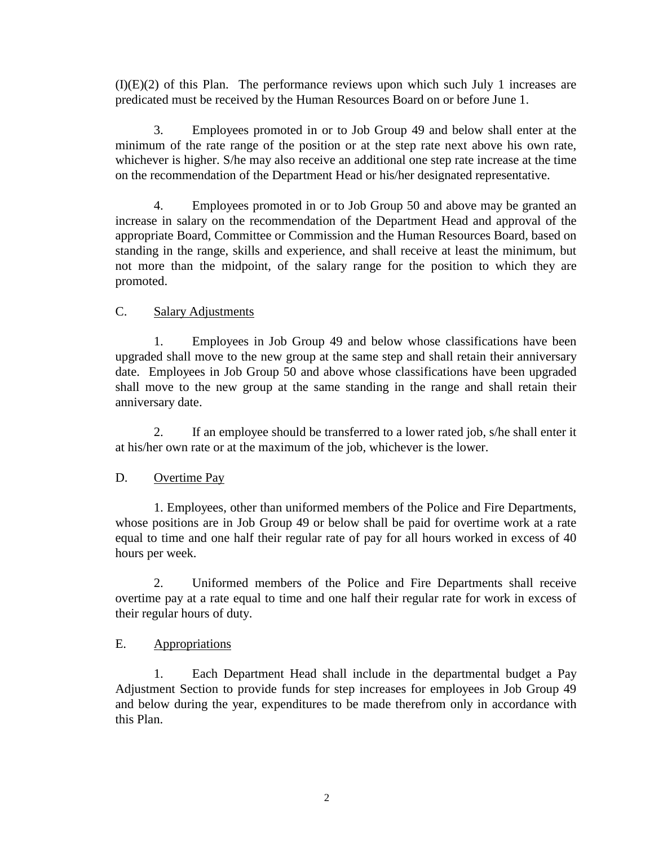(I)(E)(2) of this Plan. The performance reviews upon which such July 1 increases are predicated must be received by the Human Resources Board on or before June 1.

3. Employees promoted in or to Job Group 49 and below shall enter at the minimum of the rate range of the position or at the step rate next above his own rate, whichever is higher. S/he may also receive an additional one step rate increase at the time on the recommendation of the Department Head or his/her designated representative.

4. Employees promoted in or to Job Group 50 and above may be granted an increase in salary on the recommendation of the Department Head and approval of the appropriate Board, Committee or Commission and the Human Resources Board, based on standing in the range, skills and experience, and shall receive at least the minimum, but not more than the midpoint, of the salary range for the position to which they are promoted.

#### C. Salary Adjustments

1. Employees in Job Group 49 and below whose classifications have been upgraded shall move to the new group at the same step and shall retain their anniversary date. Employees in Job Group 50 and above whose classifications have been upgraded shall move to the new group at the same standing in the range and shall retain their anniversary date.

2. If an employee should be transferred to a lower rated job, s/he shall enter it at his/her own rate or at the maximum of the job, whichever is the lower.

#### D. Overtime Pay

1. Employees, other than uniformed members of the Police and Fire Departments, whose positions are in Job Group 49 or below shall be paid for overtime work at a rate equal to time and one half their regular rate of pay for all hours worked in excess of 40 hours per week.

2. Uniformed members of the Police and Fire Departments shall receive overtime pay at a rate equal to time and one half their regular rate for work in excess of their regular hours of duty.

#### E. Appropriations

1. Each Department Head shall include in the departmental budget a Pay Adjustment Section to provide funds for step increases for employees in Job Group 49 and below during the year, expenditures to be made therefrom only in accordance with this Plan.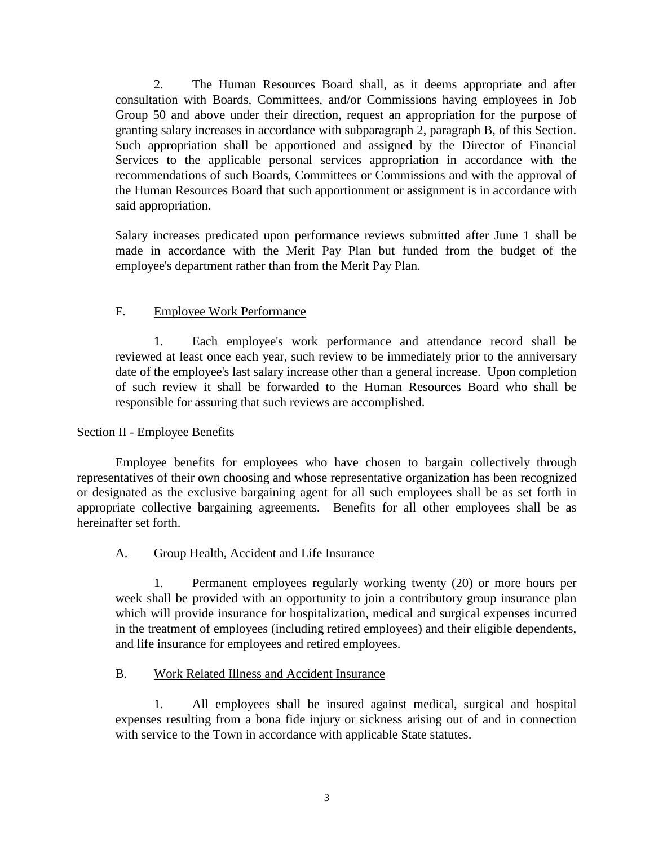2. The Human Resources Board shall, as it deems appropriate and after consultation with Boards, Committees, and/or Commissions having employees in Job Group 50 and above under their direction, request an appropriation for the purpose of granting salary increases in accordance with subparagraph 2, paragraph B, of this Section. Such appropriation shall be apportioned and assigned by the Director of Financial Services to the applicable personal services appropriation in accordance with the recommendations of such Boards, Committees or Commissions and with the approval of the Human Resources Board that such apportionment or assignment is in accordance with said appropriation.

Salary increases predicated upon performance reviews submitted after June 1 shall be made in accordance with the Merit Pay Plan but funded from the budget of the employee's department rather than from the Merit Pay Plan.

#### F. Employee Work Performance

1. Each employee's work performance and attendance record shall be reviewed at least once each year, such review to be immediately prior to the anniversary date of the employee's last salary increase other than a general increase. Upon completion of such review it shall be forwarded to the Human Resources Board who shall be responsible for assuring that such reviews are accomplished.

#### Section II - Employee Benefits

Employee benefits for employees who have chosen to bargain collectively through representatives of their own choosing and whose representative organization has been recognized or designated as the exclusive bargaining agent for all such employees shall be as set forth in appropriate collective bargaining agreements. Benefits for all other employees shall be as hereinafter set forth.

#### A. Group Health, Accident and Life Insurance

1. Permanent employees regularly working twenty (20) or more hours per week shall be provided with an opportunity to join a contributory group insurance plan which will provide insurance for hospitalization, medical and surgical expenses incurred in the treatment of employees (including retired employees) and their eligible dependents, and life insurance for employees and retired employees.

#### B. Work Related Illness and Accident Insurance

1. All employees shall be insured against medical, surgical and hospital expenses resulting from a bona fide injury or sickness arising out of and in connection with service to the Town in accordance with applicable State statutes.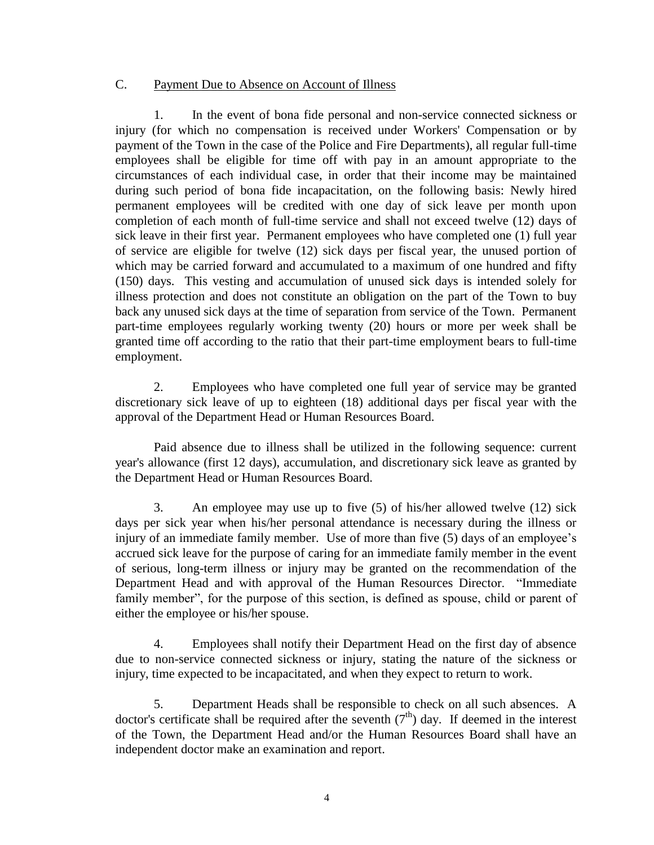#### C. Payment Due to Absence on Account of Illness

1. In the event of bona fide personal and non-service connected sickness or injury (for which no compensation is received under Workers' Compensation or by payment of the Town in the case of the Police and Fire Departments), all regular full-time employees shall be eligible for time off with pay in an amount appropriate to the circumstances of each individual case, in order that their income may be maintained during such period of bona fide incapacitation, on the following basis: Newly hired permanent employees will be credited with one day of sick leave per month upon completion of each month of full-time service and shall not exceed twelve (12) days of sick leave in their first year. Permanent employees who have completed one (1) full year of service are eligible for twelve (12) sick days per fiscal year, the unused portion of which may be carried forward and accumulated to a maximum of one hundred and fifty (150) days. This vesting and accumulation of unused sick days is intended solely for illness protection and does not constitute an obligation on the part of the Town to buy back any unused sick days at the time of separation from service of the Town. Permanent part-time employees regularly working twenty (20) hours or more per week shall be granted time off according to the ratio that their part-time employment bears to full-time employment.

2. Employees who have completed one full year of service may be granted discretionary sick leave of up to eighteen (18) additional days per fiscal year with the approval of the Department Head or Human Resources Board.

Paid absence due to illness shall be utilized in the following sequence: current year's allowance (first 12 days), accumulation, and discretionary sick leave as granted by the Department Head or Human Resources Board.

3. An employee may use up to five (5) of his/her allowed twelve (12) sick days per sick year when his/her personal attendance is necessary during the illness or injury of an immediate family member. Use of more than five (5) days of an employee's accrued sick leave for the purpose of caring for an immediate family member in the event of serious, long-term illness or injury may be granted on the recommendation of the Department Head and with approval of the Human Resources Director. "Immediate family member", for the purpose of this section, is defined as spouse, child or parent of either the employee or his/her spouse.

4. Employees shall notify their Department Head on the first day of absence due to non-service connected sickness or injury, stating the nature of the sickness or injury, time expected to be incapacitated, and when they expect to return to work.

5. Department Heads shall be responsible to check on all such absences. A doctor's certificate shall be required after the seventh  $(7<sup>th</sup>)$  day. If deemed in the interest of the Town, the Department Head and/or the Human Resources Board shall have an independent doctor make an examination and report.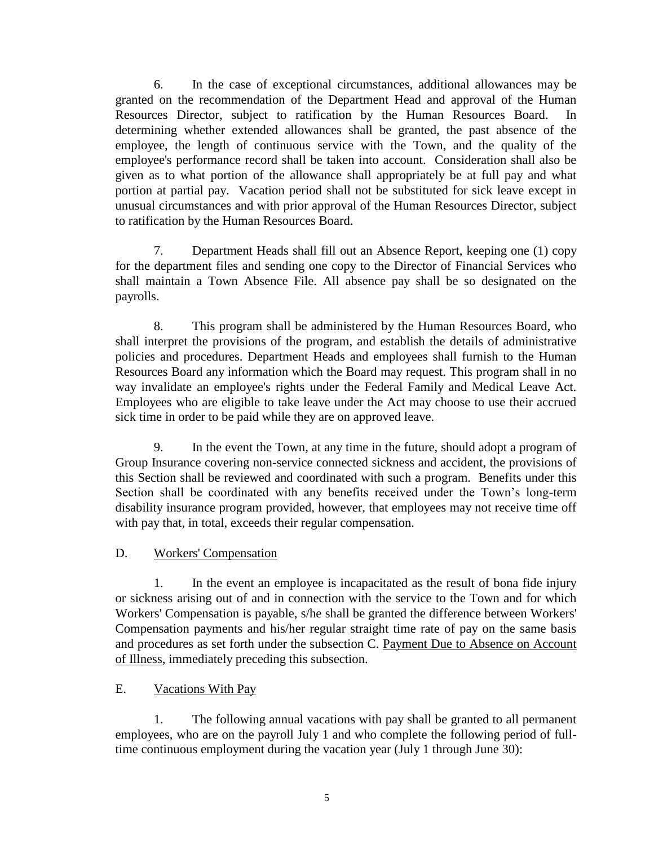6. In the case of exceptional circumstances, additional allowances may be granted on the recommendation of the Department Head and approval of the Human Resources Director, subject to ratification by the Human Resources Board. In determining whether extended allowances shall be granted, the past absence of the employee, the length of continuous service with the Town, and the quality of the employee's performance record shall be taken into account. Consideration shall also be given as to what portion of the allowance shall appropriately be at full pay and what portion at partial pay. Vacation period shall not be substituted for sick leave except in unusual circumstances and with prior approval of the Human Resources Director, subject to ratification by the Human Resources Board.

7. Department Heads shall fill out an Absence Report, keeping one (1) copy for the department files and sending one copy to the Director of Financial Services who shall maintain a Town Absence File. All absence pay shall be so designated on the payrolls.

8. This program shall be administered by the Human Resources Board, who shall interpret the provisions of the program, and establish the details of administrative policies and procedures. Department Heads and employees shall furnish to the Human Resources Board any information which the Board may request. This program shall in no way invalidate an employee's rights under the Federal Family and Medical Leave Act. Employees who are eligible to take leave under the Act may choose to use their accrued sick time in order to be paid while they are on approved leave.

9. In the event the Town, at any time in the future, should adopt a program of Group Insurance covering non-service connected sickness and accident, the provisions of this Section shall be reviewed and coordinated with such a program. Benefits under this Section shall be coordinated with any benefits received under the Town's long-term disability insurance program provided, however, that employees may not receive time off with pay that, in total, exceeds their regular compensation.

#### D. Workers' Compensation

1. In the event an employee is incapacitated as the result of bona fide injury or sickness arising out of and in connection with the service to the Town and for which Workers' Compensation is payable, s/he shall be granted the difference between Workers' Compensation payments and his/her regular straight time rate of pay on the same basis and procedures as set forth under the subsection C. Payment Due to Absence on Account of Illness, immediately preceding this subsection.

#### E. Vacations With Pay

1. The following annual vacations with pay shall be granted to all permanent employees, who are on the payroll July 1 and who complete the following period of fulltime continuous employment during the vacation year (July 1 through June 30):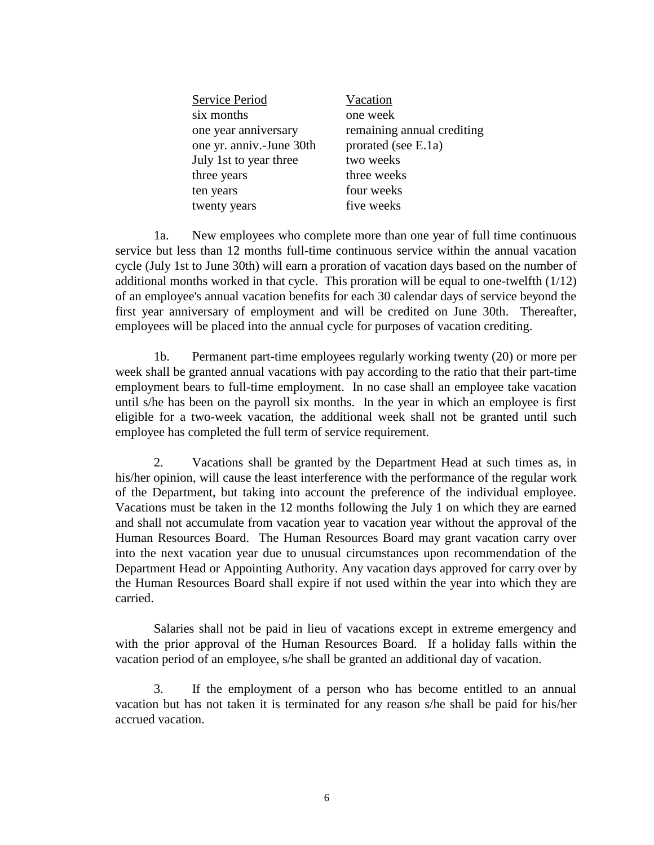| Service Period           | Vacation                   |
|--------------------------|----------------------------|
| six months               | one week                   |
| one year anniversary     | remaining annual crediting |
| one yr. anniv.-June 30th | prorated (see E.1a)        |
| July 1st to year three   | two weeks                  |
| three years              | three weeks                |
| ten years                | four weeks                 |
| twenty years             | five weeks                 |
|                          |                            |

1a. New employees who complete more than one year of full time continuous service but less than 12 months full-time continuous service within the annual vacation cycle (July 1st to June 30th) will earn a proration of vacation days based on the number of additional months worked in that cycle. This proration will be equal to one-twelfth (1/12) of an employee's annual vacation benefits for each 30 calendar days of service beyond the first year anniversary of employment and will be credited on June 30th. Thereafter, employees will be placed into the annual cycle for purposes of vacation crediting.

1b. Permanent part-time employees regularly working twenty (20) or more per week shall be granted annual vacations with pay according to the ratio that their part-time employment bears to full-time employment. In no case shall an employee take vacation until s/he has been on the payroll six months. In the year in which an employee is first eligible for a two-week vacation, the additional week shall not be granted until such employee has completed the full term of service requirement.

2. Vacations shall be granted by the Department Head at such times as, in his/her opinion, will cause the least interference with the performance of the regular work of the Department, but taking into account the preference of the individual employee. Vacations must be taken in the 12 months following the July 1 on which they are earned and shall not accumulate from vacation year to vacation year without the approval of the Human Resources Board. The Human Resources Board may grant vacation carry over into the next vacation year due to unusual circumstances upon recommendation of the Department Head or Appointing Authority. Any vacation days approved for carry over by the Human Resources Board shall expire if not used within the year into which they are carried.

Salaries shall not be paid in lieu of vacations except in extreme emergency and with the prior approval of the Human Resources Board. If a holiday falls within the vacation period of an employee, s/he shall be granted an additional day of vacation.

3. If the employment of a person who has become entitled to an annual vacation but has not taken it is terminated for any reason s/he shall be paid for his/her accrued vacation.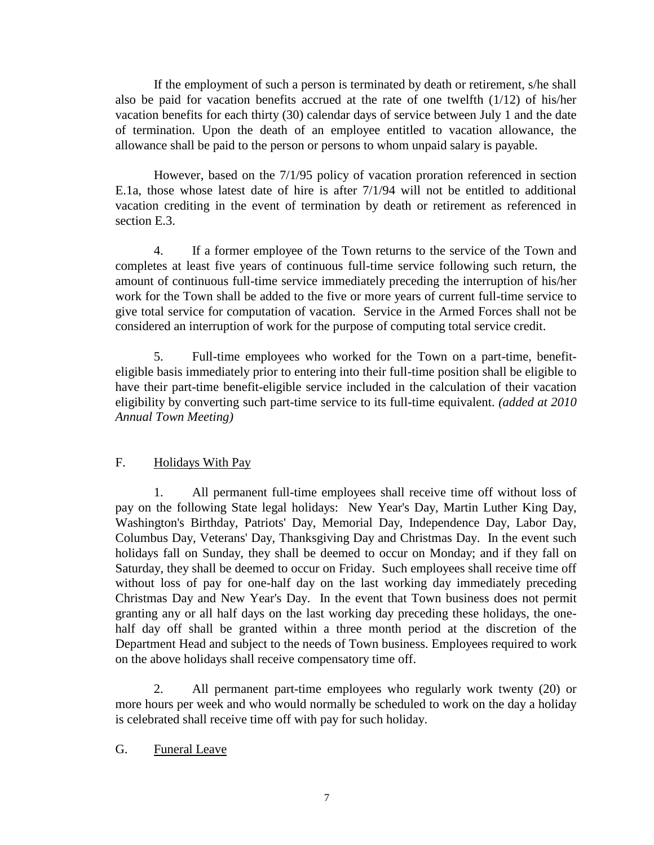If the employment of such a person is terminated by death or retirement, s/he shall also be paid for vacation benefits accrued at the rate of one twelfth (1/12) of his/her vacation benefits for each thirty (30) calendar days of service between July 1 and the date of termination. Upon the death of an employee entitled to vacation allowance, the allowance shall be paid to the person or persons to whom unpaid salary is payable.

However, based on the 7/1/95 policy of vacation proration referenced in section E.1a, those whose latest date of hire is after 7/1/94 will not be entitled to additional vacation crediting in the event of termination by death or retirement as referenced in section E.3.

4. If a former employee of the Town returns to the service of the Town and completes at least five years of continuous full-time service following such return, the amount of continuous full-time service immediately preceding the interruption of his/her work for the Town shall be added to the five or more years of current full-time service to give total service for computation of vacation. Service in the Armed Forces shall not be considered an interruption of work for the purpose of computing total service credit.

5. Full-time employees who worked for the Town on a part-time, benefiteligible basis immediately prior to entering into their full-time position shall be eligible to have their part-time benefit-eligible service included in the calculation of their vacation eligibility by converting such part-time service to its full-time equivalent. *(added at 2010 Annual Town Meeting)*

#### F. Holidays With Pay

1. All permanent full-time employees shall receive time off without loss of pay on the following State legal holidays: New Year's Day, Martin Luther King Day, Washington's Birthday, Patriots' Day, Memorial Day, Independence Day, Labor Day, Columbus Day, Veterans' Day, Thanksgiving Day and Christmas Day. In the event such holidays fall on Sunday, they shall be deemed to occur on Monday; and if they fall on Saturday, they shall be deemed to occur on Friday. Such employees shall receive time off without loss of pay for one-half day on the last working day immediately preceding Christmas Day and New Year's Day. In the event that Town business does not permit granting any or all half days on the last working day preceding these holidays, the onehalf day off shall be granted within a three month period at the discretion of the Department Head and subject to the needs of Town business. Employees required to work on the above holidays shall receive compensatory time off.

2. All permanent part-time employees who regularly work twenty (20) or more hours per week and who would normally be scheduled to work on the day a holiday is celebrated shall receive time off with pay for such holiday.

#### G. Funeral Leave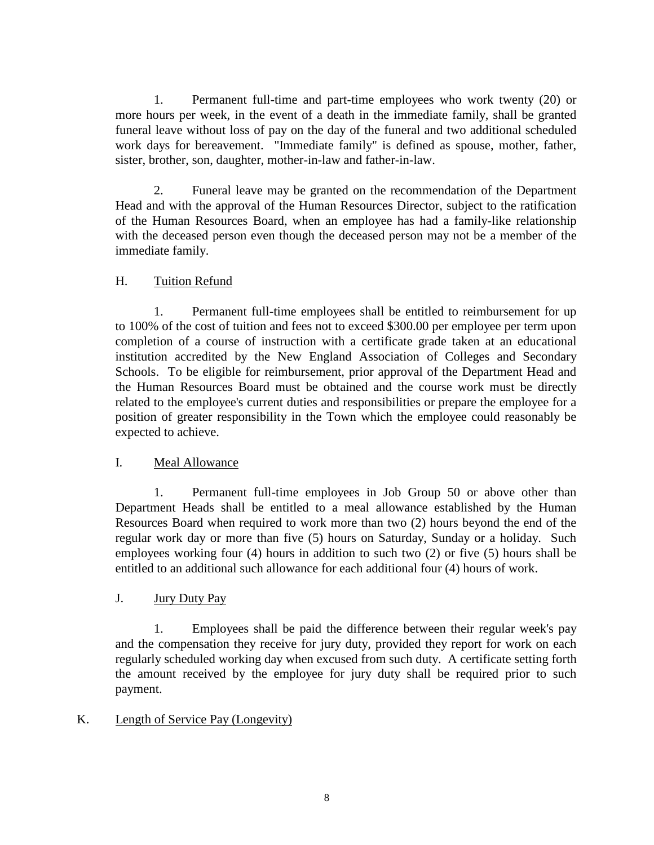1. Permanent full-time and part-time employees who work twenty (20) or more hours per week, in the event of a death in the immediate family, shall be granted funeral leave without loss of pay on the day of the funeral and two additional scheduled work days for bereavement. "Immediate family" is defined as spouse, mother, father, sister, brother, son, daughter, mother-in-law and father-in-law.

2. Funeral leave may be granted on the recommendation of the Department Head and with the approval of the Human Resources Director, subject to the ratification of the Human Resources Board, when an employee has had a family-like relationship with the deceased person even though the deceased person may not be a member of the immediate family.

#### H. Tuition Refund

1. Permanent full-time employees shall be entitled to reimbursement for up to 100% of the cost of tuition and fees not to exceed \$300.00 per employee per term upon completion of a course of instruction with a certificate grade taken at an educational institution accredited by the New England Association of Colleges and Secondary Schools. To be eligible for reimbursement, prior approval of the Department Head and the Human Resources Board must be obtained and the course work must be directly related to the employee's current duties and responsibilities or prepare the employee for a position of greater responsibility in the Town which the employee could reasonably be expected to achieve.

#### I. Meal Allowance

1. Permanent full-time employees in Job Group 50 or above other than Department Heads shall be entitled to a meal allowance established by the Human Resources Board when required to work more than two (2) hours beyond the end of the regular work day or more than five (5) hours on Saturday, Sunday or a holiday. Such employees working four (4) hours in addition to such two (2) or five (5) hours shall be entitled to an additional such allowance for each additional four (4) hours of work.

#### J. Jury Duty Pay

1. Employees shall be paid the difference between their regular week's pay and the compensation they receive for jury duty, provided they report for work on each regularly scheduled working day when excused from such duty. A certificate setting forth the amount received by the employee for jury duty shall be required prior to such payment.

#### K. Length of Service Pay (Longevity)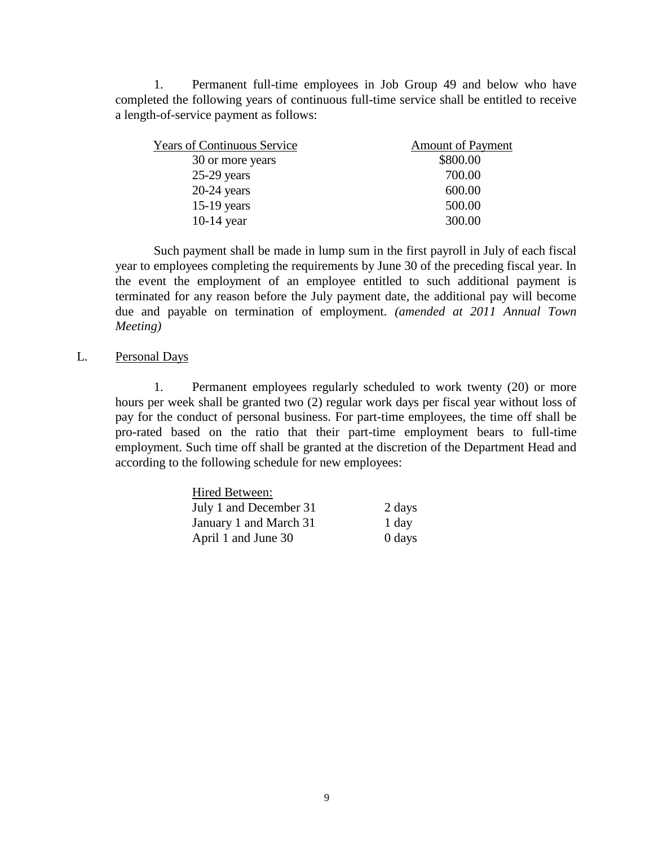1. Permanent full-time employees in Job Group 49 and below who have completed the following years of continuous full-time service shall be entitled to receive a length-of-service payment as follows:

| <b>Years of Continuous Service</b> | <b>Amount of Payment</b> |
|------------------------------------|--------------------------|
| 30 or more years                   | \$800.00                 |
| $25-29$ years                      | 700.00                   |
| $20-24$ years                      | 600.00                   |
| $15-19$ years                      | 500.00                   |
| $10-14$ year                       | 300.00                   |

Such payment shall be made in lump sum in the first payroll in July of each fiscal year to employees completing the requirements by June 30 of the preceding fiscal year. In the event the employment of an employee entitled to such additional payment is terminated for any reason before the July payment date, the additional pay will become due and payable on termination of employment. *(amended at 2011 Annual Town Meeting)*

L. Personal Days

1. Permanent employees regularly scheduled to work twenty (20) or more hours per week shall be granted two (2) regular work days per fiscal year without loss of pay for the conduct of personal business. For part-time employees, the time off shall be pro-rated based on the ratio that their part-time employment bears to full-time employment. Such time off shall be granted at the discretion of the Department Head and according to the following schedule for new employees:

| Hired Between:         |        |
|------------------------|--------|
| July 1 and December 31 | 2 days |
| January 1 and March 31 | 1 day  |
| April 1 and June 30    | 0 days |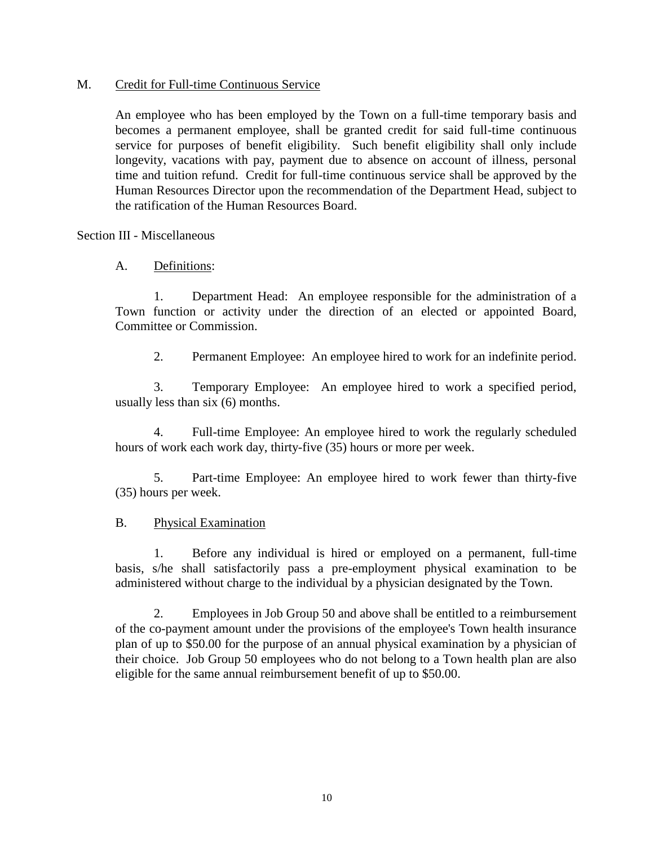#### M. Credit for Full-time Continuous Service

An employee who has been employed by the Town on a full-time temporary basis and becomes a permanent employee, shall be granted credit for said full-time continuous service for purposes of benefit eligibility. Such benefit eligibility shall only include longevity, vacations with pay, payment due to absence on account of illness, personal time and tuition refund. Credit for full-time continuous service shall be approved by the Human Resources Director upon the recommendation of the Department Head, subject to the ratification of the Human Resources Board.

#### Section III - Miscellaneous

#### A. Definitions:

1. Department Head: An employee responsible for the administration of a Town function or activity under the direction of an elected or appointed Board, Committee or Commission.

2. Permanent Employee: An employee hired to work for an indefinite period.

3. Temporary Employee: An employee hired to work a specified period, usually less than six (6) months.

4. Full-time Employee: An employee hired to work the regularly scheduled hours of work each work day, thirty-five (35) hours or more per week.

5. Part-time Employee: An employee hired to work fewer than thirty-five (35) hours per week.

#### B. Physical Examination

1. Before any individual is hired or employed on a permanent, full-time basis, s/he shall satisfactorily pass a pre-employment physical examination to be administered without charge to the individual by a physician designated by the Town.

2. Employees in Job Group 50 and above shall be entitled to a reimbursement of the co-payment amount under the provisions of the employee's Town health insurance plan of up to \$50.00 for the purpose of an annual physical examination by a physician of their choice. Job Group 50 employees who do not belong to a Town health plan are also eligible for the same annual reimbursement benefit of up to \$50.00.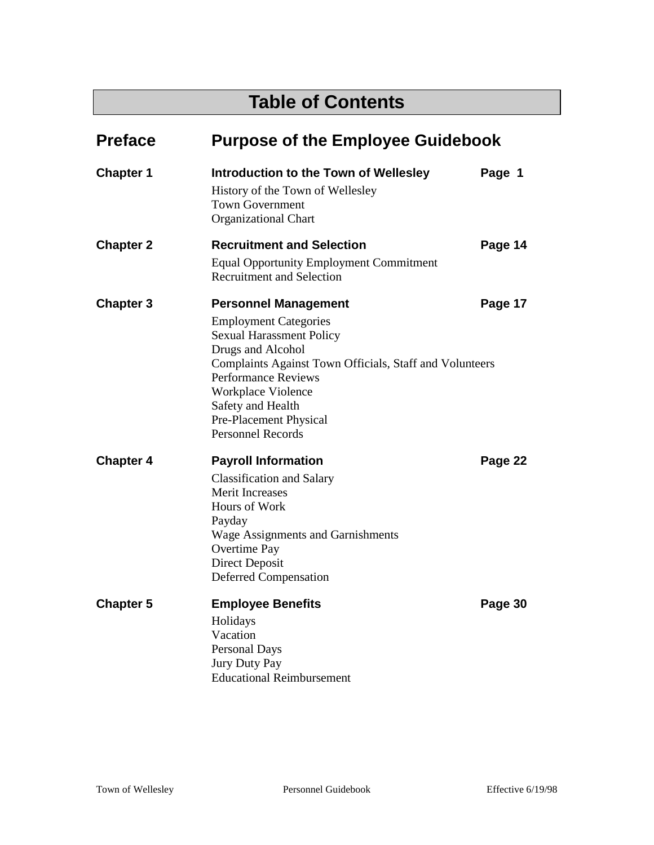# **Table of Contents**

| <b>Preface</b>   | <b>Purpose of the Employee Guidebook</b>                                                                                                                                                                                                                                                                      |         |
|------------------|---------------------------------------------------------------------------------------------------------------------------------------------------------------------------------------------------------------------------------------------------------------------------------------------------------------|---------|
| <b>Chapter 1</b> | Introduction to the Town of Wellesley<br>History of the Town of Wellesley<br><b>Town Government</b><br><b>Organizational Chart</b>                                                                                                                                                                            | Page 1  |
| <b>Chapter 2</b> | <b>Recruitment and Selection</b><br><b>Equal Opportunity Employment Commitment</b><br><b>Recruitment and Selection</b>                                                                                                                                                                                        | Page 14 |
| <b>Chapter 3</b> | <b>Personnel Management</b><br><b>Employment Categories</b><br><b>Sexual Harassment Policy</b><br>Drugs and Alcohol<br>Complaints Against Town Officials, Staff and Volunteers<br><b>Performance Reviews</b><br>Workplace Violence<br>Safety and Health<br>Pre-Placement Physical<br><b>Personnel Records</b> | Page 17 |
| <b>Chapter 4</b> | <b>Payroll Information</b><br><b>Classification and Salary</b><br>Merit Increases<br>Hours of Work<br>Payday<br><b>Wage Assignments and Garnishments</b><br>Overtime Pay<br><b>Direct Deposit</b><br><b>Deferred Compensation</b>                                                                             | Page 22 |
| <b>Chapter 5</b> | <b>Employee Benefits</b><br>Holidays<br>Vacation<br><b>Personal Days</b><br><b>Jury Duty Pay</b><br><b>Educational Reimbursement</b>                                                                                                                                                                          | Page 30 |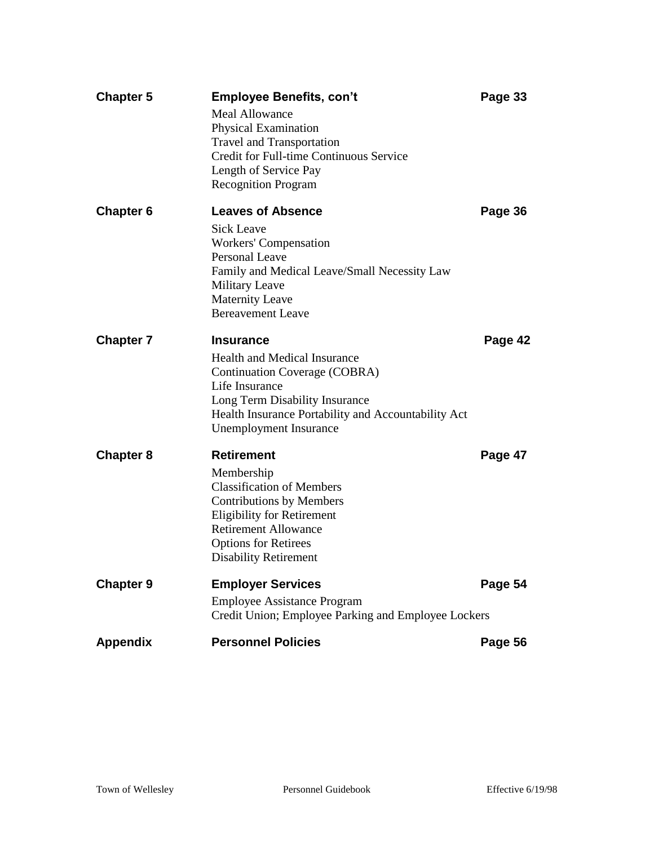| <b>Chapter 5</b> | <b>Employee Benefits, con't</b><br><b>Meal Allowance</b><br>Physical Examination<br><b>Travel and Transportation</b><br>Credit for Full-time Continuous Service<br>Length of Service Pay<br><b>Recognition Program</b>                    | Page 33 |
|------------------|-------------------------------------------------------------------------------------------------------------------------------------------------------------------------------------------------------------------------------------------|---------|
| <b>Chapter 6</b> | <b>Leaves of Absence</b><br><b>Sick Leave</b><br><b>Workers' Compensation</b><br>Personal Leave<br>Family and Medical Leave/Small Necessity Law<br>Military Leave<br><b>Maternity Leave</b><br><b>Bereavement Leave</b>                   | Page 36 |
| <b>Chapter 7</b> | <b>Insurance</b><br><b>Health and Medical Insurance</b><br>Continuation Coverage (COBRA)<br>Life Insurance<br>Long Term Disability Insurance<br>Health Insurance Portability and Accountability Act<br>Unemployment Insurance             | Page 42 |
| <b>Chapter 8</b> | <b>Retirement</b><br>Membership<br><b>Classification of Members</b><br><b>Contributions by Members</b><br><b>Eligibility for Retirement</b><br><b>Retirement Allowance</b><br><b>Options for Retirees</b><br><b>Disability Retirement</b> | Page 47 |
| <b>Chapter 9</b> | <b>Employer Services</b><br><b>Employee Assistance Program</b><br>Credit Union; Employee Parking and Employee Lockers                                                                                                                     | Page 54 |
| <b>Appendix</b>  | <b>Personnel Policies</b>                                                                                                                                                                                                                 | Page 56 |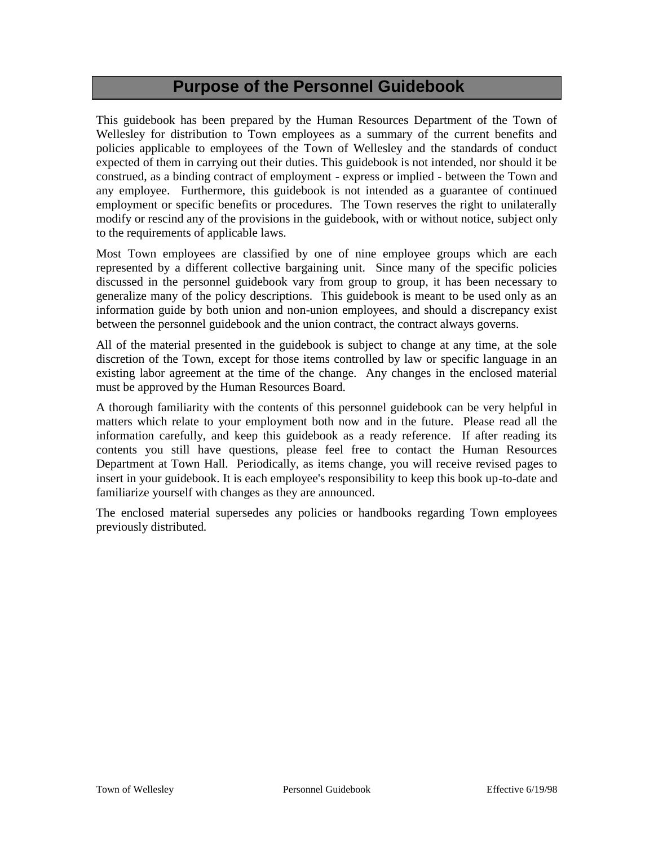### **Purpose of the Personnel Guidebook**

This guidebook has been prepared by the Human Resources Department of the Town of Wellesley for distribution to Town employees as a summary of the current benefits and policies applicable to employees of the Town of Wellesley and the standards of conduct expected of them in carrying out their duties. This guidebook is not intended, nor should it be construed, as a binding contract of employment - express or implied - between the Town and any employee. Furthermore, this guidebook is not intended as a guarantee of continued employment or specific benefits or procedures. The Town reserves the right to unilaterally modify or rescind any of the provisions in the guidebook, with or without notice, subject only to the requirements of applicable laws.

Most Town employees are classified by one of nine employee groups which are each represented by a different collective bargaining unit. Since many of the specific policies discussed in the personnel guidebook vary from group to group, it has been necessary to generalize many of the policy descriptions. This guidebook is meant to be used only as an information guide by both union and non-union employees, and should a discrepancy exist between the personnel guidebook and the union contract, the contract always governs.

All of the material presented in the guidebook is subject to change at any time, at the sole discretion of the Town, except for those items controlled by law or specific language in an existing labor agreement at the time of the change. Any changes in the enclosed material must be approved by the Human Resources Board.

A thorough familiarity with the contents of this personnel guidebook can be very helpful in matters which relate to your employment both now and in the future. Please read all the information carefully, and keep this guidebook as a ready reference. If after reading its contents you still have questions, please feel free to contact the Human Resources Department at Town Hall. Periodically, as items change, you will receive revised pages to insert in your guidebook. It is each employee's responsibility to keep this book up-to-date and familiarize yourself with changes as they are announced.

The enclosed material supersedes any policies or handbooks regarding Town employees previously distributed.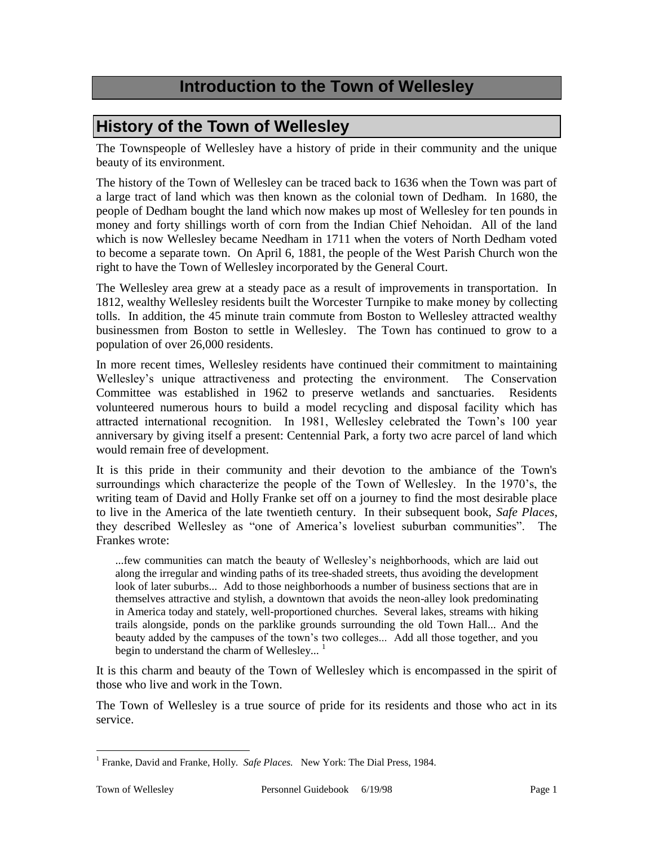# **Introduction to the Town of Wellesley**

# **History of the Town of Wellesley**

The Townspeople of Wellesley have a history of pride in their community and the unique beauty of its environment.

The history of the Town of Wellesley can be traced back to 1636 when the Town was part of a large tract of land which was then known as the colonial town of Dedham. In 1680, the people of Dedham bought the land which now makes up most of Wellesley for ten pounds in money and forty shillings worth of corn from the Indian Chief Nehoidan. All of the land which is now Wellesley became Needham in 1711 when the voters of North Dedham voted to become a separate town. On April 6, 1881, the people of the West Parish Church won the right to have the Town of Wellesley incorporated by the General Court.

The Wellesley area grew at a steady pace as a result of improvements in transportation. In 1812, wealthy Wellesley residents built the Worcester Turnpike to make money by collecting tolls. In addition, the 45 minute train commute from Boston to Wellesley attracted wealthy businessmen from Boston to settle in Wellesley. The Town has continued to grow to a population of over 26,000 residents.

In more recent times, Wellesley residents have continued their commitment to maintaining Wellesley's unique attractiveness and protecting the environment. The Conservation Committee was established in 1962 to preserve wetlands and sanctuaries. Residents volunteered numerous hours to build a model recycling and disposal facility which has attracted international recognition. In 1981, Wellesley celebrated the Town's 100 year anniversary by giving itself a present: Centennial Park, a forty two acre parcel of land which would remain free of development.

It is this pride in their community and their devotion to the ambiance of the Town's surroundings which characterize the people of the Town of Wellesley. In the 1970's, the writing team of David and Holly Franke set off on a journey to find the most desirable place to live in the America of the late twentieth century. In their subsequent book, *Safe Places*, they described Wellesley as "one of America's loveliest suburban communities". The Frankes wrote:

...few communities can match the beauty of Wellesley's neighborhoods, which are laid out along the irregular and winding paths of its tree-shaded streets, thus avoiding the development look of later suburbs... Add to those neighborhoods a number of business sections that are in themselves attractive and stylish, a downtown that avoids the neon-alley look predominating in America today and stately, well-proportioned churches. Several lakes, streams with hiking trails alongside, ponds on the parklike grounds surrounding the old Town Hall... And the beauty added by the campuses of the town's two colleges... Add all those together, and you begin to understand the charm of Wellesley... <sup>1</sup>

It is this charm and beauty of the Town of Wellesley which is encompassed in the spirit of those who live and work in the Town.

The Town of Wellesley is a true source of pride for its residents and those who act in its service.

 $\overline{a}$ 

<sup>&</sup>lt;sup>1</sup> Franke, David and Franke, Holly. *Safe Places*. New York: The Dial Press, 1984.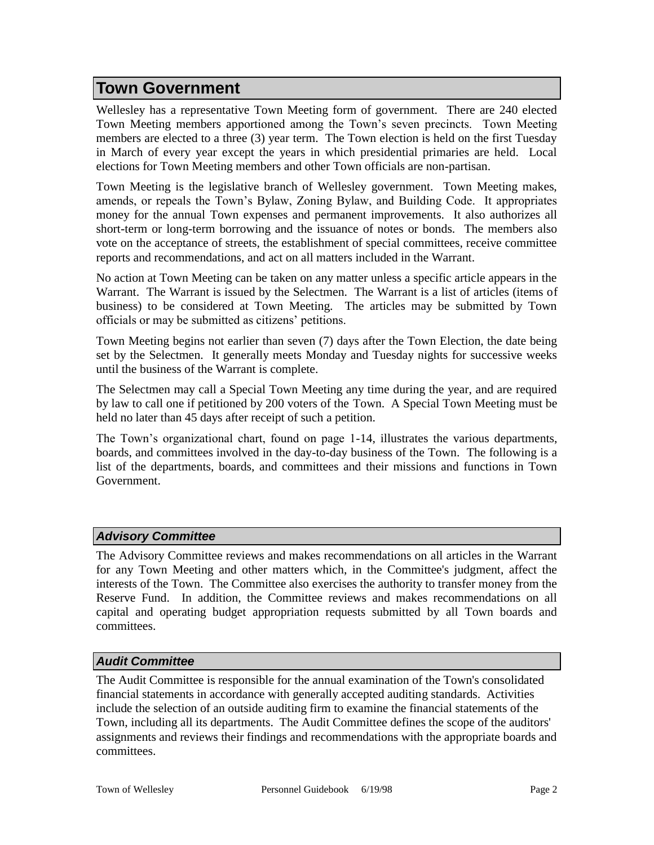# **Town Government**

Wellesley has a representative Town Meeting form of government. There are 240 elected Town Meeting members apportioned among the Town's seven precincts. Town Meeting members are elected to a three (3) year term. The Town election is held on the first Tuesday in March of every year except the years in which presidential primaries are held. Local elections for Town Meeting members and other Town officials are non-partisan.

Town Meeting is the legislative branch of Wellesley government. Town Meeting makes, amends, or repeals the Town's Bylaw, Zoning Bylaw, and Building Code. It appropriates money for the annual Town expenses and permanent improvements. It also authorizes all short-term or long-term borrowing and the issuance of notes or bonds. The members also vote on the acceptance of streets, the establishment of special committees, receive committee reports and recommendations, and act on all matters included in the Warrant.

No action at Town Meeting can be taken on any matter unless a specific article appears in the Warrant. The Warrant is issued by the Selectmen. The Warrant is a list of articles (items of business) to be considered at Town Meeting. The articles may be submitted by Town officials or may be submitted as citizens' petitions.

Town Meeting begins not earlier than seven (7) days after the Town Election, the date being set by the Selectmen. It generally meets Monday and Tuesday nights for successive weeks until the business of the Warrant is complete.

The Selectmen may call a Special Town Meeting any time during the year, and are required by law to call one if petitioned by 200 voters of the Town. A Special Town Meeting must be held no later than 45 days after receipt of such a petition.

The Town's organizational chart, found on page 1-14, illustrates the various departments, boards, and committees involved in the day-to-day business of the Town. The following is a list of the departments, boards, and committees and their missions and functions in Town Government.

#### *Advisory Committee*

The Advisory Committee reviews and makes recommendations on all articles in the Warrant for any Town Meeting and other matters which, in the Committee's judgment, affect the interests of the Town. The Committee also exercises the authority to transfer money from the Reserve Fund. In addition, the Committee reviews and makes recommendations on all capital and operating budget appropriation requests submitted by all Town boards and committees.

#### *Audit Committee*

The Audit Committee is responsible for the annual examination of the Town's consolidated financial statements in accordance with generally accepted auditing standards. Activities include the selection of an outside auditing firm to examine the financial statements of the Town, including all its departments. The Audit Committee defines the scope of the auditors' assignments and reviews their findings and recommendations with the appropriate boards and committees.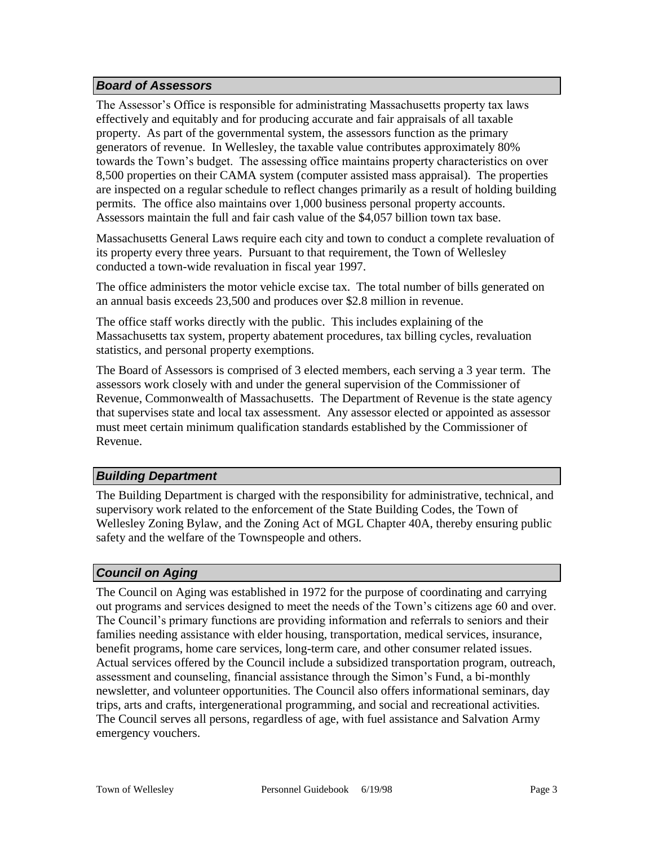#### *Board of Assessors*

The Assessor's Office is responsible for administrating Massachusetts property tax laws effectively and equitably and for producing accurate and fair appraisals of all taxable property. As part of the governmental system, the assessors function as the primary generators of revenue. In Wellesley, the taxable value contributes approximately 80% towards the Town's budget. The assessing office maintains property characteristics on over 8,500 properties on their CAMA system (computer assisted mass appraisal). The properties are inspected on a regular schedule to reflect changes primarily as a result of holding building permits. The office also maintains over 1,000 business personal property accounts. Assessors maintain the full and fair cash value of the \$4,057 billion town tax base.

Massachusetts General Laws require each city and town to conduct a complete revaluation of its property every three years. Pursuant to that requirement, the Town of Wellesley conducted a town-wide revaluation in fiscal year 1997.

The office administers the motor vehicle excise tax. The total number of bills generated on an annual basis exceeds 23,500 and produces over \$2.8 million in revenue.

The office staff works directly with the public. This includes explaining of the Massachusetts tax system, property abatement procedures, tax billing cycles, revaluation statistics, and personal property exemptions.

The Board of Assessors is comprised of 3 elected members, each serving a 3 year term. The assessors work closely with and under the general supervision of the Commissioner of Revenue, Commonwealth of Massachusetts. The Department of Revenue is the state agency that supervises state and local tax assessment. Any assessor elected or appointed as assessor must meet certain minimum qualification standards established by the Commissioner of Revenue.

#### *Building Department*

The Building Department is charged with the responsibility for administrative, technical, and supervisory work related to the enforcement of the State Building Codes, the Town of Wellesley Zoning Bylaw, and the Zoning Act of MGL Chapter 40A, thereby ensuring public safety and the welfare of the Townspeople and others.

#### *Council on Aging*

The Council on Aging was established in 1972 for the purpose of coordinating and carrying out programs and services designed to meet the needs of the Town's citizens age 60 and over. The Council's primary functions are providing information and referrals to seniors and their families needing assistance with elder housing, transportation, medical services, insurance, benefit programs, home care services, long-term care, and other consumer related issues. Actual services offered by the Council include a subsidized transportation program, outreach, assessment and counseling, financial assistance through the Simon's Fund, a bi-monthly newsletter, and volunteer opportunities. The Council also offers informational seminars, day trips, arts and crafts, intergenerational programming, and social and recreational activities. The Council serves all persons, regardless of age, with fuel assistance and Salvation Army emergency vouchers.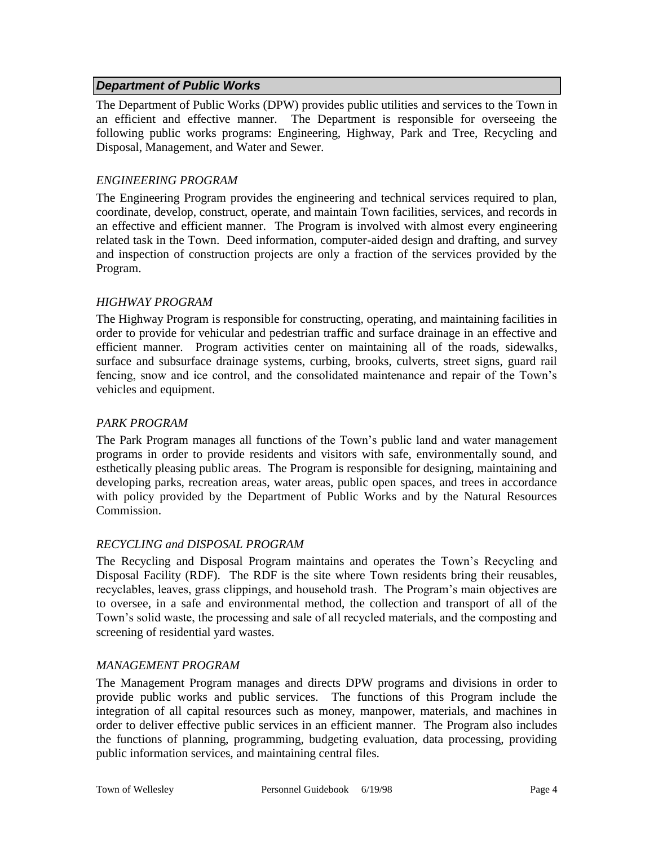#### *Department of Public Works*

The Department of Public Works (DPW) provides public utilities and services to the Town in an efficient and effective manner. The Department is responsible for overseeing the following public works programs: Engineering, Highway, Park and Tree, Recycling and Disposal, Management, and Water and Sewer.

#### *ENGINEERING PROGRAM*

The Engineering Program provides the engineering and technical services required to plan, coordinate, develop, construct, operate, and maintain Town facilities, services, and records in an effective and efficient manner. The Program is involved with almost every engineering related task in the Town. Deed information, computer-aided design and drafting, and survey and inspection of construction projects are only a fraction of the services provided by the Program.

#### *HIGHWAY PROGRAM*

The Highway Program is responsible for constructing, operating, and maintaining facilities in order to provide for vehicular and pedestrian traffic and surface drainage in an effective and efficient manner. Program activities center on maintaining all of the roads, sidewalks, surface and subsurface drainage systems, curbing, brooks, culverts, street signs, guard rail fencing, snow and ice control, and the consolidated maintenance and repair of the Town's vehicles and equipment.

#### *PARK PROGRAM*

The Park Program manages all functions of the Town's public land and water management programs in order to provide residents and visitors with safe, environmentally sound, and esthetically pleasing public areas. The Program is responsible for designing, maintaining and developing parks, recreation areas, water areas, public open spaces, and trees in accordance with policy provided by the Department of Public Works and by the Natural Resources Commission.

#### *RECYCLING and DISPOSAL PROGRAM*

The Recycling and Disposal Program maintains and operates the Town's Recycling and Disposal Facility (RDF). The RDF is the site where Town residents bring their reusables, recyclables, leaves, grass clippings, and household trash. The Program's main objectives are to oversee, in a safe and environmental method, the collection and transport of all of the Town's solid waste, the processing and sale of all recycled materials, and the composting and screening of residential yard wastes.

#### *MANAGEMENT PROGRAM*

The Management Program manages and directs DPW programs and divisions in order to provide public works and public services. The functions of this Program include the integration of all capital resources such as money, manpower, materials, and machines in order to deliver effective public services in an efficient manner. The Program also includes the functions of planning, programming, budgeting evaluation, data processing, providing public information services, and maintaining central files.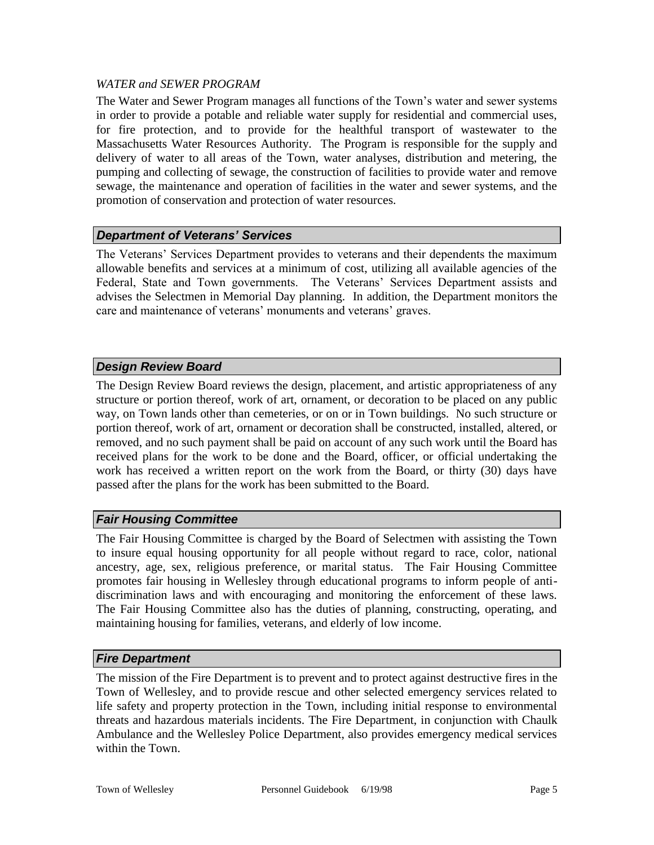#### *WATER and SEWER PROGRAM*

The Water and Sewer Program manages all functions of the Town's water and sewer systems in order to provide a potable and reliable water supply for residential and commercial uses, for fire protection, and to provide for the healthful transport of wastewater to the Massachusetts Water Resources Authority. The Program is responsible for the supply and delivery of water to all areas of the Town, water analyses, distribution and metering, the pumping and collecting of sewage, the construction of facilities to provide water and remove sewage, the maintenance and operation of facilities in the water and sewer systems, and the promotion of conservation and protection of water resources.

#### *Department of Veterans' Services*

The Veterans' Services Department provides to veterans and their dependents the maximum allowable benefits and services at a minimum of cost, utilizing all available agencies of the Federal, State and Town governments. The Veterans' Services Department assists and advises the Selectmen in Memorial Day planning. In addition, the Department monitors the care and maintenance of veterans' monuments and veterans' graves.

#### *Design Review Board*

The Design Review Board reviews the design, placement, and artistic appropriateness of any structure or portion thereof, work of art, ornament, or decoration to be placed on any public way, on Town lands other than cemeteries, or on or in Town buildings. No such structure or portion thereof, work of art, ornament or decoration shall be constructed, installed, altered, or removed, and no such payment shall be paid on account of any such work until the Board has received plans for the work to be done and the Board, officer, or official undertaking the work has received a written report on the work from the Board, or thirty (30) days have passed after the plans for the work has been submitted to the Board.

#### *Fair Housing Committee*

The Fair Housing Committee is charged by the Board of Selectmen with assisting the Town to insure equal housing opportunity for all people without regard to race, color, national ancestry, age, sex, religious preference, or marital status. The Fair Housing Committee promotes fair housing in Wellesley through educational programs to inform people of antidiscrimination laws and with encouraging and monitoring the enforcement of these laws. The Fair Housing Committee also has the duties of planning, constructing, operating, and maintaining housing for families, veterans, and elderly of low income.

#### *Fire Department*

The mission of the Fire Department is to prevent and to protect against destructive fires in the Town of Wellesley, and to provide rescue and other selected emergency services related to life safety and property protection in the Town, including initial response to environmental threats and hazardous materials incidents. The Fire Department, in conjunction with Chaulk Ambulance and the Wellesley Police Department, also provides emergency medical services within the Town.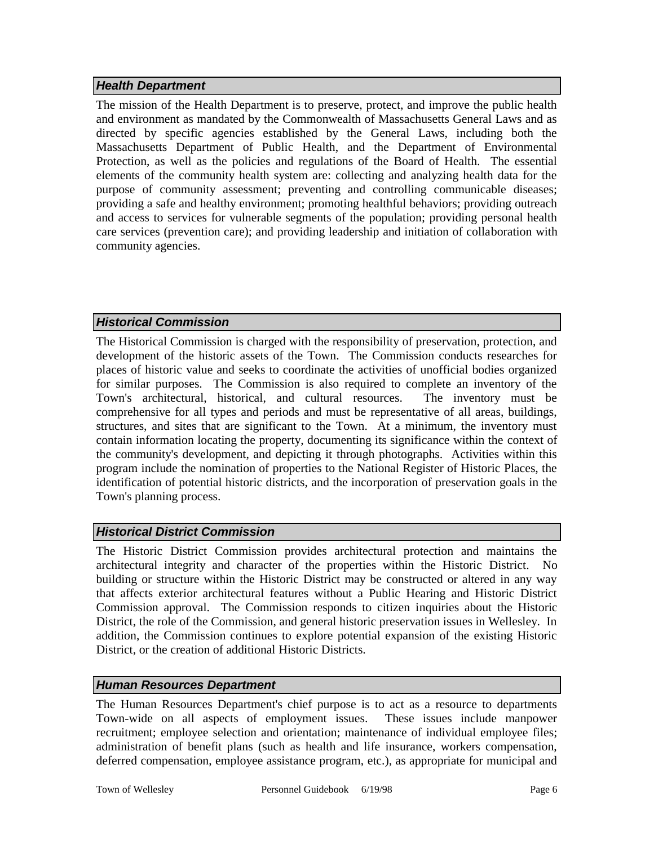#### *Health Department*

The mission of the Health Department is to preserve, protect, and improve the public health and environment as mandated by the Commonwealth of Massachusetts General Laws and as directed by specific agencies established by the General Laws, including both the Massachusetts Department of Public Health, and the Department of Environmental Protection, as well as the policies and regulations of the Board of Health. The essential elements of the community health system are: collecting and analyzing health data for the purpose of community assessment; preventing and controlling communicable diseases; providing a safe and healthy environment; promoting healthful behaviors; providing outreach and access to services for vulnerable segments of the population; providing personal health care services (prevention care); and providing leadership and initiation of collaboration with community agencies.

#### *Historical Commission*

The Historical Commission is charged with the responsibility of preservation, protection, and development of the historic assets of the Town. The Commission conducts researches for places of historic value and seeks to coordinate the activities of unofficial bodies organized for similar purposes. The Commission is also required to complete an inventory of the Town's architectural, historical, and cultural resources. The inventory must be comprehensive for all types and periods and must be representative of all areas, buildings, structures, and sites that are significant to the Town. At a minimum, the inventory must contain information locating the property, documenting its significance within the context of the community's development, and depicting it through photographs. Activities within this program include the nomination of properties to the National Register of Historic Places, the identification of potential historic districts, and the incorporation of preservation goals in the Town's planning process.

#### *Historical District Commission*

The Historic District Commission provides architectural protection and maintains the architectural integrity and character of the properties within the Historic District. No building or structure within the Historic District may be constructed or altered in any way that affects exterior architectural features without a Public Hearing and Historic District Commission approval. The Commission responds to citizen inquiries about the Historic District, the role of the Commission, and general historic preservation issues in Wellesley. In addition, the Commission continues to explore potential expansion of the existing Historic District, or the creation of additional Historic Districts.

#### *Human Resources Department*

The Human Resources Department's chief purpose is to act as a resource to departments Town-wide on all aspects of employment issues. These issues include manpower recruitment; employee selection and orientation; maintenance of individual employee files; administration of benefit plans (such as health and life insurance, workers compensation, deferred compensation, employee assistance program, etc.), as appropriate for municipal and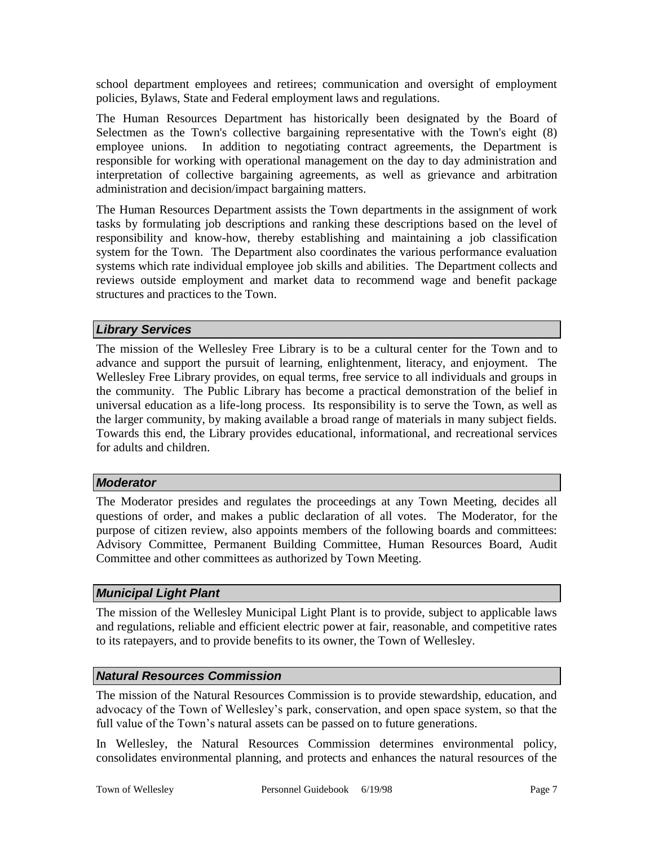school department employees and retirees; communication and oversight of employment policies, Bylaws, State and Federal employment laws and regulations.

The Human Resources Department has historically been designated by the Board of Selectmen as the Town's collective bargaining representative with the Town's eight (8) employee unions. In addition to negotiating contract agreements, the Department is responsible for working with operational management on the day to day administration and interpretation of collective bargaining agreements, as well as grievance and arbitration administration and decision/impact bargaining matters.

The Human Resources Department assists the Town departments in the assignment of work tasks by formulating job descriptions and ranking these descriptions based on the level of responsibility and know-how, thereby establishing and maintaining a job classification system for the Town. The Department also coordinates the various performance evaluation systems which rate individual employee job skills and abilities. The Department collects and reviews outside employment and market data to recommend wage and benefit package structures and practices to the Town.

#### *Library Services*

The mission of the Wellesley Free Library is to be a cultural center for the Town and to advance and support the pursuit of learning, enlightenment, literacy, and enjoyment. The Wellesley Free Library provides, on equal terms, free service to all individuals and groups in the community. The Public Library has become a practical demonstration of the belief in universal education as a life-long process. Its responsibility is to serve the Town, as well as the larger community, by making available a broad range of materials in many subject fields. Towards this end, the Library provides educational, informational, and recreational services for adults and children.

#### *Moderator*

The Moderator presides and regulates the proceedings at any Town Meeting, decides all questions of order, and makes a public declaration of all votes. The Moderator, for the purpose of citizen review, also appoints members of the following boards and committees: Advisory Committee, Permanent Building Committee, Human Resources Board, Audit Committee and other committees as authorized by Town Meeting.

#### *Municipal Light Plant*

The mission of the Wellesley Municipal Light Plant is to provide, subject to applicable laws and regulations, reliable and efficient electric power at fair, reasonable, and competitive rates to its ratepayers, and to provide benefits to its owner, the Town of Wellesley.

#### *Natural Resources Commission*

The mission of the Natural Resources Commission is to provide stewardship, education, and advocacy of the Town of Wellesley's park, conservation, and open space system, so that the full value of the Town's natural assets can be passed on to future generations.

In Wellesley, the Natural Resources Commission determines environmental policy, consolidates environmental planning, and protects and enhances the natural resources of the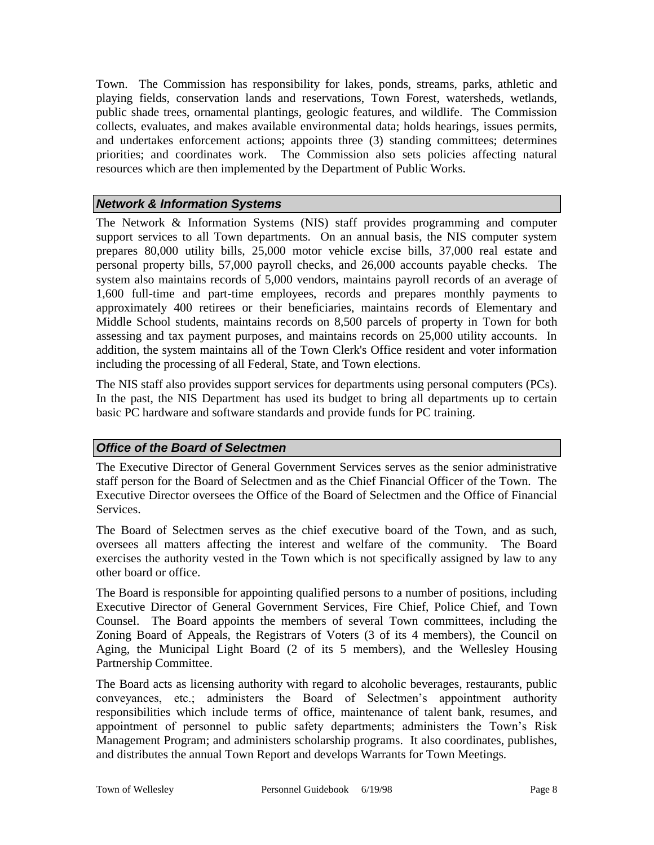Town. The Commission has responsibility for lakes, ponds, streams, parks, athletic and playing fields, conservation lands and reservations, Town Forest, watersheds, wetlands, public shade trees, ornamental plantings, geologic features, and wildlife. The Commission collects, evaluates, and makes available environmental data; holds hearings, issues permits, and undertakes enforcement actions; appoints three (3) standing committees; determines priorities; and coordinates work. The Commission also sets policies affecting natural resources which are then implemented by the Department of Public Works.

#### *Network & Information Systems*

The Network & Information Systems (NIS) staff provides programming and computer support services to all Town departments. On an annual basis, the NIS computer system prepares 80,000 utility bills, 25,000 motor vehicle excise bills, 37,000 real estate and personal property bills, 57,000 payroll checks, and 26,000 accounts payable checks. The system also maintains records of 5,000 vendors, maintains payroll records of an average of 1,600 full-time and part-time employees, records and prepares monthly payments to approximately 400 retirees or their beneficiaries, maintains records of Elementary and Middle School students, maintains records on 8,500 parcels of property in Town for both assessing and tax payment purposes, and maintains records on 25,000 utility accounts. In addition, the system maintains all of the Town Clerk's Office resident and voter information including the processing of all Federal, State, and Town elections.

The NIS staff also provides support services for departments using personal computers (PCs). In the past, the NIS Department has used its budget to bring all departments up to certain basic PC hardware and software standards and provide funds for PC training.

#### *Office of the Board of Selectmen*

The Executive Director of General Government Services serves as the senior administrative staff person for the Board of Selectmen and as the Chief Financial Officer of the Town. The Executive Director oversees the Office of the Board of Selectmen and the Office of Financial Services.

The Board of Selectmen serves as the chief executive board of the Town, and as such, oversees all matters affecting the interest and welfare of the community. The Board exercises the authority vested in the Town which is not specifically assigned by law to any other board or office.

The Board is responsible for appointing qualified persons to a number of positions, including Executive Director of General Government Services, Fire Chief, Police Chief, and Town Counsel. The Board appoints the members of several Town committees, including the Zoning Board of Appeals, the Registrars of Voters (3 of its 4 members), the Council on Aging, the Municipal Light Board (2 of its 5 members), and the Wellesley Housing Partnership Committee.

The Board acts as licensing authority with regard to alcoholic beverages, restaurants, public conveyances, etc.; administers the Board of Selectmen's appointment authority responsibilities which include terms of office, maintenance of talent bank, resumes, and appointment of personnel to public safety departments; administers the Town's Risk Management Program; and administers scholarship programs. It also coordinates, publishes, and distributes the annual Town Report and develops Warrants for Town Meetings.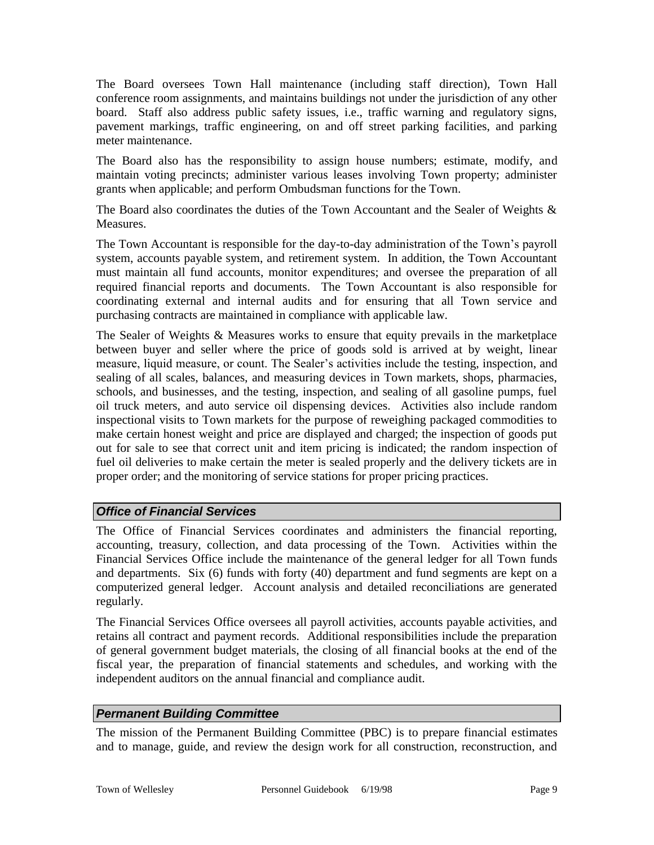The Board oversees Town Hall maintenance (including staff direction), Town Hall conference room assignments, and maintains buildings not under the jurisdiction of any other board. Staff also address public safety issues, i.e., traffic warning and regulatory signs, pavement markings, traffic engineering, on and off street parking facilities, and parking meter maintenance.

The Board also has the responsibility to assign house numbers; estimate, modify, and maintain voting precincts; administer various leases involving Town property; administer grants when applicable; and perform Ombudsman functions for the Town.

The Board also coordinates the duties of the Town Accountant and the Sealer of Weights  $\&$ Measures.

The Town Accountant is responsible for the day-to-day administration of the Town's payroll system, accounts payable system, and retirement system. In addition, the Town Accountant must maintain all fund accounts, monitor expenditures; and oversee the preparation of all required financial reports and documents. The Town Accountant is also responsible for coordinating external and internal audits and for ensuring that all Town service and purchasing contracts are maintained in compliance with applicable law.

The Sealer of Weights & Measures works to ensure that equity prevails in the marketplace between buyer and seller where the price of goods sold is arrived at by weight, linear measure, liquid measure, or count. The Sealer's activities include the testing, inspection, and sealing of all scales, balances, and measuring devices in Town markets, shops, pharmacies, schools, and businesses, and the testing, inspection, and sealing of all gasoline pumps, fuel oil truck meters, and auto service oil dispensing devices. Activities also include random inspectional visits to Town markets for the purpose of reweighing packaged commodities to make certain honest weight and price are displayed and charged; the inspection of goods put out for sale to see that correct unit and item pricing is indicated; the random inspection of fuel oil deliveries to make certain the meter is sealed properly and the delivery tickets are in proper order; and the monitoring of service stations for proper pricing practices.

#### *Office of Financial Services*

The Office of Financial Services coordinates and administers the financial reporting, accounting, treasury, collection, and data processing of the Town. Activities within the Financial Services Office include the maintenance of the general ledger for all Town funds and departments. Six (6) funds with forty (40) department and fund segments are kept on a computerized general ledger. Account analysis and detailed reconciliations are generated regularly.

The Financial Services Office oversees all payroll activities, accounts payable activities, and retains all contract and payment records. Additional responsibilities include the preparation of general government budget materials, the closing of all financial books at the end of the fiscal year, the preparation of financial statements and schedules, and working with the independent auditors on the annual financial and compliance audit.

#### *Permanent Building Committee*

The mission of the Permanent Building Committee (PBC) is to prepare financial estimates and to manage, guide, and review the design work for all construction, reconstruction, and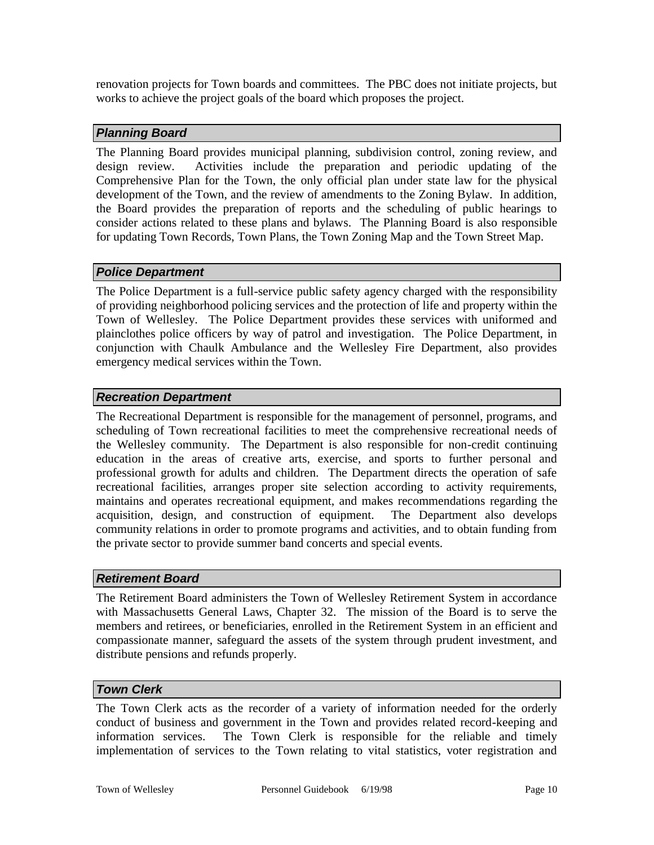renovation projects for Town boards and committees. The PBC does not initiate projects, but works to achieve the project goals of the board which proposes the project.

#### *Planning Board*

The Planning Board provides municipal planning, subdivision control, zoning review, and design review. Activities include the preparation and periodic updating of the Comprehensive Plan for the Town, the only official plan under state law for the physical development of the Town, and the review of amendments to the Zoning Bylaw. In addition, the Board provides the preparation of reports and the scheduling of public hearings to consider actions related to these plans and bylaws. The Planning Board is also responsible for updating Town Records, Town Plans, the Town Zoning Map and the Town Street Map.

#### *Police Department*

The Police Department is a full-service public safety agency charged with the responsibility of providing neighborhood policing services and the protection of life and property within the Town of Wellesley. The Police Department provides these services with uniformed and plainclothes police officers by way of patrol and investigation. The Police Department, in conjunction with Chaulk Ambulance and the Wellesley Fire Department, also provides emergency medical services within the Town.

#### *Recreation Department*

The Recreational Department is responsible for the management of personnel, programs, and scheduling of Town recreational facilities to meet the comprehensive recreational needs of the Wellesley community. The Department is also responsible for non-credit continuing education in the areas of creative arts, exercise, and sports to further personal and professional growth for adults and children. The Department directs the operation of safe recreational facilities, arranges proper site selection according to activity requirements, maintains and operates recreational equipment, and makes recommendations regarding the acquisition, design, and construction of equipment. The Department also develops community relations in order to promote programs and activities, and to obtain funding from the private sector to provide summer band concerts and special events.

#### *Retirement Board*

The Retirement Board administers the Town of Wellesley Retirement System in accordance with Massachusetts General Laws, Chapter 32. The mission of the Board is to serve the members and retirees, or beneficiaries, enrolled in the Retirement System in an efficient and compassionate manner, safeguard the assets of the system through prudent investment, and distribute pensions and refunds properly.

#### *Town Clerk*

The Town Clerk acts as the recorder of a variety of information needed for the orderly conduct of business and government in the Town and provides related record-keeping and information services. The Town Clerk is responsible for the reliable and timely implementation of services to the Town relating to vital statistics, voter registration and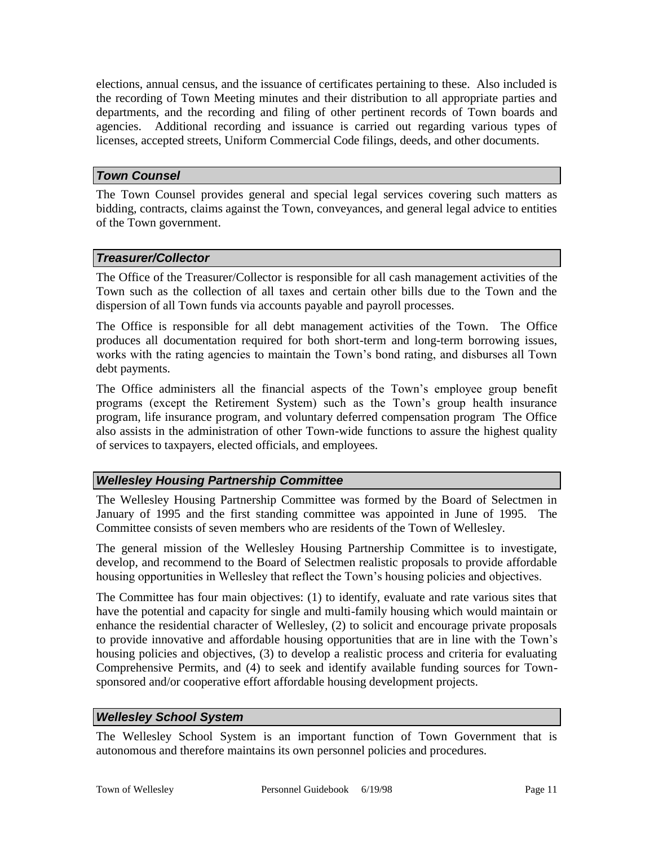elections, annual census, and the issuance of certificates pertaining to these. Also included is the recording of Town Meeting minutes and their distribution to all appropriate parties and departments, and the recording and filing of other pertinent records of Town boards and agencies. Additional recording and issuance is carried out regarding various types of licenses, accepted streets, Uniform Commercial Code filings, deeds, and other documents.

#### *Town Counsel*

The Town Counsel provides general and special legal services covering such matters as bidding, contracts, claims against the Town, conveyances, and general legal advice to entities of the Town government.

#### *Treasurer/Collector*

The Office of the Treasurer/Collector is responsible for all cash management activities of the Town such as the collection of all taxes and certain other bills due to the Town and the dispersion of all Town funds via accounts payable and payroll processes.

The Office is responsible for all debt management activities of the Town. The Office produces all documentation required for both short-term and long-term borrowing issues, works with the rating agencies to maintain the Town's bond rating, and disburses all Town debt payments.

The Office administers all the financial aspects of the Town's employee group benefit programs (except the Retirement System) such as the Town's group health insurance program, life insurance program, and voluntary deferred compensation program The Office also assists in the administration of other Town-wide functions to assure the highest quality of services to taxpayers, elected officials, and employees.

#### *Wellesley Housing Partnership Committee*

The Wellesley Housing Partnership Committee was formed by the Board of Selectmen in January of 1995 and the first standing committee was appointed in June of 1995. The Committee consists of seven members who are residents of the Town of Wellesley.

The general mission of the Wellesley Housing Partnership Committee is to investigate, develop, and recommend to the Board of Selectmen realistic proposals to provide affordable housing opportunities in Wellesley that reflect the Town's housing policies and objectives.

The Committee has four main objectives: (1) to identify, evaluate and rate various sites that have the potential and capacity for single and multi-family housing which would maintain or enhance the residential character of Wellesley, (2) to solicit and encourage private proposals to provide innovative and affordable housing opportunities that are in line with the Town's housing policies and objectives, (3) to develop a realistic process and criteria for evaluating Comprehensive Permits, and (4) to seek and identify available funding sources for Townsponsored and/or cooperative effort affordable housing development projects.

#### *Wellesley School System*

The Wellesley School System is an important function of Town Government that is autonomous and therefore maintains its own personnel policies and procedures.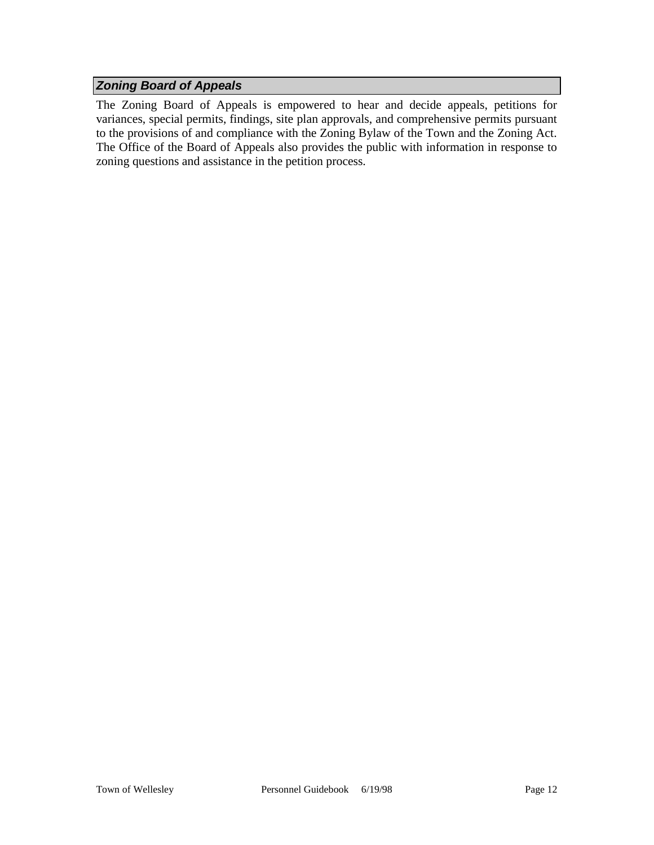#### *Zoning Board of Appeals*

The Zoning Board of Appeals is empowered to hear and decide appeals, petitions for variances, special permits, findings, site plan approvals, and comprehensive permits pursuant to the provisions of and compliance with the Zoning Bylaw of the Town and the Zoning Act. The Office of the Board of Appeals also provides the public with information in response to zoning questions and assistance in the petition process.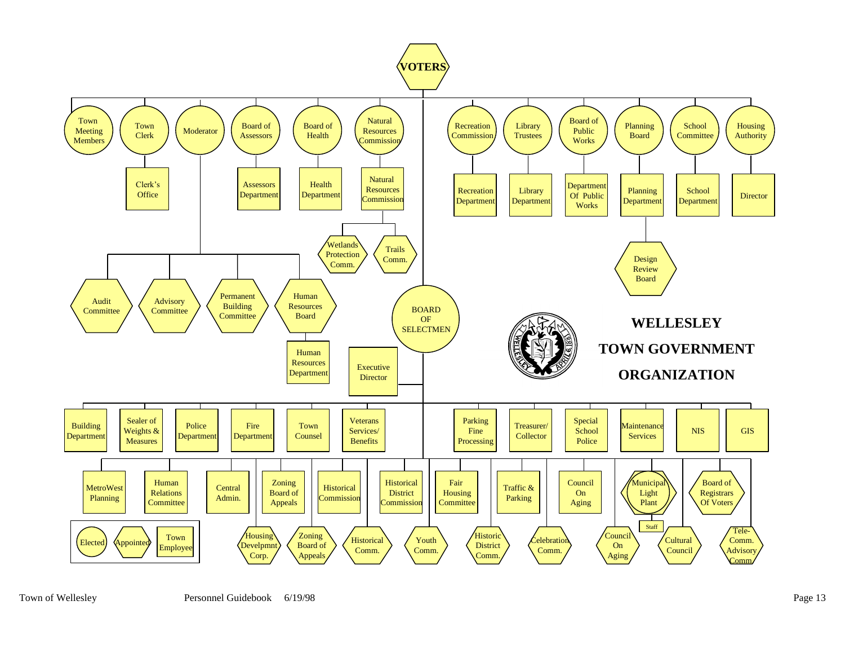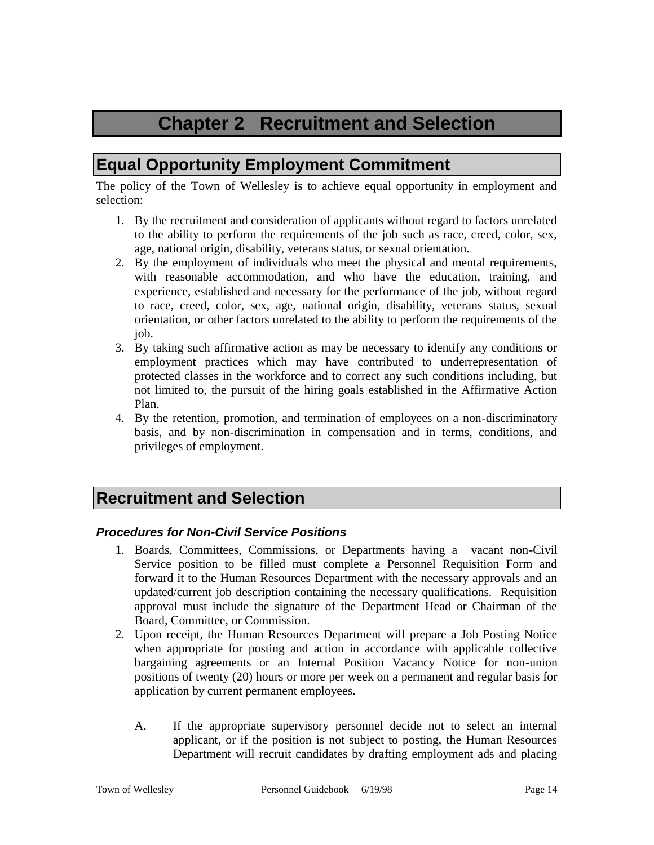# **Chapter 2 Recruitment and Selection**

# **Equal Opportunity Employment Commitment**

The policy of the Town of Wellesley is to achieve equal opportunity in employment and selection:

- 1. By the recruitment and consideration of applicants without regard to factors unrelated to the ability to perform the requirements of the job such as race, creed, color, sex, age, national origin, disability, veterans status, or sexual orientation.
- 2. By the employment of individuals who meet the physical and mental requirements, with reasonable accommodation, and who have the education, training, and experience, established and necessary for the performance of the job, without regard to race, creed, color, sex, age, national origin, disability, veterans status, sexual orientation, or other factors unrelated to the ability to perform the requirements of the job.
- 3. By taking such affirmative action as may be necessary to identify any conditions or employment practices which may have contributed to underrepresentation of protected classes in the workforce and to correct any such conditions including, but not limited to, the pursuit of the hiring goals established in the Affirmative Action Plan.
- 4. By the retention, promotion, and termination of employees on a non-discriminatory basis, and by non-discrimination in compensation and in terms, conditions, and privileges of employment.

# **Recruitment and Selection**

#### *Procedures for Non-Civil Service Positions*

- 1. Boards, Committees, Commissions, or Departments having a vacant non-Civil Service position to be filled must complete a Personnel Requisition Form and forward it to the Human Resources Department with the necessary approvals and an updated/current job description containing the necessary qualifications. Requisition approval must include the signature of the Department Head or Chairman of the Board, Committee, or Commission.
- 2. Upon receipt, the Human Resources Department will prepare a Job Posting Notice when appropriate for posting and action in accordance with applicable collective bargaining agreements or an Internal Position Vacancy Notice for non-union positions of twenty (20) hours or more per week on a permanent and regular basis for application by current permanent employees.
	- A. If the appropriate supervisory personnel decide not to select an internal applicant, or if the position is not subject to posting, the Human Resources Department will recruit candidates by drafting employment ads and placing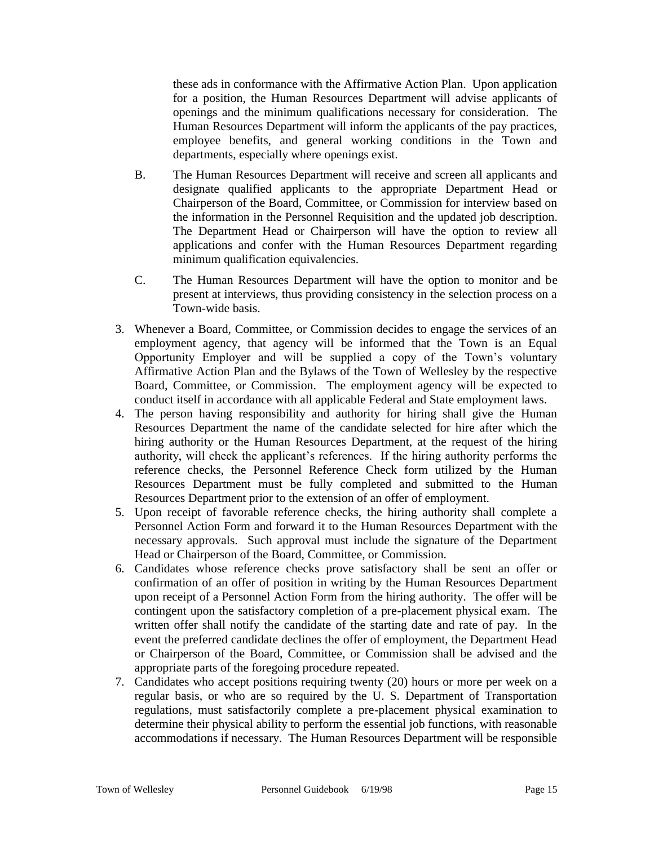these ads in conformance with the Affirmative Action Plan. Upon application for a position, the Human Resources Department will advise applicants of openings and the minimum qualifications necessary for consideration. The Human Resources Department will inform the applicants of the pay practices, employee benefits, and general working conditions in the Town and departments, especially where openings exist.

- B. The Human Resources Department will receive and screen all applicants and designate qualified applicants to the appropriate Department Head or Chairperson of the Board, Committee, or Commission for interview based on the information in the Personnel Requisition and the updated job description. The Department Head or Chairperson will have the option to review all applications and confer with the Human Resources Department regarding minimum qualification equivalencies.
- C. The Human Resources Department will have the option to monitor and be present at interviews, thus providing consistency in the selection process on a Town-wide basis.
- 3. Whenever a Board, Committee, or Commission decides to engage the services of an employment agency, that agency will be informed that the Town is an Equal Opportunity Employer and will be supplied a copy of the Town's voluntary Affirmative Action Plan and the Bylaws of the Town of Wellesley by the respective Board, Committee, or Commission. The employment agency will be expected to conduct itself in accordance with all applicable Federal and State employment laws.
- 4. The person having responsibility and authority for hiring shall give the Human Resources Department the name of the candidate selected for hire after which the hiring authority or the Human Resources Department, at the request of the hiring authority, will check the applicant's references. If the hiring authority performs the reference checks, the Personnel Reference Check form utilized by the Human Resources Department must be fully completed and submitted to the Human Resources Department prior to the extension of an offer of employment.
- 5. Upon receipt of favorable reference checks, the hiring authority shall complete a Personnel Action Form and forward it to the Human Resources Department with the necessary approvals. Such approval must include the signature of the Department Head or Chairperson of the Board, Committee, or Commission.
- 6. Candidates whose reference checks prove satisfactory shall be sent an offer or confirmation of an offer of position in writing by the Human Resources Department upon receipt of a Personnel Action Form from the hiring authority. The offer will be contingent upon the satisfactory completion of a pre-placement physical exam. The written offer shall notify the candidate of the starting date and rate of pay. In the event the preferred candidate declines the offer of employment, the Department Head or Chairperson of the Board, Committee, or Commission shall be advised and the appropriate parts of the foregoing procedure repeated.
- 7. Candidates who accept positions requiring twenty (20) hours or more per week on a regular basis, or who are so required by the U. S. Department of Transportation regulations, must satisfactorily complete a pre-placement physical examination to determine their physical ability to perform the essential job functions, with reasonable accommodations if necessary. The Human Resources Department will be responsible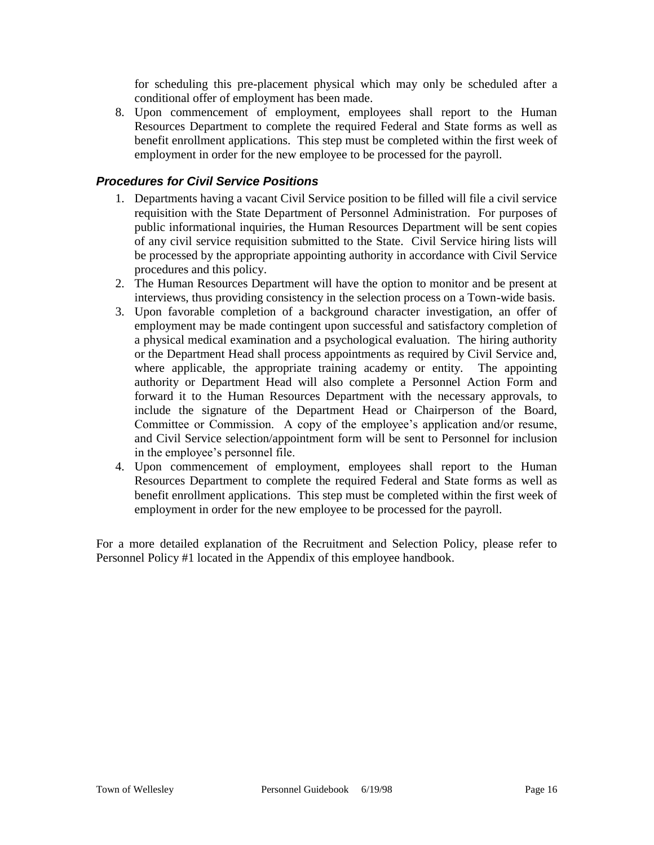for scheduling this pre-placement physical which may only be scheduled after a conditional offer of employment has been made.

8. Upon commencement of employment, employees shall report to the Human Resources Department to complete the required Federal and State forms as well as benefit enrollment applications. This step must be completed within the first week of employment in order for the new employee to be processed for the payroll.

#### *Procedures for Civil Service Positions*

- 1. Departments having a vacant Civil Service position to be filled will file a civil service requisition with the State Department of Personnel Administration. For purposes of public informational inquiries, the Human Resources Department will be sent copies of any civil service requisition submitted to the State. Civil Service hiring lists will be processed by the appropriate appointing authority in accordance with Civil Service procedures and this policy.
- 2. The Human Resources Department will have the option to monitor and be present at interviews, thus providing consistency in the selection process on a Town-wide basis.
- 3. Upon favorable completion of a background character investigation, an offer of employment may be made contingent upon successful and satisfactory completion of a physical medical examination and a psychological evaluation. The hiring authority or the Department Head shall process appointments as required by Civil Service and, where applicable, the appropriate training academy or entity. The appointing authority or Department Head will also complete a Personnel Action Form and forward it to the Human Resources Department with the necessary approvals, to include the signature of the Department Head or Chairperson of the Board, Committee or Commission. A copy of the employee's application and/or resume, and Civil Service selection/appointment form will be sent to Personnel for inclusion in the employee's personnel file.
- 4. Upon commencement of employment, employees shall report to the Human Resources Department to complete the required Federal and State forms as well as benefit enrollment applications. This step must be completed within the first week of employment in order for the new employee to be processed for the payroll.

For a more detailed explanation of the Recruitment and Selection Policy, please refer to Personnel Policy #1 located in the Appendix of this employee handbook.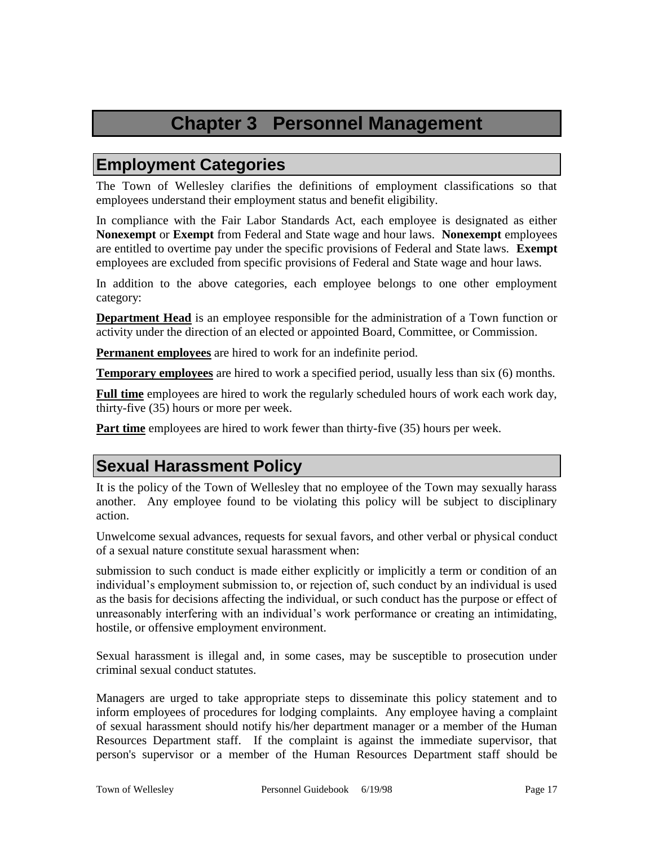# **Chapter 3 Personnel Management**

### **Employment Categories**

The Town of Wellesley clarifies the definitions of employment classifications so that employees understand their employment status and benefit eligibility.

In compliance with the Fair Labor Standards Act, each employee is designated as either **Nonexempt** or **Exempt** from Federal and State wage and hour laws. **Nonexempt** employees are entitled to overtime pay under the specific provisions of Federal and State laws. **Exempt** employees are excluded from specific provisions of Federal and State wage and hour laws.

In addition to the above categories, each employee belongs to one other employment category:

**Department Head** is an employee responsible for the administration of a Town function or activity under the direction of an elected or appointed Board, Committee, or Commission.

**Permanent employees** are hired to work for an indefinite period.

**Temporary employees** are hired to work a specified period, usually less than six (6) months.

**Full time** employees are hired to work the regularly scheduled hours of work each work day, thirty-five (35) hours or more per week.

**Part time** employees are hired to work fewer than thirty-five (35) hours per week.

# **Sexual Harassment Policy**

It is the policy of the Town of Wellesley that no employee of the Town may sexually harass another. Any employee found to be violating this policy will be subject to disciplinary action.

Unwelcome sexual advances, requests for sexual favors, and other verbal or physical conduct of a sexual nature constitute sexual harassment when:

submission to such conduct is made either explicitly or implicitly a term or condition of an individual's employment submission to, or rejection of, such conduct by an individual is used as the basis for decisions affecting the individual, or such conduct has the purpose or effect of unreasonably interfering with an individual's work performance or creating an intimidating, hostile, or offensive employment environment.

Sexual harassment is illegal and, in some cases, may be susceptible to prosecution under criminal sexual conduct statutes.

Managers are urged to take appropriate steps to disseminate this policy statement and to inform employees of procedures for lodging complaints. Any employee having a complaint of sexual harassment should notify his/her department manager or a member of the Human Resources Department staff. If the complaint is against the immediate supervisor, that person's supervisor or a member of the Human Resources Department staff should be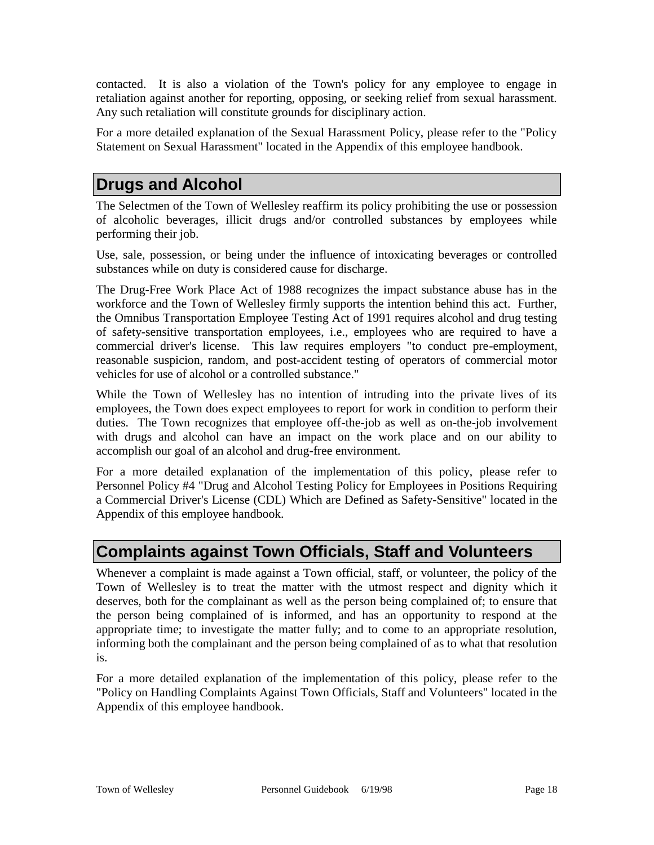contacted. It is also a violation of the Town's policy for any employee to engage in retaliation against another for reporting, opposing, or seeking relief from sexual harassment. Any such retaliation will constitute grounds for disciplinary action.

For a more detailed explanation of the Sexual Harassment Policy, please refer to the "Policy Statement on Sexual Harassment" located in the Appendix of this employee handbook.

# **Drugs and Alcohol**

The Selectmen of the Town of Wellesley reaffirm its policy prohibiting the use or possession of alcoholic beverages, illicit drugs and/or controlled substances by employees while performing their job.

Use, sale, possession, or being under the influence of intoxicating beverages or controlled substances while on duty is considered cause for discharge.

The Drug-Free Work Place Act of 1988 recognizes the impact substance abuse has in the workforce and the Town of Wellesley firmly supports the intention behind this act. Further, the Omnibus Transportation Employee Testing Act of 1991 requires alcohol and drug testing of safety-sensitive transportation employees, i.e., employees who are required to have a commercial driver's license. This law requires employers "to conduct pre-employment, reasonable suspicion, random, and post-accident testing of operators of commercial motor vehicles for use of alcohol or a controlled substance."

While the Town of Wellesley has no intention of intruding into the private lives of its employees, the Town does expect employees to report for work in condition to perform their duties. The Town recognizes that employee off-the-job as well as on-the-job involvement with drugs and alcohol can have an impact on the work place and on our ability to accomplish our goal of an alcohol and drug-free environment.

For a more detailed explanation of the implementation of this policy, please refer to Personnel Policy #4 "Drug and Alcohol Testing Policy for Employees in Positions Requiring a Commercial Driver's License (CDL) Which are Defined as Safety-Sensitive" located in the Appendix of this employee handbook.

### **Complaints against Town Officials, Staff and Volunteers**

Whenever a complaint is made against a Town official, staff, or volunteer, the policy of the Town of Wellesley is to treat the matter with the utmost respect and dignity which it deserves, both for the complainant as well as the person being complained of; to ensure that the person being complained of is informed, and has an opportunity to respond at the appropriate time; to investigate the matter fully; and to come to an appropriate resolution, informing both the complainant and the person being complained of as to what that resolution is.

For a more detailed explanation of the implementation of this policy, please refer to the "Policy on Handling Complaints Against Town Officials, Staff and Volunteers" located in the Appendix of this employee handbook.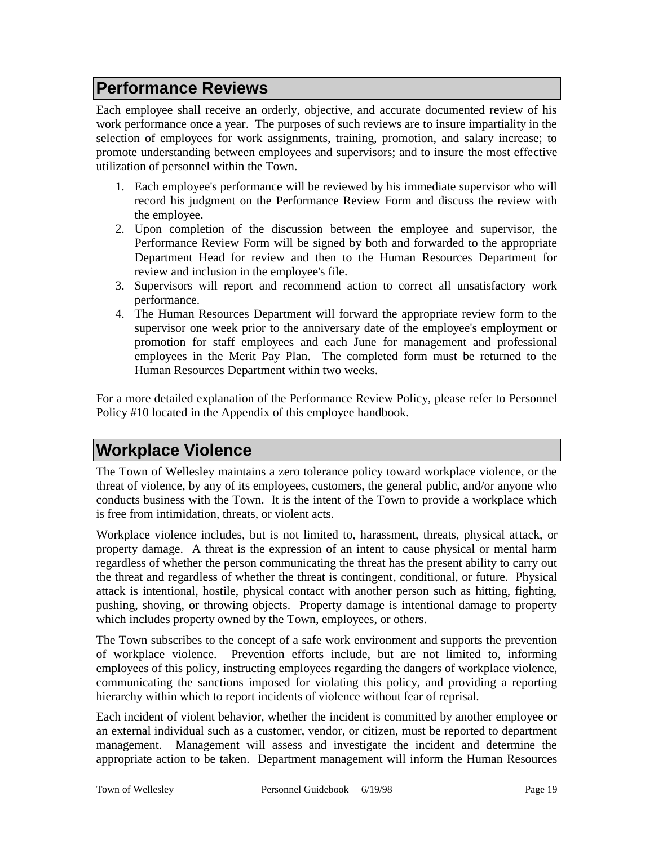# **Performance Reviews**

Each employee shall receive an orderly, objective, and accurate documented review of his work performance once a year. The purposes of such reviews are to insure impartiality in the selection of employees for work assignments, training, promotion, and salary increase; to promote understanding between employees and supervisors; and to insure the most effective utilization of personnel within the Town.

- 1. Each employee's performance will be reviewed by his immediate supervisor who will record his judgment on the Performance Review Form and discuss the review with the employee.
- 2. Upon completion of the discussion between the employee and supervisor, the Performance Review Form will be signed by both and forwarded to the appropriate Department Head for review and then to the Human Resources Department for review and inclusion in the employee's file.
- 3. Supervisors will report and recommend action to correct all unsatisfactory work performance.
- 4. The Human Resources Department will forward the appropriate review form to the supervisor one week prior to the anniversary date of the employee's employment or promotion for staff employees and each June for management and professional employees in the Merit Pay Plan. The completed form must be returned to the Human Resources Department within two weeks.

For a more detailed explanation of the Performance Review Policy, please refer to Personnel Policy #10 located in the Appendix of this employee handbook.

# **Workplace Violence**

The Town of Wellesley maintains a zero tolerance policy toward workplace violence, or the threat of violence, by any of its employees, customers, the general public, and/or anyone who conducts business with the Town. It is the intent of the Town to provide a workplace which is free from intimidation, threats, or violent acts.

Workplace violence includes, but is not limited to, harassment, threats, physical attack, or property damage. A threat is the expression of an intent to cause physical or mental harm regardless of whether the person communicating the threat has the present ability to carry out the threat and regardless of whether the threat is contingent, conditional, or future. Physical attack is intentional, hostile, physical contact with another person such as hitting, fighting, pushing, shoving, or throwing objects. Property damage is intentional damage to property which includes property owned by the Town, employees, or others.

The Town subscribes to the concept of a safe work environment and supports the prevention of workplace violence. Prevention efforts include, but are not limited to, informing employees of this policy, instructing employees regarding the dangers of workplace violence, communicating the sanctions imposed for violating this policy, and providing a reporting hierarchy within which to report incidents of violence without fear of reprisal.

Each incident of violent behavior, whether the incident is committed by another employee or an external individual such as a customer, vendor, or citizen, must be reported to department management. Management will assess and investigate the incident and determine the appropriate action to be taken. Department management will inform the Human Resources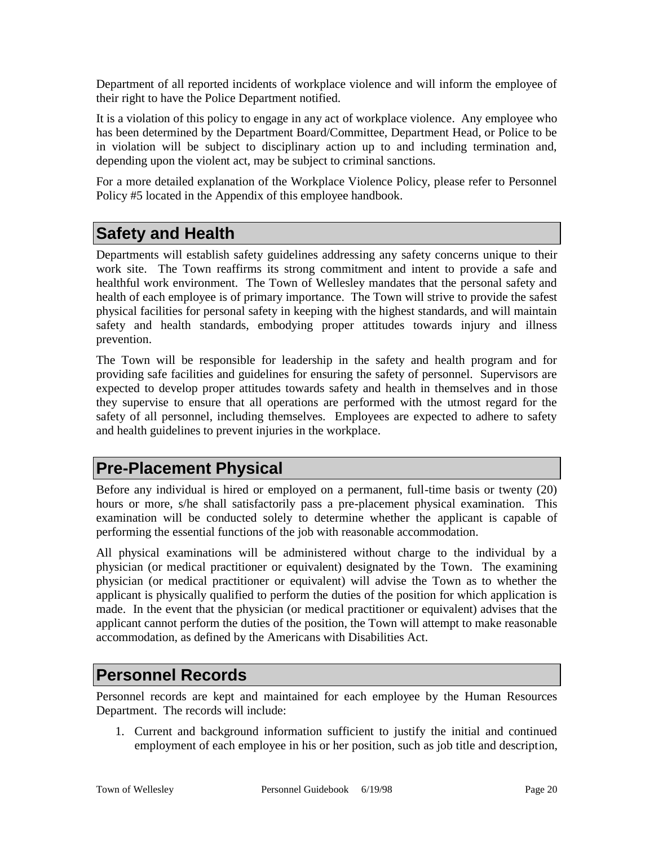Department of all reported incidents of workplace violence and will inform the employee of their right to have the Police Department notified.

It is a violation of this policy to engage in any act of workplace violence. Any employee who has been determined by the Department Board/Committee, Department Head, or Police to be in violation will be subject to disciplinary action up to and including termination and, depending upon the violent act, may be subject to criminal sanctions.

For a more detailed explanation of the Workplace Violence Policy, please refer to Personnel Policy #5 located in the Appendix of this employee handbook.

# **Safety and Health**

Departments will establish safety guidelines addressing any safety concerns unique to their work site. The Town reaffirms its strong commitment and intent to provide a safe and healthful work environment. The Town of Wellesley mandates that the personal safety and health of each employee is of primary importance. The Town will strive to provide the safest physical facilities for personal safety in keeping with the highest standards, and will maintain safety and health standards, embodying proper attitudes towards injury and illness prevention.

The Town will be responsible for leadership in the safety and health program and for providing safe facilities and guidelines for ensuring the safety of personnel. Supervisors are expected to develop proper attitudes towards safety and health in themselves and in those they supervise to ensure that all operations are performed with the utmost regard for the safety of all personnel, including themselves. Employees are expected to adhere to safety and health guidelines to prevent injuries in the workplace.

# **Pre-Placement Physical**

Before any individual is hired or employed on a permanent, full-time basis or twenty (20) hours or more, s/he shall satisfactorily pass a pre-placement physical examination. This examination will be conducted solely to determine whether the applicant is capable of performing the essential functions of the job with reasonable accommodation.

All physical examinations will be administered without charge to the individual by a physician (or medical practitioner or equivalent) designated by the Town. The examining physician (or medical practitioner or equivalent) will advise the Town as to whether the applicant is physically qualified to perform the duties of the position for which application is made. In the event that the physician (or medical practitioner or equivalent) advises that the applicant cannot perform the duties of the position, the Town will attempt to make reasonable accommodation, as defined by the Americans with Disabilities Act.

### **Personnel Records**

Personnel records are kept and maintained for each employee by the Human Resources Department. The records will include:

1. Current and background information sufficient to justify the initial and continued employment of each employee in his or her position, such as job title and description,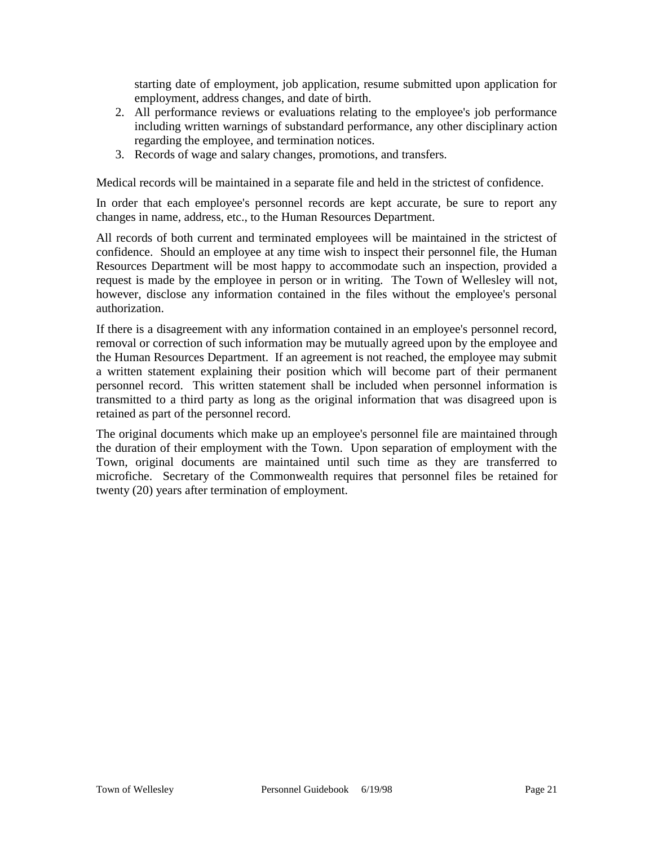starting date of employment, job application, resume submitted upon application for employment, address changes, and date of birth.

- 2. All performance reviews or evaluations relating to the employee's job performance including written warnings of substandard performance, any other disciplinary action regarding the employee, and termination notices.
- 3. Records of wage and salary changes, promotions, and transfers.

Medical records will be maintained in a separate file and held in the strictest of confidence.

In order that each employee's personnel records are kept accurate, be sure to report any changes in name, address, etc., to the Human Resources Department.

All records of both current and terminated employees will be maintained in the strictest of confidence. Should an employee at any time wish to inspect their personnel file, the Human Resources Department will be most happy to accommodate such an inspection, provided a request is made by the employee in person or in writing. The Town of Wellesley will not, however, disclose any information contained in the files without the employee's personal authorization.

If there is a disagreement with any information contained in an employee's personnel record, removal or correction of such information may be mutually agreed upon by the employee and the Human Resources Department. If an agreement is not reached, the employee may submit a written statement explaining their position which will become part of their permanent personnel record. This written statement shall be included when personnel information is transmitted to a third party as long as the original information that was disagreed upon is retained as part of the personnel record.

The original documents which make up an employee's personnel file are maintained through the duration of their employment with the Town. Upon separation of employment with the Town, original documents are maintained until such time as they are transferred to microfiche. Secretary of the Commonwealth requires that personnel files be retained for twenty (20) years after termination of employment.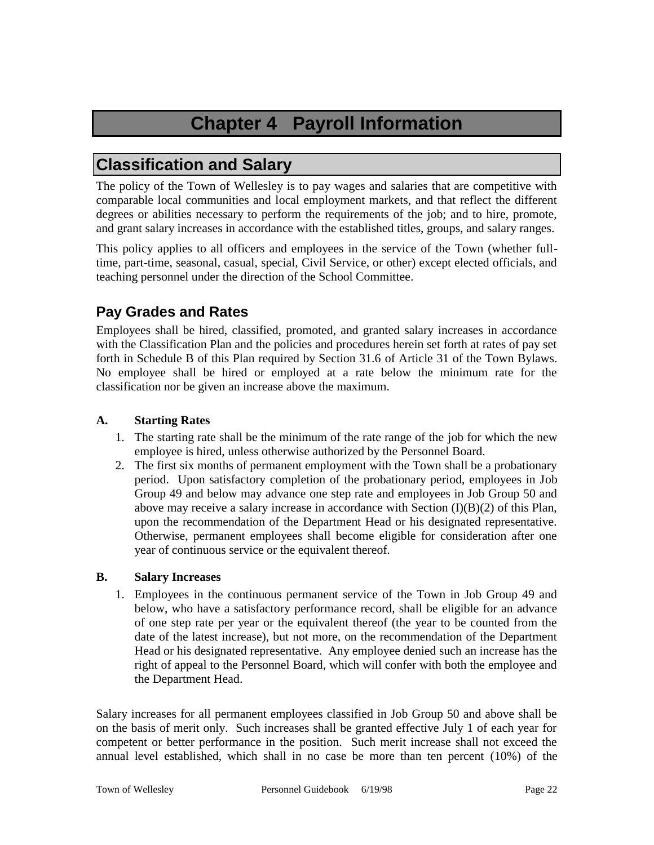# **Chapter 4 Payroll Information**

# **Classification and Salary**

The policy of the Town of Wellesley is to pay wages and salaries that are competitive with comparable local communities and local employment markets, and that reflect the different degrees or abilities necessary to perform the requirements of the job; and to hire, promote, and grant salary increases in accordance with the established titles, groups, and salary ranges.

This policy applies to all officers and employees in the service of the Town (whether fulltime, part-time, seasonal, casual, special, Civil Service, or other) except elected officials, and teaching personnel under the direction of the School Committee.

### **Pay Grades and Rates**

Employees shall be hired, classified, promoted, and granted salary increases in accordance with the Classification Plan and the policies and procedures herein set forth at rates of pay set forth in Schedule B of this Plan required by Section 31.6 of Article 31 of the Town Bylaws. No employee shall be hired or employed at a rate below the minimum rate for the classification nor be given an increase above the maximum.

#### **A. Starting Rates**

- 1. The starting rate shall be the minimum of the rate range of the job for which the new employee is hired, unless otherwise authorized by the Personnel Board.
- 2. The first six months of permanent employment with the Town shall be a probationary period. Upon satisfactory completion of the probationary period, employees in Job Group 49 and below may advance one step rate and employees in Job Group 50 and above may receive a salary increase in accordance with Section  $(I)(B)(2)$  of this Plan, upon the recommendation of the Department Head or his designated representative. Otherwise, permanent employees shall become eligible for consideration after one year of continuous service or the equivalent thereof.

#### **B. Salary Increases**

1. Employees in the continuous permanent service of the Town in Job Group 49 and below, who have a satisfactory performance record, shall be eligible for an advance of one step rate per year or the equivalent thereof (the year to be counted from the date of the latest increase), but not more, on the recommendation of the Department Head or his designated representative. Any employee denied such an increase has the right of appeal to the Personnel Board, which will confer with both the employee and the Department Head.

Salary increases for all permanent employees classified in Job Group 50 and above shall be on the basis of merit only. Such increases shall be granted effective July 1 of each year for competent or better performance in the position. Such merit increase shall not exceed the annual level established, which shall in no case be more than ten percent (10%) of the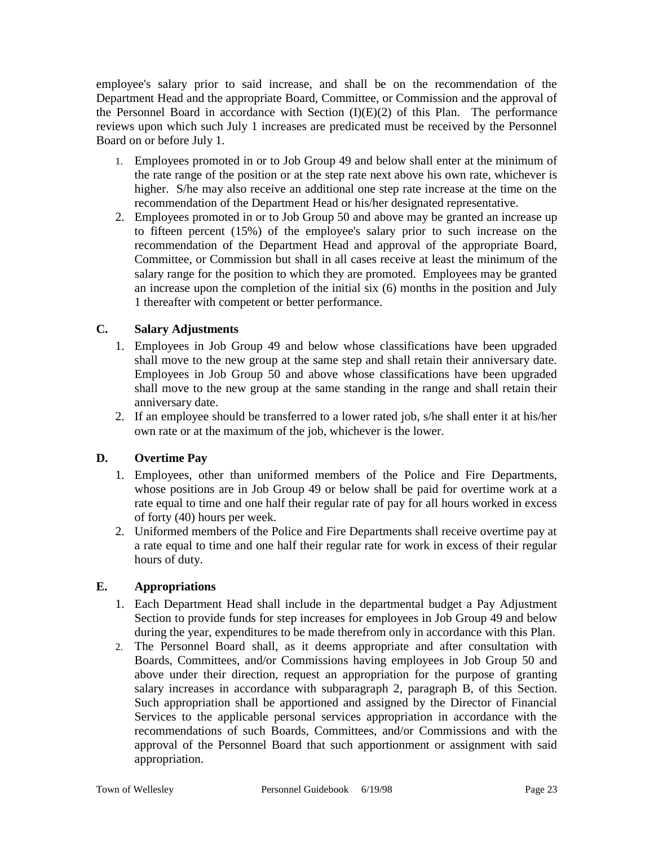employee's salary prior to said increase, and shall be on the recommendation of the Department Head and the appropriate Board, Committee, or Commission and the approval of the Personnel Board in accordance with Section (I)(E)(2) of this Plan. The performance reviews upon which such July 1 increases are predicated must be received by the Personnel Board on or before July 1.

- 1. Employees promoted in or to Job Group 49 and below shall enter at the minimum of the rate range of the position or at the step rate next above his own rate, whichever is higher. S/he may also receive an additional one step rate increase at the time on the recommendation of the Department Head or his/her designated representative.
- 2. Employees promoted in or to Job Group 50 and above may be granted an increase up to fifteen percent (15%) of the employee's salary prior to such increase on the recommendation of the Department Head and approval of the appropriate Board, Committee, or Commission but shall in all cases receive at least the minimum of the salary range for the position to which they are promoted. Employees may be granted an increase upon the completion of the initial six (6) months in the position and July 1 thereafter with competent or better performance.

#### **C. Salary Adjustments**

- 1. Employees in Job Group 49 and below whose classifications have been upgraded shall move to the new group at the same step and shall retain their anniversary date. Employees in Job Group 50 and above whose classifications have been upgraded shall move to the new group at the same standing in the range and shall retain their anniversary date.
- 2. If an employee should be transferred to a lower rated job, s/he shall enter it at his/her own rate or at the maximum of the job, whichever is the lower.

#### **D. Overtime Pay**

- 1. Employees, other than uniformed members of the Police and Fire Departments, whose positions are in Job Group 49 or below shall be paid for overtime work at a rate equal to time and one half their regular rate of pay for all hours worked in excess of forty (40) hours per week.
- 2. Uniformed members of the Police and Fire Departments shall receive overtime pay at a rate equal to time and one half their regular rate for work in excess of their regular hours of duty.

#### **E. Appropriations**

- 1. Each Department Head shall include in the departmental budget a Pay Adjustment Section to provide funds for step increases for employees in Job Group 49 and below during the year, expenditures to be made therefrom only in accordance with this Plan.
- 2. The Personnel Board shall, as it deems appropriate and after consultation with Boards, Committees, and/or Commissions having employees in Job Group 50 and above under their direction, request an appropriation for the purpose of granting salary increases in accordance with subparagraph 2, paragraph B, of this Section. Such appropriation shall be apportioned and assigned by the Director of Financial Services to the applicable personal services appropriation in accordance with the recommendations of such Boards, Committees, and/or Commissions and with the approval of the Personnel Board that such apportionment or assignment with said appropriation.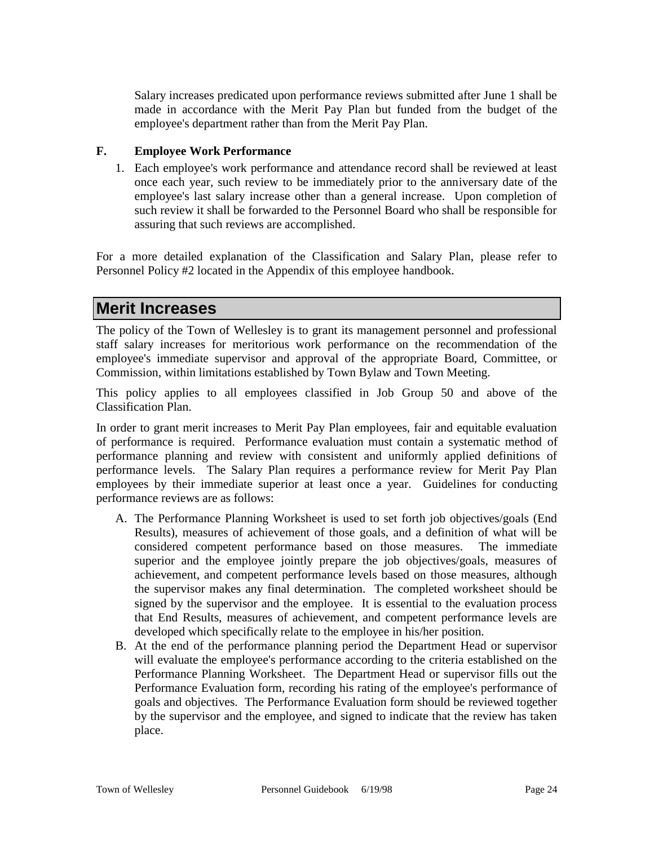Salary increases predicated upon performance reviews submitted after June 1 shall be made in accordance with the Merit Pay Plan but funded from the budget of the employee's department rather than from the Merit Pay Plan.

#### **F. Employee Work Performance**

1. Each employee's work performance and attendance record shall be reviewed at least once each year, such review to be immediately prior to the anniversary date of the employee's last salary increase other than a general increase. Upon completion of such review it shall be forwarded to the Personnel Board who shall be responsible for assuring that such reviews are accomplished.

For a more detailed explanation of the Classification and Salary Plan, please refer to Personnel Policy #2 located in the Appendix of this employee handbook.

#### **Merit Increases**

The policy of the Town of Wellesley is to grant its management personnel and professional staff salary increases for meritorious work performance on the recommendation of the employee's immediate supervisor and approval of the appropriate Board, Committee, or Commission, within limitations established by Town Bylaw and Town Meeting.

This policy applies to all employees classified in Job Group 50 and above of the Classification Plan.

In order to grant merit increases to Merit Pay Plan employees, fair and equitable evaluation of performance is required. Performance evaluation must contain a systematic method of performance planning and review with consistent and uniformly applied definitions of performance levels. The Salary Plan requires a performance review for Merit Pay Plan employees by their immediate superior at least once a year. Guidelines for conducting performance reviews are as follows:

- A. The Performance Planning Worksheet is used to set forth job objectives/goals (End Results), measures of achievement of those goals, and a definition of what will be considered competent performance based on those measures. The immediate superior and the employee jointly prepare the job objectives/goals, measures of achievement, and competent performance levels based on those measures, although the supervisor makes any final determination. The completed worksheet should be signed by the supervisor and the employee. It is essential to the evaluation process that End Results, measures of achievement, and competent performance levels are developed which specifically relate to the employee in his/her position.
- B. At the end of the performance planning period the Department Head or supervisor will evaluate the employee's performance according to the criteria established on the Performance Planning Worksheet. The Department Head or supervisor fills out the Performance Evaluation form, recording his rating of the employee's performance of goals and objectives. The Performance Evaluation form should be reviewed together by the supervisor and the employee, and signed to indicate that the review has taken place.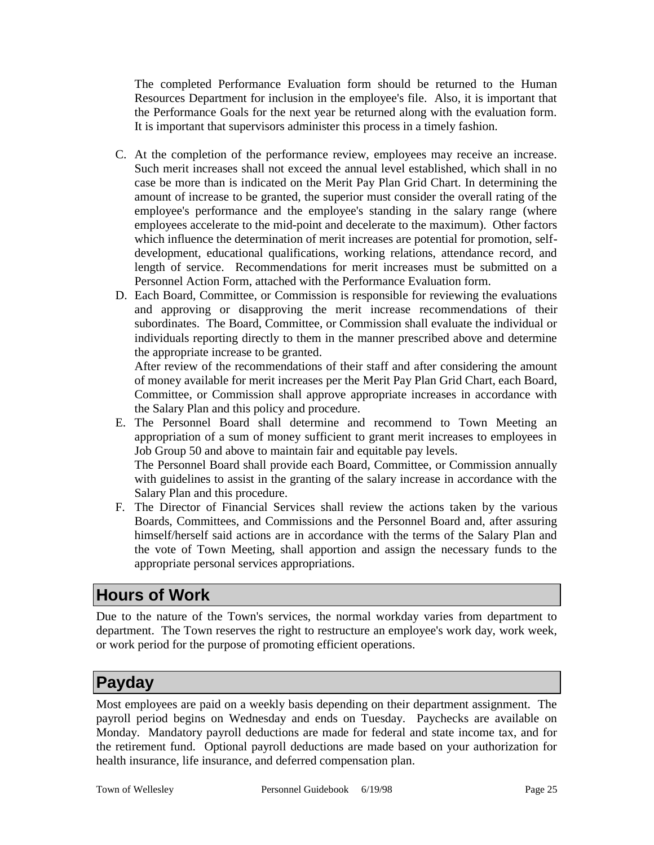The completed Performance Evaluation form should be returned to the Human Resources Department for inclusion in the employee's file. Also, it is important that the Performance Goals for the next year be returned along with the evaluation form. It is important that supervisors administer this process in a timely fashion.

- C. At the completion of the performance review, employees may receive an increase. Such merit increases shall not exceed the annual level established, which shall in no case be more than is indicated on the Merit Pay Plan Grid Chart. In determining the amount of increase to be granted, the superior must consider the overall rating of the employee's performance and the employee's standing in the salary range (where employees accelerate to the mid-point and decelerate to the maximum). Other factors which influence the determination of merit increases are potential for promotion, selfdevelopment, educational qualifications, working relations, attendance record, and length of service. Recommendations for merit increases must be submitted on a Personnel Action Form, attached with the Performance Evaluation form.
- D. Each Board, Committee, or Commission is responsible for reviewing the evaluations and approving or disapproving the merit increase recommendations of their subordinates. The Board, Committee, or Commission shall evaluate the individual or individuals reporting directly to them in the manner prescribed above and determine the appropriate increase to be granted.

After review of the recommendations of their staff and after considering the amount of money available for merit increases per the Merit Pay Plan Grid Chart, each Board, Committee, or Commission shall approve appropriate increases in accordance with the Salary Plan and this policy and procedure.

E. The Personnel Board shall determine and recommend to Town Meeting an appropriation of a sum of money sufficient to grant merit increases to employees in Job Group 50 and above to maintain fair and equitable pay levels. The Personnel Board shall provide each Board, Committee, or Commission annually

with guidelines to assist in the granting of the salary increase in accordance with the Salary Plan and this procedure.

F. The Director of Financial Services shall review the actions taken by the various Boards, Committees, and Commissions and the Personnel Board and, after assuring himself/herself said actions are in accordance with the terms of the Salary Plan and the vote of Town Meeting, shall apportion and assign the necessary funds to the appropriate personal services appropriations.

## **Hours of Work**

Due to the nature of the Town's services, the normal workday varies from department to department. The Town reserves the right to restructure an employee's work day, work week, or work period for the purpose of promoting efficient operations.

# **Payday**

Most employees are paid on a weekly basis depending on their department assignment. The payroll period begins on Wednesday and ends on Tuesday. Paychecks are available on Monday. Mandatory payroll deductions are made for federal and state income tax, and for the retirement fund. Optional payroll deductions are made based on your authorization for health insurance, life insurance, and deferred compensation plan.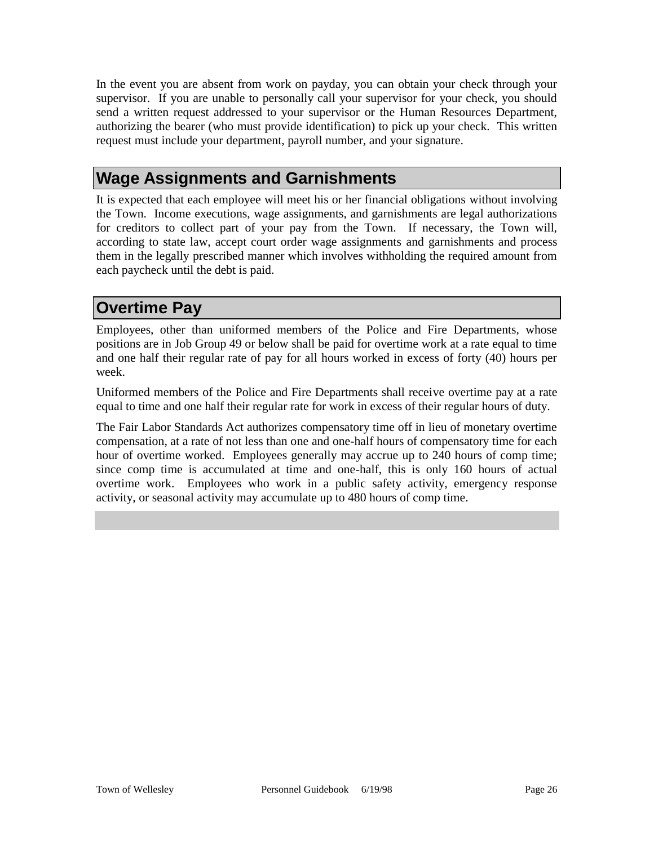In the event you are absent from work on payday, you can obtain your check through your supervisor. If you are unable to personally call your supervisor for your check, you should send a written request addressed to your supervisor or the Human Resources Department, authorizing the bearer (who must provide identification) to pick up your check. This written request must include your department, payroll number, and your signature.

## **Wage Assignments and Garnishments**

It is expected that each employee will meet his or her financial obligations without involving the Town. Income executions, wage assignments, and garnishments are legal authorizations for creditors to collect part of your pay from the Town. If necessary, the Town will, according to state law, accept court order wage assignments and garnishments and process them in the legally prescribed manner which involves withholding the required amount from each paycheck until the debt is paid.

## **Overtime Pay**

Employees, other than uniformed members of the Police and Fire Departments, whose positions are in Job Group 49 or below shall be paid for overtime work at a rate equal to time and one half their regular rate of pay for all hours worked in excess of forty (40) hours per week.

Uniformed members of the Police and Fire Departments shall receive overtime pay at a rate equal to time and one half their regular rate for work in excess of their regular hours of duty.

The Fair Labor Standards Act authorizes compensatory time off in lieu of monetary overtime compensation, at a rate of not less than one and one-half hours of compensatory time for each hour of overtime worked. Employees generally may accrue up to 240 hours of comp time; since comp time is accumulated at time and one-half, this is only 160 hours of actual overtime work. Employees who work in a public safety activity, emergency response activity, or seasonal activity may accumulate up to 480 hours of comp time.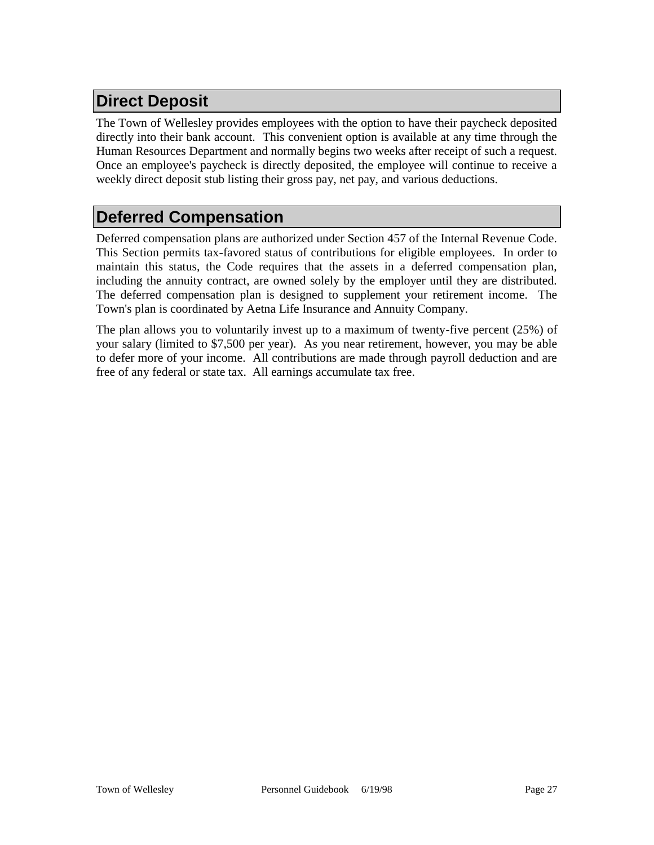# **Direct Deposit**

The Town of Wellesley provides employees with the option to have their paycheck deposited directly into their bank account. This convenient option is available at any time through the Human Resources Department and normally begins two weeks after receipt of such a request. Once an employee's paycheck is directly deposited, the employee will continue to receive a weekly direct deposit stub listing their gross pay, net pay, and various deductions.

## **Deferred Compensation**

Deferred compensation plans are authorized under Section 457 of the Internal Revenue Code. This Section permits tax-favored status of contributions for eligible employees. In order to maintain this status, the Code requires that the assets in a deferred compensation plan, including the annuity contract, are owned solely by the employer until they are distributed. The deferred compensation plan is designed to supplement your retirement income. The Town's plan is coordinated by Aetna Life Insurance and Annuity Company.

The plan allows you to voluntarily invest up to a maximum of twenty-five percent (25%) of your salary (limited to \$7,500 per year). As you near retirement, however, you may be able to defer more of your income. All contributions are made through payroll deduction and are free of any federal or state tax. All earnings accumulate tax free.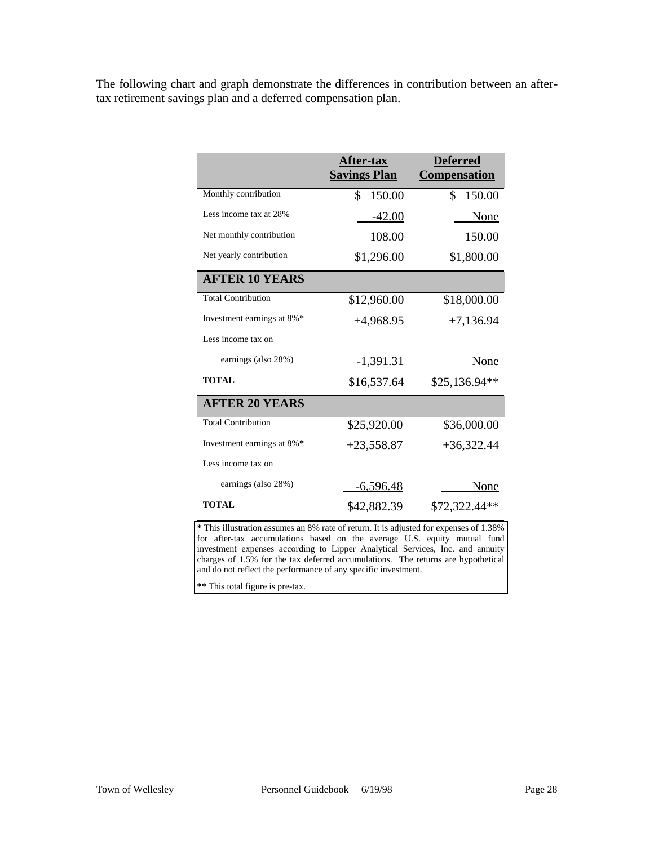The following chart and graph demonstrate the differences in contribution between an aftertax retirement savings plan and a deferred compensation plan.

|                                                                                                                                                                                                                                                                                                                                                                                                           | After-tax<br><b>Savings Plan</b> | <b>Deferred</b><br><b>Compensation</b> |  |  |
|-----------------------------------------------------------------------------------------------------------------------------------------------------------------------------------------------------------------------------------------------------------------------------------------------------------------------------------------------------------------------------------------------------------|----------------------------------|----------------------------------------|--|--|
| Monthly contribution                                                                                                                                                                                                                                                                                                                                                                                      | 150.00<br>\$                     | 150.00<br>\$.                          |  |  |
| Less income tax at 28%                                                                                                                                                                                                                                                                                                                                                                                    | $-42.00$                         | None                                   |  |  |
| Net monthly contribution                                                                                                                                                                                                                                                                                                                                                                                  | 108.00                           | 150.00                                 |  |  |
| Net yearly contribution                                                                                                                                                                                                                                                                                                                                                                                   | \$1,296.00                       | \$1,800.00                             |  |  |
| <b>AFTER 10 YEARS</b>                                                                                                                                                                                                                                                                                                                                                                                     |                                  |                                        |  |  |
| <b>Total Contribution</b>                                                                                                                                                                                                                                                                                                                                                                                 | \$12,960.00                      | \$18,000.00                            |  |  |
| Investment earnings at 8%*                                                                                                                                                                                                                                                                                                                                                                                | $+4,968.95$                      | $+7,136.94$                            |  |  |
| Less income tax on                                                                                                                                                                                                                                                                                                                                                                                        |                                  |                                        |  |  |
| earnings (also 28%)                                                                                                                                                                                                                                                                                                                                                                                       | $-1,391.31$                      | None                                   |  |  |
| <b>TOTAL</b>                                                                                                                                                                                                                                                                                                                                                                                              | \$16,537.64                      | $$25,136.94**$                         |  |  |
| <b>AFTER 20 YEARS</b>                                                                                                                                                                                                                                                                                                                                                                                     |                                  |                                        |  |  |
| <b>Total Contribution</b>                                                                                                                                                                                                                                                                                                                                                                                 | \$25,920.00                      | \$36,000.00                            |  |  |
| Investment earnings at 8%*                                                                                                                                                                                                                                                                                                                                                                                | $+23,558.87$                     | $+36,322.44$                           |  |  |
| Less income tax on                                                                                                                                                                                                                                                                                                                                                                                        |                                  |                                        |  |  |
| earnings (also 28%)                                                                                                                                                                                                                                                                                                                                                                                       | $-6,596.48$                      | None                                   |  |  |
| <b>TOTAL</b>                                                                                                                                                                                                                                                                                                                                                                                              | \$42,882.39                      | \$72,322.44**                          |  |  |
| * This illustration assumes an 8% rate of return. It is adjusted for expenses of 1.38%<br>for after-tax accumulations based on the average U.S. equity mutual fund<br>investment expenses according to Lipper Analytical Services, Inc. and annuity<br>charges of 1.5% for the tax deferred accumulations. The returns are hypothetical<br>and do not reflect the performance of any specific investment. |                                  |                                        |  |  |

**\*\*** This total figure is pre-tax.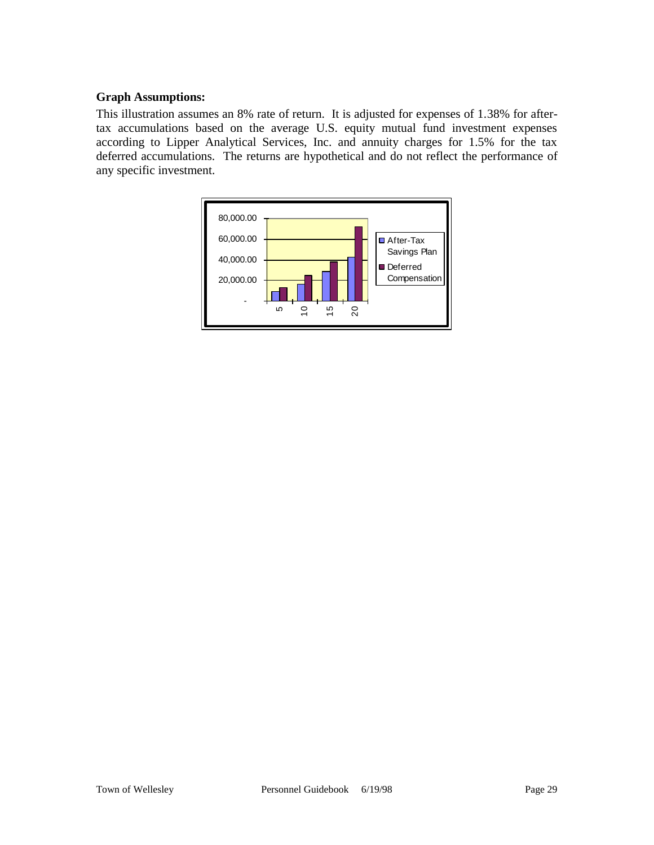#### **Graph Assumptions:**

This illustration assumes an 8% rate of return. It is adjusted for expenses of 1.38% for aftertax accumulations based on the average U.S. equity mutual fund investment expenses according to Lipper Analytical Services, Inc. and annuity charges for 1.5% for the tax deferred accumulations. The returns are hypothetical and do not reflect the performance of any specific investment.

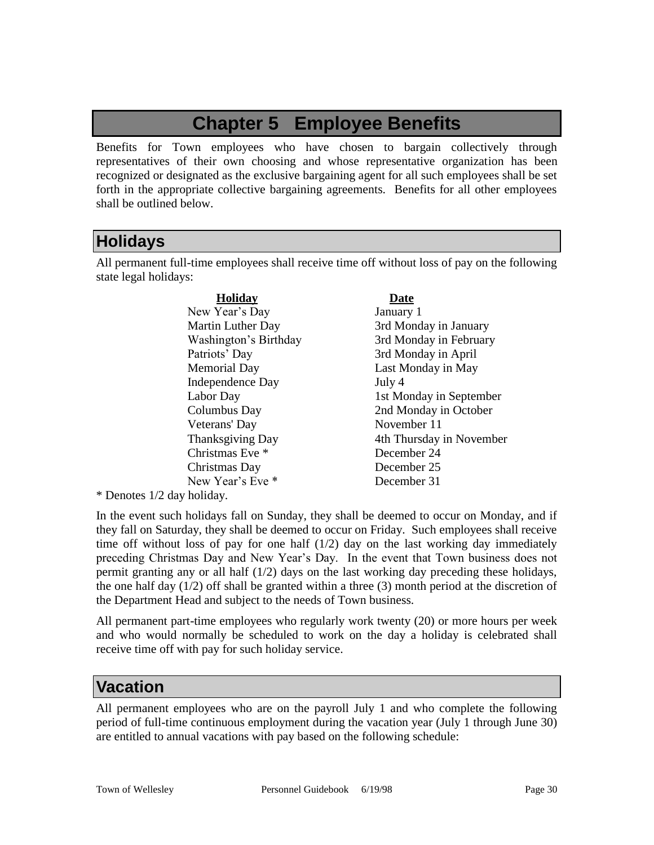# **Chapter 5 Employee Benefits**

Benefits for Town employees who have chosen to bargain collectively through representatives of their own choosing and whose representative organization has been recognized or designated as the exclusive bargaining agent for all such employees shall be set forth in the appropriate collective bargaining agreements. Benefits for all other employees shall be outlined below.

### **Holidays**

All permanent full-time employees shall receive time off without loss of pay on the following state legal holidays:

| <b>Holiday</b>             | Date                     |
|----------------------------|--------------------------|
| New Year's Day             | January 1                |
| Martin Luther Day          | 3rd Monday in January    |
| Washington's Birthday      | 3rd Monday in February   |
| Patriots' Day              | 3rd Monday in April      |
| <b>Memorial Day</b>        | Last Monday in May       |
| Independence Day           | July 4                   |
| Labor Day                  | 1st Monday in September  |
| Columbus Day               | 2nd Monday in October    |
| Veterans' Day              | November 11              |
| Thanksgiving Day           | 4th Thursday in November |
| Christmas Eve <sup>*</sup> | December 24              |
| Christmas Day              | December 25              |
| New Year's Eve *           | December 31              |
|                            |                          |

\* Denotes 1/2 day holiday.

In the event such holidays fall on Sunday, they shall be deemed to occur on Monday, and if they fall on Saturday, they shall be deemed to occur on Friday. Such employees shall receive time off without loss of pay for one half  $(1/2)$  day on the last working day immediately preceding Christmas Day and New Year's Day. In the event that Town business does not permit granting any or all half  $(1/2)$  days on the last working day preceding these holidays, the one half day  $(1/2)$  off shall be granted within a three  $(3)$  month period at the discretion of the Department Head and subject to the needs of Town business.

All permanent part-time employees who regularly work twenty (20) or more hours per week and who would normally be scheduled to work on the day a holiday is celebrated shall receive time off with pay for such holiday service.

### **Vacation**

All permanent employees who are on the payroll July 1 and who complete the following period of full-time continuous employment during the vacation year (July 1 through June 30) are entitled to annual vacations with pay based on the following schedule: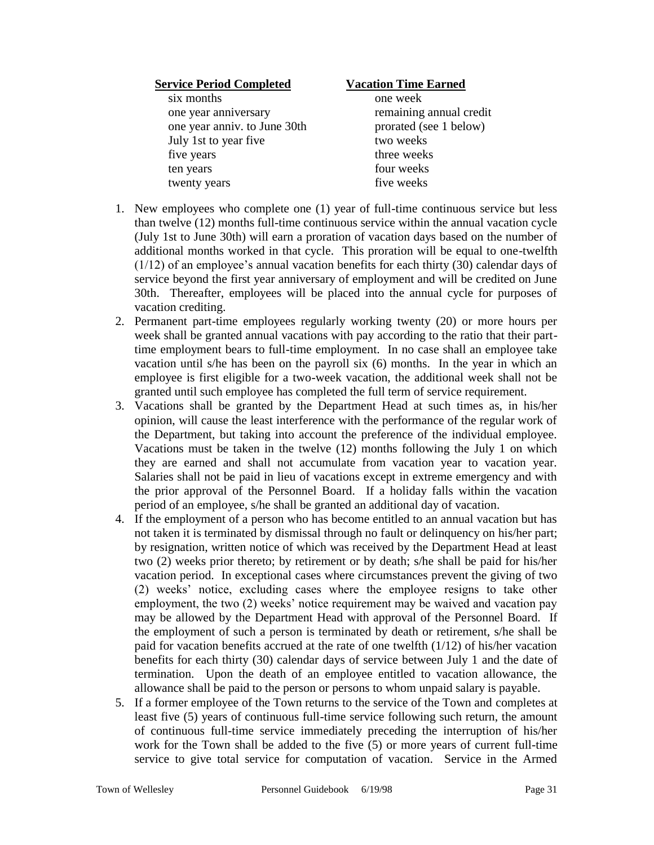| <b>Service Period Completed</b> | <b>Vacation Time Earned</b> |
|---------------------------------|-----------------------------|
| six months                      | one week                    |
| one year anniversary            | remaining annual credit     |
| one year anniv. to June 30th    | prorated (see 1 below)      |
| July 1st to year five           | two weeks                   |
| five years                      | three weeks                 |
| ten years                       | four weeks                  |
| twenty years                    | five weeks                  |
|                                 |                             |

- 1. New employees who complete one (1) year of full-time continuous service but less than twelve (12) months full-time continuous service within the annual vacation cycle (July 1st to June 30th) will earn a proration of vacation days based on the number of additional months worked in that cycle. This proration will be equal to one-twelfth (1/12) of an employee's annual vacation benefits for each thirty (30) calendar days of service beyond the first year anniversary of employment and will be credited on June 30th. Thereafter, employees will be placed into the annual cycle for purposes of vacation crediting.
- 2. Permanent part-time employees regularly working twenty (20) or more hours per week shall be granted annual vacations with pay according to the ratio that their parttime employment bears to full-time employment. In no case shall an employee take vacation until s/he has been on the payroll six (6) months. In the year in which an employee is first eligible for a two-week vacation, the additional week shall not be granted until such employee has completed the full term of service requirement.
- 3. Vacations shall be granted by the Department Head at such times as, in his/her opinion, will cause the least interference with the performance of the regular work of the Department, but taking into account the preference of the individual employee. Vacations must be taken in the twelve (12) months following the July 1 on which they are earned and shall not accumulate from vacation year to vacation year. Salaries shall not be paid in lieu of vacations except in extreme emergency and with the prior approval of the Personnel Board. If a holiday falls within the vacation period of an employee, s/he shall be granted an additional day of vacation.
- 4. If the employment of a person who has become entitled to an annual vacation but has not taken it is terminated by dismissal through no fault or delinquency on his/her part; by resignation, written notice of which was received by the Department Head at least two (2) weeks prior thereto; by retirement or by death; s/he shall be paid for his/her vacation period. In exceptional cases where circumstances prevent the giving of two (2) weeks' notice, excluding cases where the employee resigns to take other employment, the two (2) weeks' notice requirement may be waived and vacation pay may be allowed by the Department Head with approval of the Personnel Board. If the employment of such a person is terminated by death or retirement, s/he shall be paid for vacation benefits accrued at the rate of one twelfth (1/12) of his/her vacation benefits for each thirty (30) calendar days of service between July 1 and the date of termination. Upon the death of an employee entitled to vacation allowance, the allowance shall be paid to the person or persons to whom unpaid salary is payable.
- 5. If a former employee of the Town returns to the service of the Town and completes at least five (5) years of continuous full-time service following such return, the amount of continuous full-time service immediately preceding the interruption of his/her work for the Town shall be added to the five (5) or more years of current full-time service to give total service for computation of vacation. Service in the Armed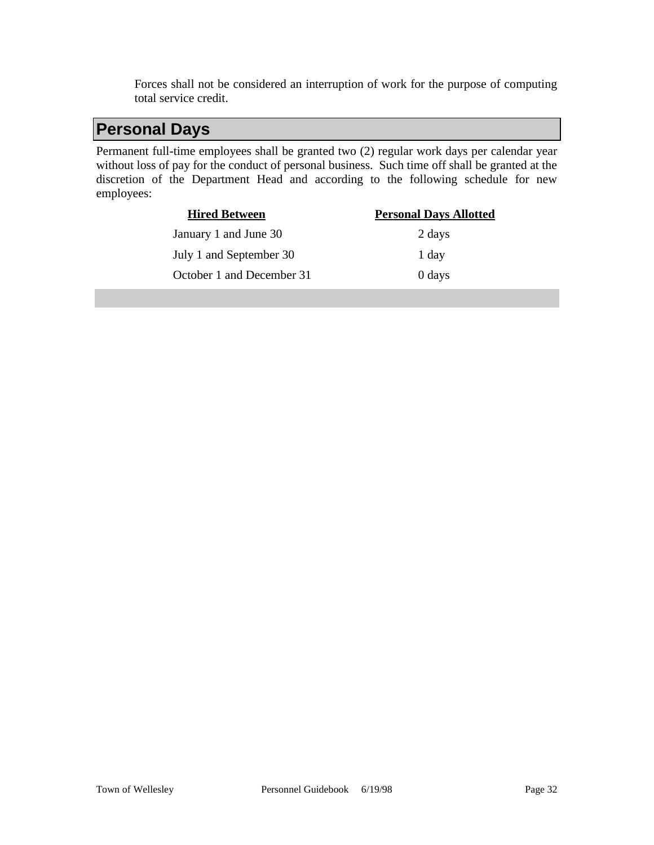Forces shall not be considered an interruption of work for the purpose of computing total service credit.

#### **Personal Days**

Permanent full-time employees shall be granted two (2) regular work days per calendar year without loss of pay for the conduct of personal business. Such time off shall be granted at the discretion of the Department Head and according to the following schedule for new employees:

| <b>Hired Between</b>      | <b>Personal Days Allotted</b> |
|---------------------------|-------------------------------|
| January 1 and June 30     | 2 days                        |
| July 1 and September 30   | 1 day                         |
| October 1 and December 31 | 0 days                        |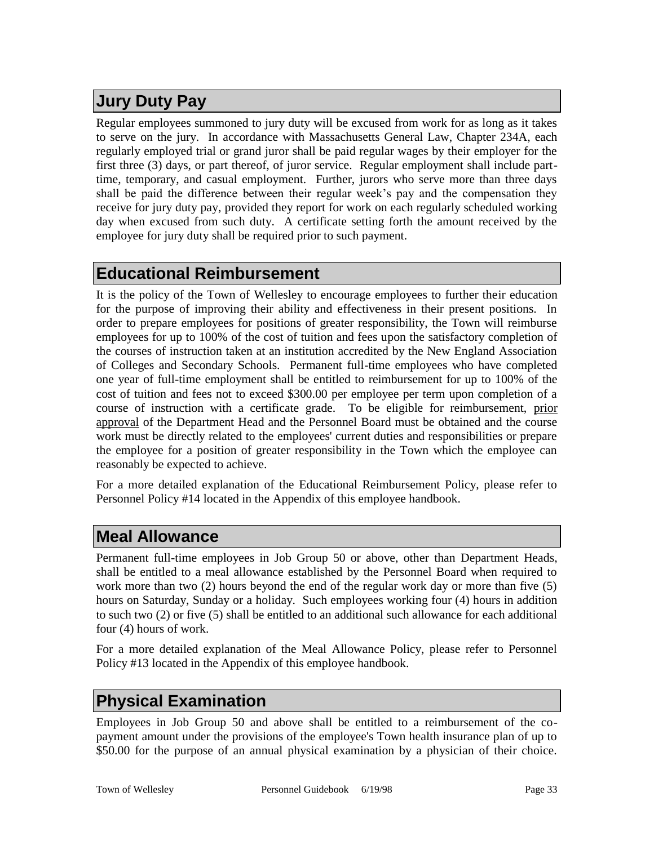# **Jury Duty Pay**

Regular employees summoned to jury duty will be excused from work for as long as it takes to serve on the jury. In accordance with Massachusetts General Law, Chapter 234A, each regularly employed trial or grand juror shall be paid regular wages by their employer for the first three (3) days, or part thereof, of juror service. Regular employment shall include parttime, temporary, and casual employment. Further, jurors who serve more than three days shall be paid the difference between their regular week's pay and the compensation they receive for jury duty pay, provided they report for work on each regularly scheduled working day when excused from such duty. A certificate setting forth the amount received by the employee for jury duty shall be required prior to such payment.

## **Educational Reimbursement**

It is the policy of the Town of Wellesley to encourage employees to further their education for the purpose of improving their ability and effectiveness in their present positions. In order to prepare employees for positions of greater responsibility, the Town will reimburse employees for up to 100% of the cost of tuition and fees upon the satisfactory completion of the courses of instruction taken at an institution accredited by the New England Association of Colleges and Secondary Schools. Permanent full-time employees who have completed one year of full-time employment shall be entitled to reimbursement for up to 100% of the cost of tuition and fees not to exceed \$300.00 per employee per term upon completion of a course of instruction with a certificate grade. To be eligible for reimbursement, prior approval of the Department Head and the Personnel Board must be obtained and the course work must be directly related to the employees' current duties and responsibilities or prepare the employee for a position of greater responsibility in the Town which the employee can reasonably be expected to achieve.

For a more detailed explanation of the Educational Reimbursement Policy, please refer to Personnel Policy #14 located in the Appendix of this employee handbook.

## **Meal Allowance**

Permanent full-time employees in Job Group 50 or above, other than Department Heads, shall be entitled to a meal allowance established by the Personnel Board when required to work more than two (2) hours beyond the end of the regular work day or more than five (5) hours on Saturday, Sunday or a holiday. Such employees working four (4) hours in addition to such two (2) or five (5) shall be entitled to an additional such allowance for each additional four (4) hours of work.

For a more detailed explanation of the Meal Allowance Policy, please refer to Personnel Policy #13 located in the Appendix of this employee handbook.

### **Physical Examination**

Employees in Job Group 50 and above shall be entitled to a reimbursement of the copayment amount under the provisions of the employee's Town health insurance plan of up to \$50.00 for the purpose of an annual physical examination by a physician of their choice.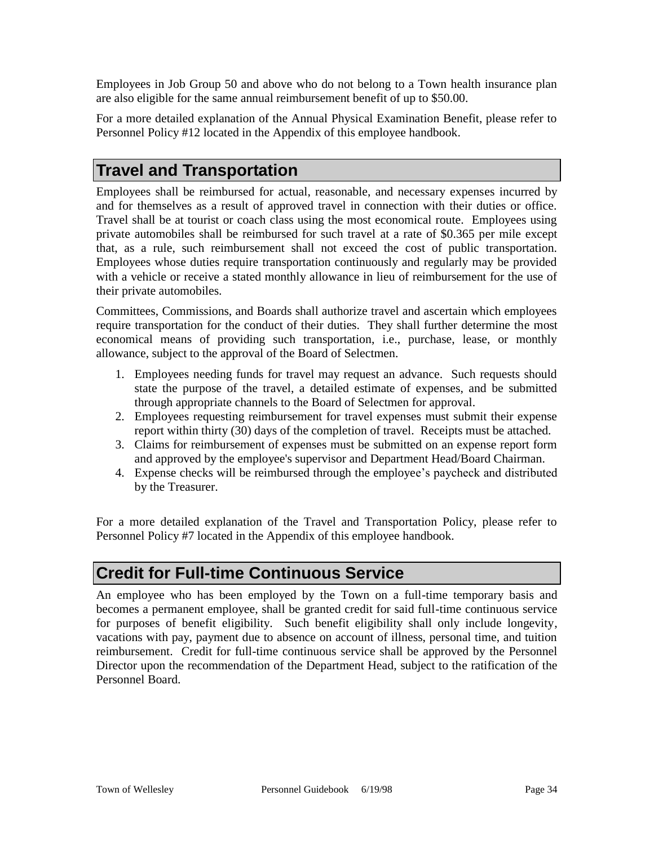Employees in Job Group 50 and above who do not belong to a Town health insurance plan are also eligible for the same annual reimbursement benefit of up to \$50.00.

For a more detailed explanation of the Annual Physical Examination Benefit, please refer to Personnel Policy #12 located in the Appendix of this employee handbook.

## **Travel and Transportation**

Employees shall be reimbursed for actual, reasonable, and necessary expenses incurred by and for themselves as a result of approved travel in connection with their duties or office. Travel shall be at tourist or coach class using the most economical route. Employees using private automobiles shall be reimbursed for such travel at a rate of \$0.365 per mile except that, as a rule, such reimbursement shall not exceed the cost of public transportation. Employees whose duties require transportation continuously and regularly may be provided with a vehicle or receive a stated monthly allowance in lieu of reimbursement for the use of their private automobiles.

Committees, Commissions, and Boards shall authorize travel and ascertain which employees require transportation for the conduct of their duties. They shall further determine the most economical means of providing such transportation, i.e., purchase, lease, or monthly allowance, subject to the approval of the Board of Selectmen.

- 1. Employees needing funds for travel may request an advance. Such requests should state the purpose of the travel, a detailed estimate of expenses, and be submitted through appropriate channels to the Board of Selectmen for approval.
- 2. Employees requesting reimbursement for travel expenses must submit their expense report within thirty (30) days of the completion of travel. Receipts must be attached.
- 3. Claims for reimbursement of expenses must be submitted on an expense report form and approved by the employee's supervisor and Department Head/Board Chairman.
- 4. Expense checks will be reimbursed through the employee's paycheck and distributed by the Treasurer.

For a more detailed explanation of the Travel and Transportation Policy, please refer to Personnel Policy #7 located in the Appendix of this employee handbook.

### **Credit for Full-time Continuous Service**

An employee who has been employed by the Town on a full-time temporary basis and becomes a permanent employee, shall be granted credit for said full-time continuous service for purposes of benefit eligibility. Such benefit eligibility shall only include longevity, vacations with pay, payment due to absence on account of illness, personal time, and tuition reimbursement. Credit for full-time continuous service shall be approved by the Personnel Director upon the recommendation of the Department Head, subject to the ratification of the Personnel Board.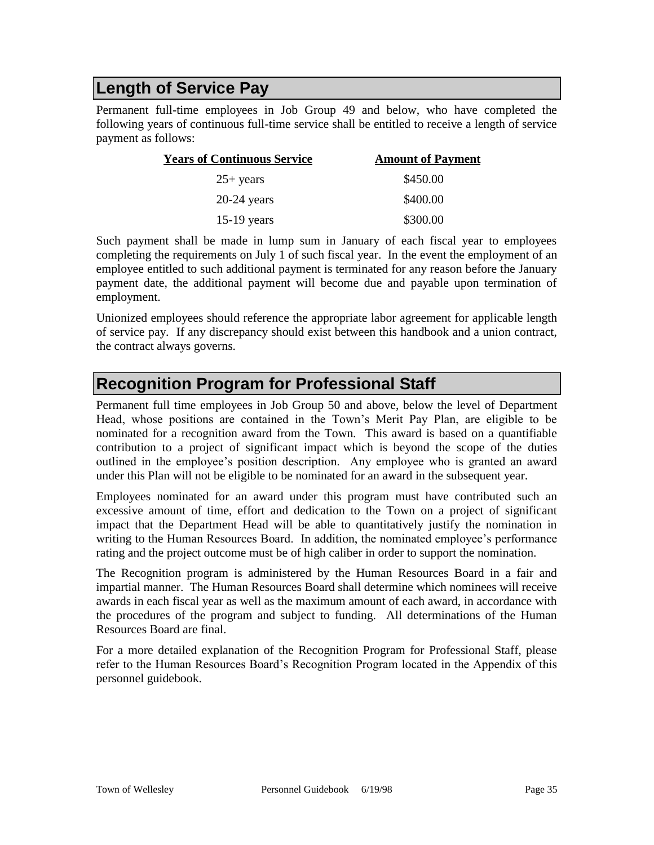## **Length of Service Pay**

Permanent full-time employees in Job Group 49 and below, who have completed the following years of continuous full-time service shall be entitled to receive a length of service payment as follows:

| <b>Years of Continuous Service</b> | <b>Amount of Payment</b> |
|------------------------------------|--------------------------|
| $25+$ years                        | \$450.00                 |
| $20-24$ years                      | \$400.00                 |
| $15-19$ years                      | \$300.00                 |

Such payment shall be made in lump sum in January of each fiscal year to employees completing the requirements on July 1 of such fiscal year. In the event the employment of an employee entitled to such additional payment is terminated for any reason before the January payment date, the additional payment will become due and payable upon termination of employment.

Unionized employees should reference the appropriate labor agreement for applicable length of service pay. If any discrepancy should exist between this handbook and a union contract, the contract always governs.

### **Recognition Program for Professional Staff**

Permanent full time employees in Job Group 50 and above, below the level of Department Head, whose positions are contained in the Town's Merit Pay Plan, are eligible to be nominated for a recognition award from the Town. This award is based on a quantifiable contribution to a project of significant impact which is beyond the scope of the duties outlined in the employee's position description. Any employee who is granted an award under this Plan will not be eligible to be nominated for an award in the subsequent year.

Employees nominated for an award under this program must have contributed such an excessive amount of time, effort and dedication to the Town on a project of significant impact that the Department Head will be able to quantitatively justify the nomination in writing to the Human Resources Board. In addition, the nominated employee's performance rating and the project outcome must be of high caliber in order to support the nomination.

The Recognition program is administered by the Human Resources Board in a fair and impartial manner. The Human Resources Board shall determine which nominees will receive awards in each fiscal year as well as the maximum amount of each award, in accordance with the procedures of the program and subject to funding. All determinations of the Human Resources Board are final.

For a more detailed explanation of the Recognition Program for Professional Staff, please refer to the Human Resources Board's Recognition Program located in the Appendix of this personnel guidebook.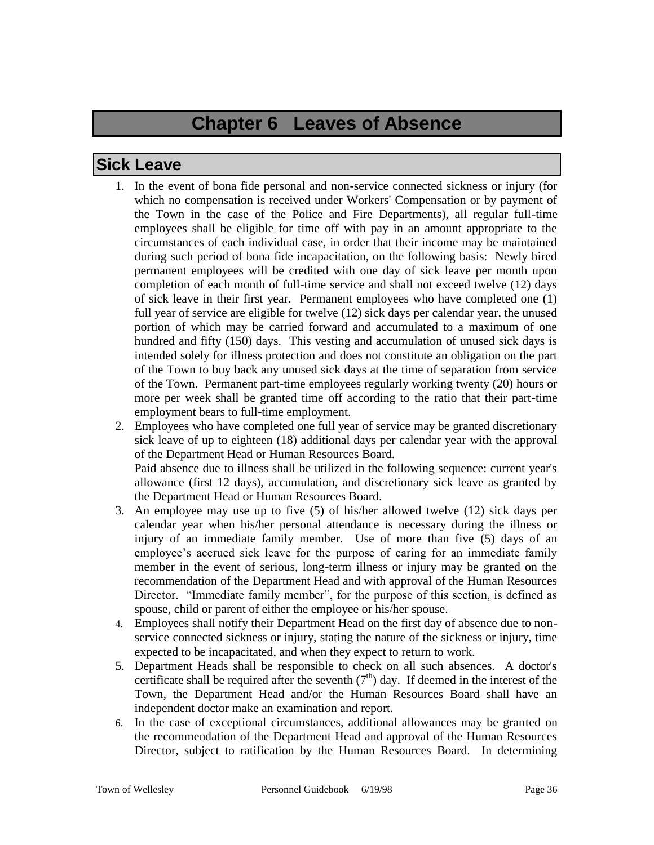# **Chapter 6 Leaves of Absence**

#### **Sick Leave**

- 1. In the event of bona fide personal and non-service connected sickness or injury (for which no compensation is received under Workers' Compensation or by payment of the Town in the case of the Police and Fire Departments), all regular full-time employees shall be eligible for time off with pay in an amount appropriate to the circumstances of each individual case, in order that their income may be maintained during such period of bona fide incapacitation, on the following basis: Newly hired permanent employees will be credited with one day of sick leave per month upon completion of each month of full-time service and shall not exceed twelve (12) days of sick leave in their first year. Permanent employees who have completed one (1) full year of service are eligible for twelve (12) sick days per calendar year, the unused portion of which may be carried forward and accumulated to a maximum of one hundred and fifty (150) days. This vesting and accumulation of unused sick days is intended solely for illness protection and does not constitute an obligation on the part of the Town to buy back any unused sick days at the time of separation from service of the Town. Permanent part-time employees regularly working twenty (20) hours or more per week shall be granted time off according to the ratio that their part-time employment bears to full-time employment.
- 2. Employees who have completed one full year of service may be granted discretionary sick leave of up to eighteen (18) additional days per calendar year with the approval of the Department Head or Human Resources Board. Paid absence due to illness shall be utilized in the following sequence: current year's allowance (first 12 days), accumulation, and discretionary sick leave as granted by the Department Head or Human Resources Board.
- 3. An employee may use up to five (5) of his/her allowed twelve (12) sick days per calendar year when his/her personal attendance is necessary during the illness or injury of an immediate family member. Use of more than five (5) days of an employee's accrued sick leave for the purpose of caring for an immediate family member in the event of serious, long-term illness or injury may be granted on the recommendation of the Department Head and with approval of the Human Resources Director. "Immediate family member", for the purpose of this section, is defined as spouse, child or parent of either the employee or his/her spouse.
- 4. Employees shall notify their Department Head on the first day of absence due to nonservice connected sickness or injury, stating the nature of the sickness or injury, time expected to be incapacitated, and when they expect to return to work.
- 5. Department Heads shall be responsible to check on all such absences. A doctor's certificate shall be required after the seventh  $(7<sup>th</sup>)$  day. If deemed in the interest of the Town, the Department Head and/or the Human Resources Board shall have an independent doctor make an examination and report.
- 6. In the case of exceptional circumstances, additional allowances may be granted on the recommendation of the Department Head and approval of the Human Resources Director, subject to ratification by the Human Resources Board. In determining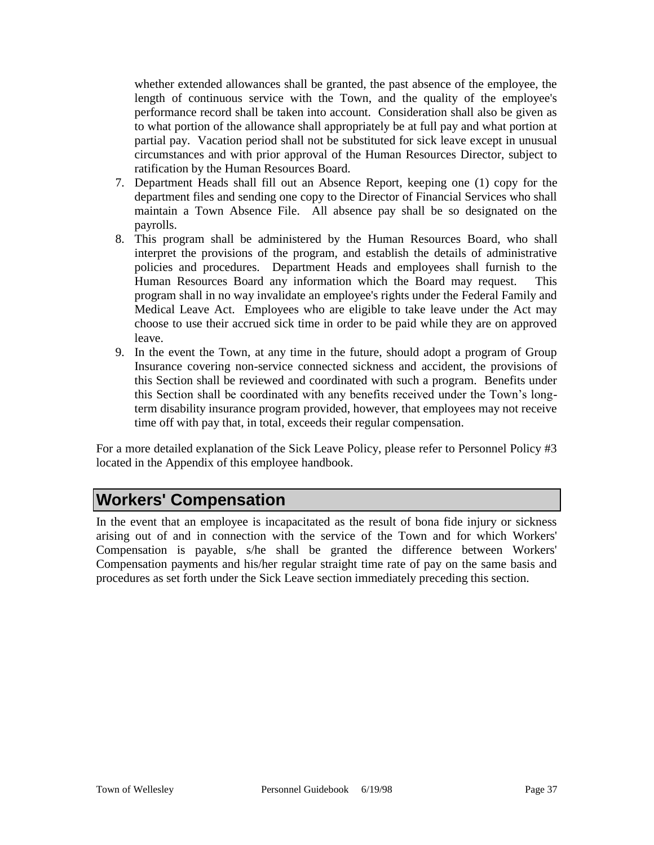whether extended allowances shall be granted, the past absence of the employee, the length of continuous service with the Town, and the quality of the employee's performance record shall be taken into account. Consideration shall also be given as to what portion of the allowance shall appropriately be at full pay and what portion at partial pay. Vacation period shall not be substituted for sick leave except in unusual circumstances and with prior approval of the Human Resources Director, subject to ratification by the Human Resources Board.

- 7. Department Heads shall fill out an Absence Report, keeping one (1) copy for the department files and sending one copy to the Director of Financial Services who shall maintain a Town Absence File. All absence pay shall be so designated on the payrolls.
- 8. This program shall be administered by the Human Resources Board, who shall interpret the provisions of the program, and establish the details of administrative policies and procedures. Department Heads and employees shall furnish to the Human Resources Board any information which the Board may request. This program shall in no way invalidate an employee's rights under the Federal Family and Medical Leave Act. Employees who are eligible to take leave under the Act may choose to use their accrued sick time in order to be paid while they are on approved leave.
- 9. In the event the Town, at any time in the future, should adopt a program of Group Insurance covering non-service connected sickness and accident, the provisions of this Section shall be reviewed and coordinated with such a program. Benefits under this Section shall be coordinated with any benefits received under the Town's longterm disability insurance program provided, however, that employees may not receive time off with pay that, in total, exceeds their regular compensation.

For a more detailed explanation of the Sick Leave Policy, please refer to Personnel Policy #3 located in the Appendix of this employee handbook.

#### **Workers' Compensation**

In the event that an employee is incapacitated as the result of bona fide injury or sickness arising out of and in connection with the service of the Town and for which Workers' Compensation is payable, s/he shall be granted the difference between Workers' Compensation payments and his/her regular straight time rate of pay on the same basis and procedures as set forth under the Sick Leave section immediately preceding this section.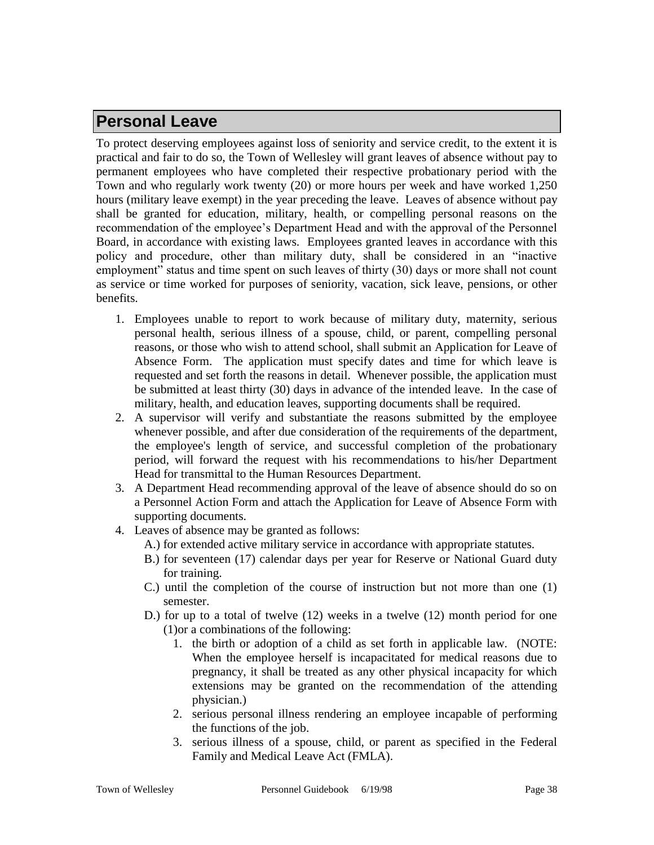#### **Personal Leave**

To protect deserving employees against loss of seniority and service credit, to the extent it is practical and fair to do so, the Town of Wellesley will grant leaves of absence without pay to permanent employees who have completed their respective probationary period with the Town and who regularly work twenty (20) or more hours per week and have worked 1,250 hours (military leave exempt) in the year preceding the leave. Leaves of absence without pay shall be granted for education, military, health, or compelling personal reasons on the recommendation of the employee's Department Head and with the approval of the Personnel Board, in accordance with existing laws. Employees granted leaves in accordance with this policy and procedure, other than military duty, shall be considered in an "inactive employment" status and time spent on such leaves of thirty (30) days or more shall not count as service or time worked for purposes of seniority, vacation, sick leave, pensions, or other benefits.

- 1. Employees unable to report to work because of military duty, maternity, serious personal health, serious illness of a spouse, child, or parent, compelling personal reasons, or those who wish to attend school, shall submit an Application for Leave of Absence Form. The application must specify dates and time for which leave is requested and set forth the reasons in detail. Whenever possible, the application must be submitted at least thirty (30) days in advance of the intended leave. In the case of military, health, and education leaves, supporting documents shall be required.
- 2. A supervisor will verify and substantiate the reasons submitted by the employee whenever possible, and after due consideration of the requirements of the department, the employee's length of service, and successful completion of the probationary period, will forward the request with his recommendations to his/her Department Head for transmittal to the Human Resources Department.
- 3. A Department Head recommending approval of the leave of absence should do so on a Personnel Action Form and attach the Application for Leave of Absence Form with supporting documents.
- 4. Leaves of absence may be granted as follows:
	- A.) for extended active military service in accordance with appropriate statutes.
	- B.) for seventeen (17) calendar days per year for Reserve or National Guard duty for training.
	- C.) until the completion of the course of instruction but not more than one (1) semester.
	- D.) for up to a total of twelve (12) weeks in a twelve (12) month period for one (1)or a combinations of the following:
		- 1. the birth or adoption of a child as set forth in applicable law. (NOTE: When the employee herself is incapacitated for medical reasons due to pregnancy, it shall be treated as any other physical incapacity for which extensions may be granted on the recommendation of the attending physician.)
		- 2. serious personal illness rendering an employee incapable of performing the functions of the job.
		- 3. serious illness of a spouse, child, or parent as specified in the Federal Family and Medical Leave Act (FMLA).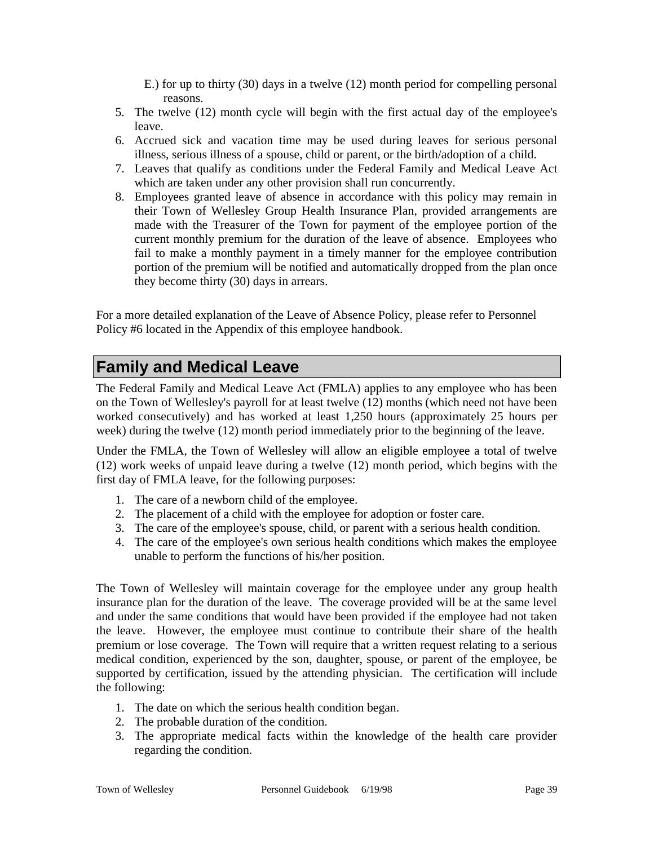E.) for up to thirty (30) days in a twelve (12) month period for compelling personal reasons.

- 5. The twelve (12) month cycle will begin with the first actual day of the employee's leave.
- 6. Accrued sick and vacation time may be used during leaves for serious personal illness, serious illness of a spouse, child or parent, or the birth/adoption of a child.
- 7. Leaves that qualify as conditions under the Federal Family and Medical Leave Act which are taken under any other provision shall run concurrently.
- 8. Employees granted leave of absence in accordance with this policy may remain in their Town of Wellesley Group Health Insurance Plan, provided arrangements are made with the Treasurer of the Town for payment of the employee portion of the current monthly premium for the duration of the leave of absence. Employees who fail to make a monthly payment in a timely manner for the employee contribution portion of the premium will be notified and automatically dropped from the plan once they become thirty (30) days in arrears.

For a more detailed explanation of the Leave of Absence Policy, please refer to Personnel Policy #6 located in the Appendix of this employee handbook.

## **Family and Medical Leave**

The Federal Family and Medical Leave Act (FMLA) applies to any employee who has been on the Town of Wellesley's payroll for at least twelve (12) months (which need not have been worked consecutively) and has worked at least 1,250 hours (approximately 25 hours per week) during the twelve (12) month period immediately prior to the beginning of the leave.

Under the FMLA, the Town of Wellesley will allow an eligible employee a total of twelve (12) work weeks of unpaid leave during a twelve (12) month period, which begins with the first day of FMLA leave, for the following purposes:

- 1. The care of a newborn child of the employee.
- 2. The placement of a child with the employee for adoption or foster care.
- 3. The care of the employee's spouse, child, or parent with a serious health condition.
- 4. The care of the employee's own serious health conditions which makes the employee unable to perform the functions of his/her position.

The Town of Wellesley will maintain coverage for the employee under any group health insurance plan for the duration of the leave. The coverage provided will be at the same level and under the same conditions that would have been provided if the employee had not taken the leave. However, the employee must continue to contribute their share of the health premium or lose coverage. The Town will require that a written request relating to a serious medical condition, experienced by the son, daughter, spouse, or parent of the employee, be supported by certification, issued by the attending physician. The certification will include the following:

- 1. The date on which the serious health condition began.
- 2. The probable duration of the condition.
- 3. The appropriate medical facts within the knowledge of the health care provider regarding the condition.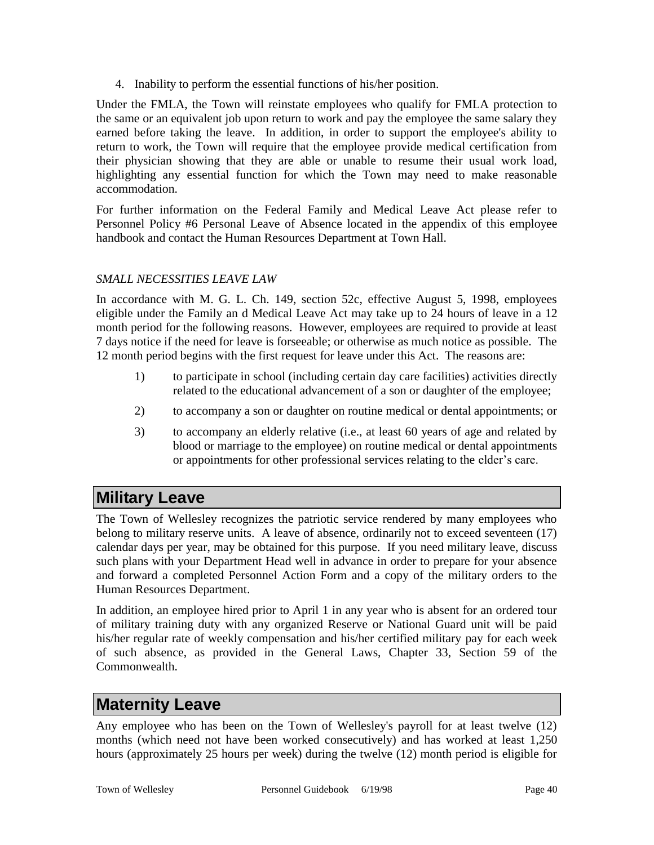4. Inability to perform the essential functions of his/her position.

Under the FMLA, the Town will reinstate employees who qualify for FMLA protection to the same or an equivalent job upon return to work and pay the employee the same salary they earned before taking the leave. In addition, in order to support the employee's ability to return to work, the Town will require that the employee provide medical certification from their physician showing that they are able or unable to resume their usual work load, highlighting any essential function for which the Town may need to make reasonable accommodation.

For further information on the Federal Family and Medical Leave Act please refer to Personnel Policy #6 Personal Leave of Absence located in the appendix of this employee handbook and contact the Human Resources Department at Town Hall.

#### *SMALL NECESSITIES LEAVE LAW*

In accordance with M. G. L. Ch. 149, section 52c, effective August 5, 1998, employees eligible under the Family an d Medical Leave Act may take up to 24 hours of leave in a 12 month period for the following reasons. However, employees are required to provide at least 7 days notice if the need for leave is forseeable; or otherwise as much notice as possible. The 12 month period begins with the first request for leave under this Act. The reasons are:

- 1) to participate in school (including certain day care facilities) activities directly related to the educational advancement of a son or daughter of the employee;
- 2) to accompany a son or daughter on routine medical or dental appointments; or
- 3) to accompany an elderly relative (i.e., at least 60 years of age and related by blood or marriage to the employee) on routine medical or dental appointments or appointments for other professional services relating to the elder's care.

## **Military Leave**

The Town of Wellesley recognizes the patriotic service rendered by many employees who belong to military reserve units. A leave of absence, ordinarily not to exceed seventeen (17) calendar days per year, may be obtained for this purpose. If you need military leave, discuss such plans with your Department Head well in advance in order to prepare for your absence and forward a completed Personnel Action Form and a copy of the military orders to the Human Resources Department.

In addition, an employee hired prior to April 1 in any year who is absent for an ordered tour of military training duty with any organized Reserve or National Guard unit will be paid his/her regular rate of weekly compensation and his/her certified military pay for each week of such absence, as provided in the General Laws, Chapter 33, Section 59 of the Commonwealth.

#### **Maternity Leave**

Any employee who has been on the Town of Wellesley's payroll for at least twelve (12) months (which need not have been worked consecutively) and has worked at least 1,250 hours (approximately 25 hours per week) during the twelve (12) month period is eligible for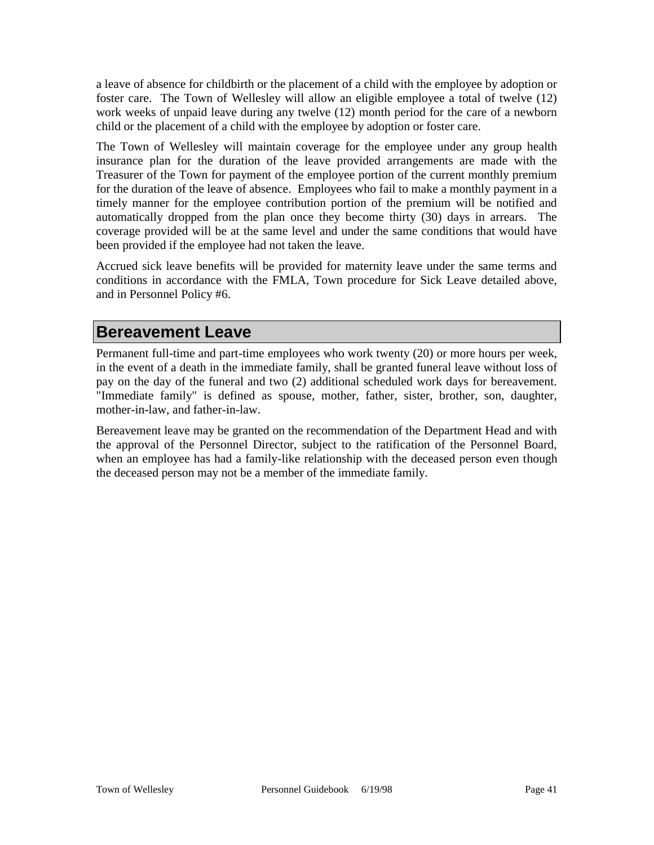a leave of absence for childbirth or the placement of a child with the employee by adoption or foster care. The Town of Wellesley will allow an eligible employee a total of twelve (12) work weeks of unpaid leave during any twelve (12) month period for the care of a newborn child or the placement of a child with the employee by adoption or foster care.

The Town of Wellesley will maintain coverage for the employee under any group health insurance plan for the duration of the leave provided arrangements are made with the Treasurer of the Town for payment of the employee portion of the current monthly premium for the duration of the leave of absence. Employees who fail to make a monthly payment in a timely manner for the employee contribution portion of the premium will be notified and automatically dropped from the plan once they become thirty (30) days in arrears. The coverage provided will be at the same level and under the same conditions that would have been provided if the employee had not taken the leave.

Accrued sick leave benefits will be provided for maternity leave under the same terms and conditions in accordance with the FMLA, Town procedure for Sick Leave detailed above, and in Personnel Policy #6.

#### **Bereavement Leave**

Permanent full-time and part-time employees who work twenty (20) or more hours per week, in the event of a death in the immediate family, shall be granted funeral leave without loss of pay on the day of the funeral and two (2) additional scheduled work days for bereavement. "Immediate family" is defined as spouse, mother, father, sister, brother, son, daughter, mother-in-law, and father-in-law.

Bereavement leave may be granted on the recommendation of the Department Head and with the approval of the Personnel Director, subject to the ratification of the Personnel Board, when an employee has had a family-like relationship with the deceased person even though the deceased person may not be a member of the immediate family.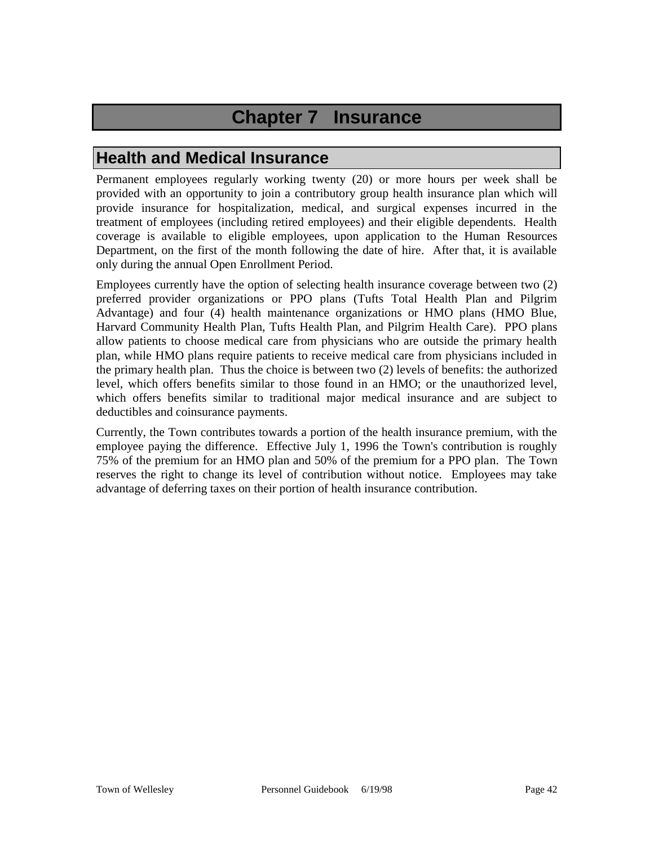# **Chapter 7 Insurance**

### **Health and Medical Insurance**

Permanent employees regularly working twenty (20) or more hours per week shall be provided with an opportunity to join a contributory group health insurance plan which will provide insurance for hospitalization, medical, and surgical expenses incurred in the treatment of employees (including retired employees) and their eligible dependents. Health coverage is available to eligible employees, upon application to the Human Resources Department, on the first of the month following the date of hire. After that, it is available only during the annual Open Enrollment Period.

Employees currently have the option of selecting health insurance coverage between two (2) preferred provider organizations or PPO plans (Tufts Total Health Plan and Pilgrim Advantage) and four (4) health maintenance organizations or HMO plans (HMO Blue, Harvard Community Health Plan, Tufts Health Plan, and Pilgrim Health Care). PPO plans allow patients to choose medical care from physicians who are outside the primary health plan, while HMO plans require patients to receive medical care from physicians included in the primary health plan. Thus the choice is between two (2) levels of benefits: the authorized level, which offers benefits similar to those found in an HMO; or the unauthorized level, which offers benefits similar to traditional major medical insurance and are subject to deductibles and coinsurance payments.

Currently, the Town contributes towards a portion of the health insurance premium, with the employee paying the difference. Effective July 1, 1996 the Town's contribution is roughly 75% of the premium for an HMO plan and 50% of the premium for a PPO plan. The Town reserves the right to change its level of contribution without notice. Employees may take advantage of deferring taxes on their portion of health insurance contribution.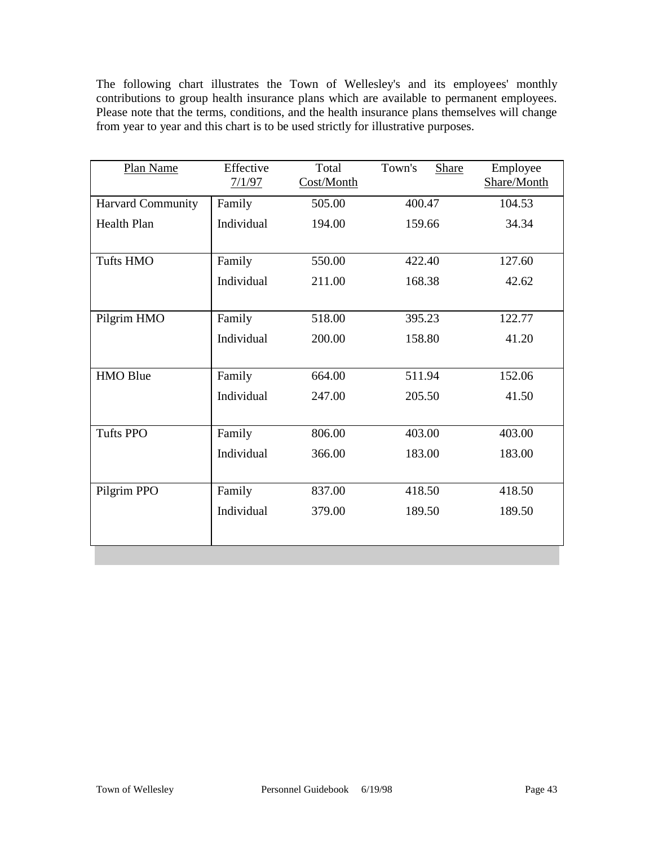The following chart illustrates the Town of Wellesley's and its employees' monthly contributions to group health insurance plans which are available to permanent employees. Please note that the terms, conditions, and the health insurance plans themselves will change from year to year and this chart is to be used strictly for illustrative purposes.

| Effective<br>7/1/97 | Total<br>Cost/Month | Town's<br>Share | Employee<br>Share/Month |  |
|---------------------|---------------------|-----------------|-------------------------|--|
| Family              | 505.00              | 400.47          | 104.53                  |  |
| Individual          | 194.00              | 159.66          | 34.34                   |  |
| Family              | 550.00              | 422.40          | 127.60                  |  |
| Individual          | 211.00              | 168.38          | 42.62                   |  |
| Family              | 518.00              | 395.23          | 122.77                  |  |
| Individual          | 200.00              | 158.80          | 41.20                   |  |
| Family              | 664.00              | 511.94          | 152.06                  |  |
| Individual          | 247.00              | 205.50          | 41.50                   |  |
| Family              | 806.00              | 403.00          | 403.00                  |  |
| Individual          | 366.00              | 183.00          | 183.00                  |  |
| Family              | 837.00              | 418.50          | 418.50                  |  |
| Individual          | 379.00              | 189.50          | 189.50                  |  |
|                     |                     |                 |                         |  |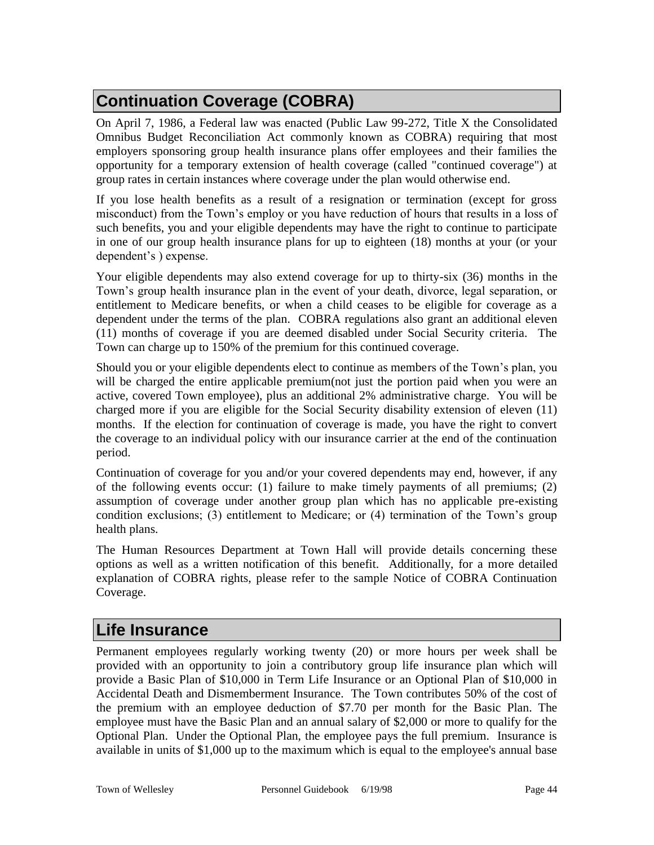# **Continuation Coverage (COBRA)**

On April 7, 1986, a Federal law was enacted (Public Law 99-272, Title X the Consolidated Omnibus Budget Reconciliation Act commonly known as COBRA) requiring that most employers sponsoring group health insurance plans offer employees and their families the opportunity for a temporary extension of health coverage (called "continued coverage") at group rates in certain instances where coverage under the plan would otherwise end.

If you lose health benefits as a result of a resignation or termination (except for gross misconduct) from the Town's employ or you have reduction of hours that results in a loss of such benefits, you and your eligible dependents may have the right to continue to participate in one of our group health insurance plans for up to eighteen (18) months at your (or your dependent's ) expense.

Your eligible dependents may also extend coverage for up to thirty-six (36) months in the Town's group health insurance plan in the event of your death, divorce, legal separation, or entitlement to Medicare benefits, or when a child ceases to be eligible for coverage as a dependent under the terms of the plan. COBRA regulations also grant an additional eleven (11) months of coverage if you are deemed disabled under Social Security criteria. The Town can charge up to 150% of the premium for this continued coverage.

Should you or your eligible dependents elect to continue as members of the Town's plan, you will be charged the entire applicable premium(not just the portion paid when you were an active, covered Town employee), plus an additional 2% administrative charge. You will be charged more if you are eligible for the Social Security disability extension of eleven (11) months. If the election for continuation of coverage is made, you have the right to convert the coverage to an individual policy with our insurance carrier at the end of the continuation period.

Continuation of coverage for you and/or your covered dependents may end, however, if any of the following events occur: (1) failure to make timely payments of all premiums; (2) assumption of coverage under another group plan which has no applicable pre-existing condition exclusions; (3) entitlement to Medicare; or (4) termination of the Town's group health plans.

The Human Resources Department at Town Hall will provide details concerning these options as well as a written notification of this benefit. Additionally, for a more detailed explanation of COBRA rights, please refer to the sample Notice of COBRA Continuation Coverage.

# **Life Insurance**

Permanent employees regularly working twenty (20) or more hours per week shall be provided with an opportunity to join a contributory group life insurance plan which will provide a Basic Plan of \$10,000 in Term Life Insurance or an Optional Plan of \$10,000 in Accidental Death and Dismemberment Insurance. The Town contributes 50% of the cost of the premium with an employee deduction of \$7.70 per month for the Basic Plan. The employee must have the Basic Plan and an annual salary of \$2,000 or more to qualify for the Optional Plan. Under the Optional Plan, the employee pays the full premium. Insurance is available in units of \$1,000 up to the maximum which is equal to the employee's annual base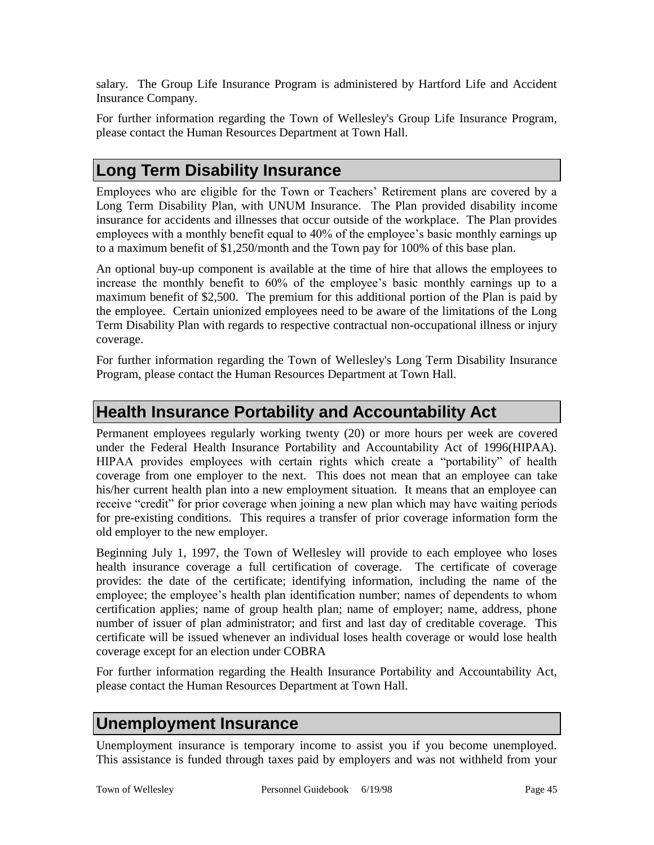salary. The Group Life Insurance Program is administered by Hartford Life and Accident Insurance Company.

For further information regarding the Town of Wellesley's Group Life Insurance Program, please contact the Human Resources Department at Town Hall.

## **Long Term Disability Insurance**

Employees who are eligible for the Town or Teachers' Retirement plans are covered by a Long Term Disability Plan, with UNUM Insurance. The Plan provided disability income insurance for accidents and illnesses that occur outside of the workplace. The Plan provides employees with a monthly benefit equal to 40% of the employee's basic monthly earnings up to a maximum benefit of \$1,250/month and the Town pay for 100% of this base plan.

An optional buy-up component is available at the time of hire that allows the employees to increase the monthly benefit to 60% of the employee's basic monthly earnings up to a maximum benefit of \$2,500. The premium for this additional portion of the Plan is paid by the employee. Certain unionized employees need to be aware of the limitations of the Long Term Disability Plan with regards to respective contractual non-occupational illness or injury coverage.

For further information regarding the Town of Wellesley's Long Term Disability Insurance Program, please contact the Human Resources Department at Town Hall.

### **Health Insurance Portability and Accountability Act**

Permanent employees regularly working twenty (20) or more hours per week are covered under the Federal Health Insurance Portability and Accountability Act of 1996(HIPAA). HIPAA provides employees with certain rights which create a "portability" of health coverage from one employer to the next. This does not mean that an employee can take his/her current health plan into a new employment situation. It means that an employee can receive "credit" for prior coverage when joining a new plan which may have waiting periods for pre-existing conditions. This requires a transfer of prior coverage information form the old employer to the new employer.

Beginning July 1, 1997, the Town of Wellesley will provide to each employee who loses health insurance coverage a full certification of coverage. The certificate of coverage provides: the date of the certificate; identifying information, including the name of the employee; the employee's health plan identification number; names of dependents to whom certification applies; name of group health plan; name of employer; name, address, phone number of issuer of plan administrator; and first and last day of creditable coverage. This certificate will be issued whenever an individual loses health coverage or would lose health coverage except for an election under COBRA

For further information regarding the Health Insurance Portability and Accountability Act, please contact the Human Resources Department at Town Hall.

## **Unemployment Insurance**

Unemployment insurance is temporary income to assist you if you become unemployed. This assistance is funded through taxes paid by employers and was not withheld from your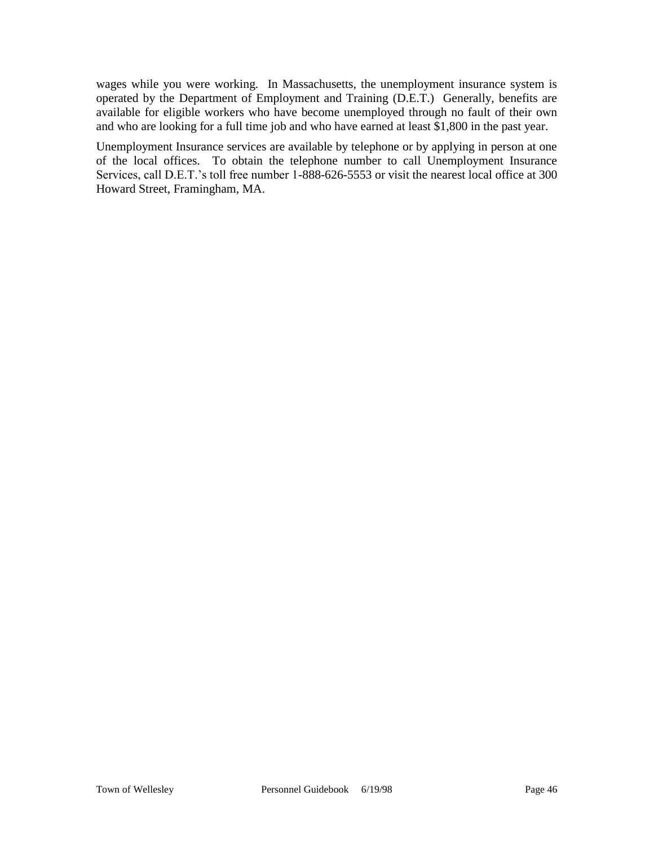wages while you were working. In Massachusetts, the unemployment insurance system is operated by the Department of Employment and Training (D.E.T.) Generally, benefits are available for eligible workers who have become unemployed through no fault of their own and who are looking for a full time job and who have earned at least \$1,800 in the past year.

Unemployment Insurance services are available by telephone or by applying in person at one of the local offices. To obtain the telephone number to call Unemployment Insurance Services, call D.E.T.'s toll free number 1-888-626-5553 or visit the nearest local office at 300 Howard Street, Framingham, MA.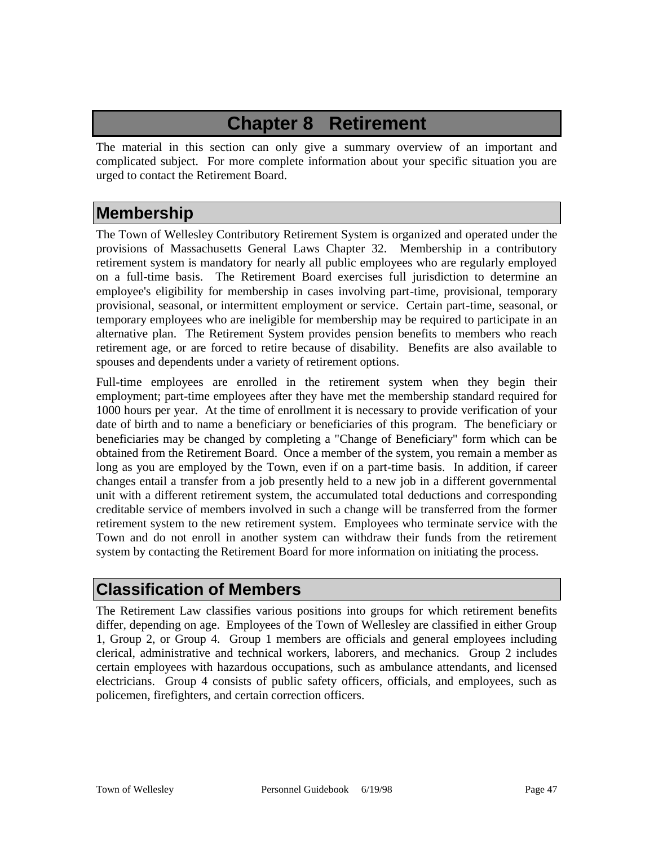# **Chapter 8 Retirement**

The material in this section can only give a summary overview of an important and complicated subject. For more complete information about your specific situation you are urged to contact the Retirement Board.

# **Membership**

The Town of Wellesley Contributory Retirement System is organized and operated under the provisions of Massachusetts General Laws Chapter 32. Membership in a contributory retirement system is mandatory for nearly all public employees who are regularly employed on a full-time basis. The Retirement Board exercises full jurisdiction to determine an employee's eligibility for membership in cases involving part-time, provisional, temporary provisional, seasonal, or intermittent employment or service. Certain part-time, seasonal, or temporary employees who are ineligible for membership may be required to participate in an alternative plan. The Retirement System provides pension benefits to members who reach retirement age, or are forced to retire because of disability. Benefits are also available to spouses and dependents under a variety of retirement options.

Full-time employees are enrolled in the retirement system when they begin their employment; part-time employees after they have met the membership standard required for 1000 hours per year. At the time of enrollment it is necessary to provide verification of your date of birth and to name a beneficiary or beneficiaries of this program. The beneficiary or beneficiaries may be changed by completing a "Change of Beneficiary" form which can be obtained from the Retirement Board. Once a member of the system, you remain a member as long as you are employed by the Town, even if on a part-time basis. In addition, if career changes entail a transfer from a job presently held to a new job in a different governmental unit with a different retirement system, the accumulated total deductions and corresponding creditable service of members involved in such a change will be transferred from the former retirement system to the new retirement system. Employees who terminate service with the Town and do not enroll in another system can withdraw their funds from the retirement system by contacting the Retirement Board for more information on initiating the process.

## **Classification of Members**

The Retirement Law classifies various positions into groups for which retirement benefits differ, depending on age. Employees of the Town of Wellesley are classified in either Group 1, Group 2, or Group 4. Group 1 members are officials and general employees including clerical, administrative and technical workers, laborers, and mechanics. Group 2 includes certain employees with hazardous occupations, such as ambulance attendants, and licensed electricians. Group 4 consists of public safety officers, officials, and employees, such as policemen, firefighters, and certain correction officers.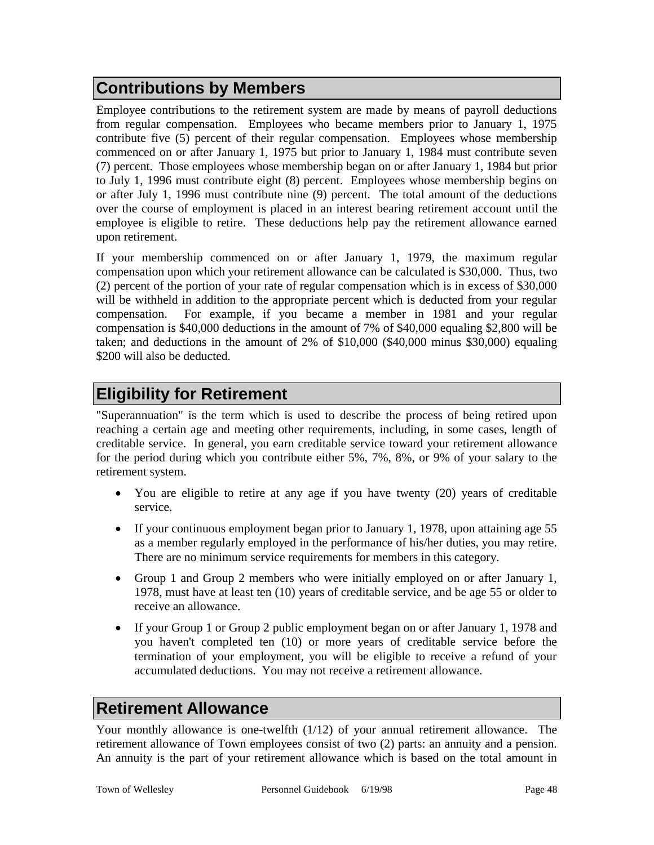## **Contributions by Members**

Employee contributions to the retirement system are made by means of payroll deductions from regular compensation. Employees who became members prior to January 1, 1975 contribute five (5) percent of their regular compensation. Employees whose membership commenced on or after January 1, 1975 but prior to January 1, 1984 must contribute seven (7) percent. Those employees whose membership began on or after January 1, 1984 but prior to July 1, 1996 must contribute eight (8) percent. Employees whose membership begins on or after July 1, 1996 must contribute nine (9) percent. The total amount of the deductions over the course of employment is placed in an interest bearing retirement account until the employee is eligible to retire. These deductions help pay the retirement allowance earned upon retirement.

If your membership commenced on or after January 1, 1979, the maximum regular compensation upon which your retirement allowance can be calculated is \$30,000. Thus, two (2) percent of the portion of your rate of regular compensation which is in excess of \$30,000 will be withheld in addition to the appropriate percent which is deducted from your regular compensation. For example, if you became a member in 1981 and your regular compensation is \$40,000 deductions in the amount of 7% of \$40,000 equaling \$2,800 will be taken; and deductions in the amount of 2% of \$10,000 (\$40,000 minus \$30,000) equaling \$200 will also be deducted.

## **Eligibility for Retirement**

"Superannuation" is the term which is used to describe the process of being retired upon reaching a certain age and meeting other requirements, including, in some cases, length of creditable service. In general, you earn creditable service toward your retirement allowance for the period during which you contribute either 5%, 7%, 8%, or 9% of your salary to the retirement system.

- You are eligible to retire at any age if you have twenty (20) years of creditable service.
- If your continuous employment began prior to January 1, 1978, upon attaining age 55 as a member regularly employed in the performance of his/her duties, you may retire. There are no minimum service requirements for members in this category.
- Group 1 and Group 2 members who were initially employed on or after January 1, 1978, must have at least ten (10) years of creditable service, and be age 55 or older to receive an allowance.
- If your Group 1 or Group 2 public employment began on or after January 1, 1978 and you haven't completed ten (10) or more years of creditable service before the termination of your employment, you will be eligible to receive a refund of your accumulated deductions. You may not receive a retirement allowance.

## **Retirement Allowance**

Your monthly allowance is one-twelfth (1/12) of your annual retirement allowance. The retirement allowance of Town employees consist of two (2) parts: an annuity and a pension. An annuity is the part of your retirement allowance which is based on the total amount in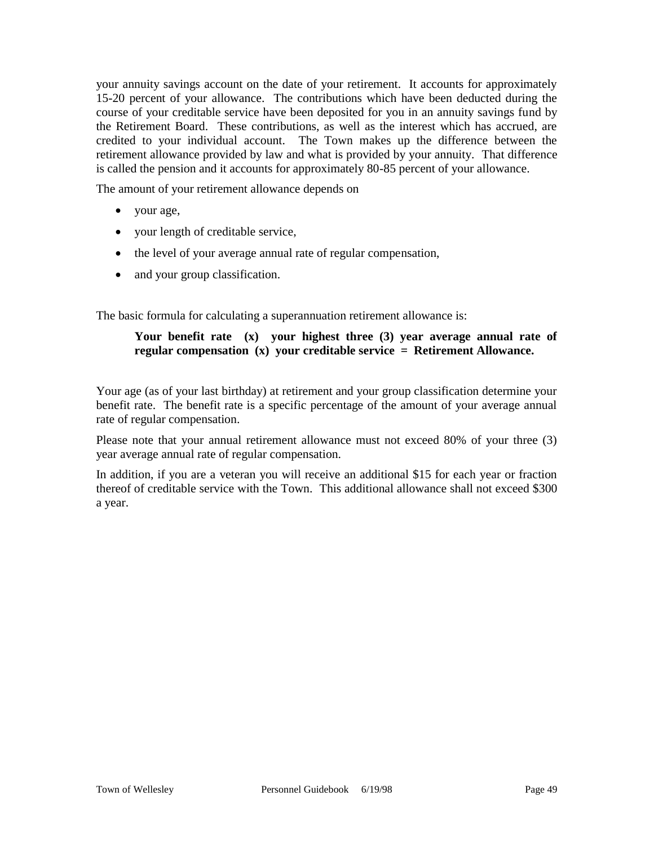your annuity savings account on the date of your retirement. It accounts for approximately 15-20 percent of your allowance. The contributions which have been deducted during the course of your creditable service have been deposited for you in an annuity savings fund by the Retirement Board. These contributions, as well as the interest which has accrued, are credited to your individual account. The Town makes up the difference between the retirement allowance provided by law and what is provided by your annuity. That difference is called the pension and it accounts for approximately 80-85 percent of your allowance.

The amount of your retirement allowance depends on

- your age,
- your length of creditable service,
- the level of your average annual rate of regular compensation,
- and your group classification.

The basic formula for calculating a superannuation retirement allowance is:

#### **Your benefit rate (x) your highest three (3) year average annual rate of regular compensation (x) your creditable service = Retirement Allowance.**

Your age (as of your last birthday) at retirement and your group classification determine your benefit rate. The benefit rate is a specific percentage of the amount of your average annual rate of regular compensation.

Please note that your annual retirement allowance must not exceed 80% of your three (3) year average annual rate of regular compensation.

In addition, if you are a veteran you will receive an additional \$15 for each year or fraction thereof of creditable service with the Town. This additional allowance shall not exceed \$300 a year.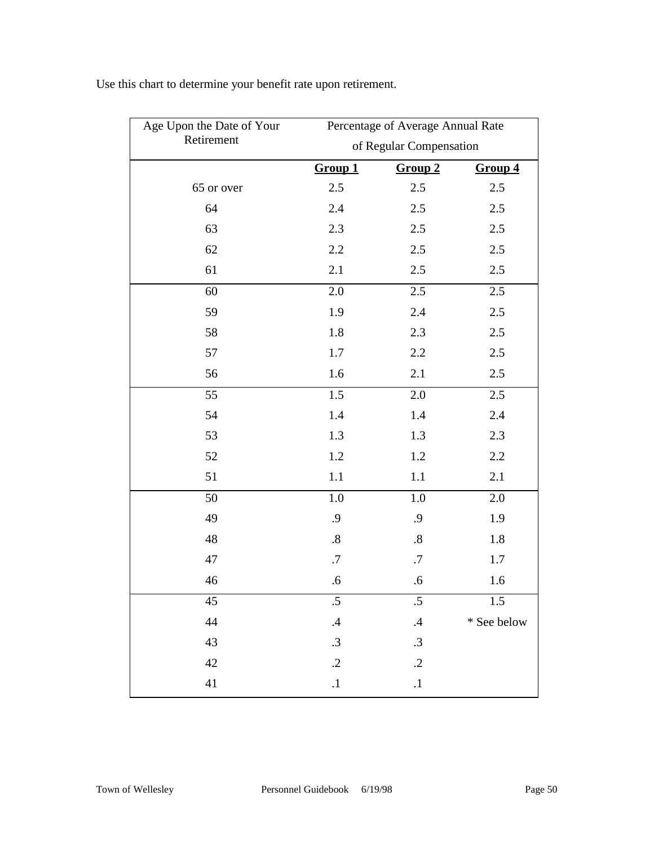| Age Upon the Date of Your | Percentage of Average Annual Rate |                   |             |
|---------------------------|-----------------------------------|-------------------|-------------|
| Retirement                | of Regular Compensation           |                   |             |
|                           | Group 1                           | Group 2           | Group 4     |
| 65 or over                | 2.5                               | 2.5               | 2.5         |
| 64                        | 2.4                               | 2.5               | 2.5         |
| 63                        | 2.3                               | 2.5               | 2.5         |
| 62                        | 2.2                               | 2.5               | 2.5         |
| 61                        | 2.1                               | 2.5               | 2.5         |
| 60                        | 2.0                               | 2.5               | 2.5         |
| 59                        | 1.9                               | 2.4               | $2.5\,$     |
| 58                        | 1.8                               | 2.3               | 2.5         |
| 57                        | 1.7                               | 2.2               | 2.5         |
| 56                        | 1.6                               | 2.1               | 2.5         |
| 55                        | 1.5                               | 2.0               | 2.5         |
| 54                        | 1.4                               | 1.4               | 2.4         |
| 53                        | 1.3                               | 1.3               | 2.3         |
| 52                        | 1.2                               | 1.2               | 2.2         |
| 51                        | $1.1\,$                           | 1.1               | 2.1         |
| 50                        | $1.0\,$                           | $1.0\,$           | 2.0         |
| 49                        | .9                                | .9                | 1.9         |
| 48                        | $\boldsymbol{.8}$                 | $\boldsymbol{.8}$ | 1.8         |
| 47                        | .7                                | .7                | 1.7         |
| 46                        | .6                                | .6                | 1.6         |
| 45                        | .5                                | .5                | 1.5         |
| 44                        | .4                                | $\mathcal{A}$     | * See below |
| 43                        | $\cdot$ 3                         | $\cdot$ 3         |             |
| $42\,$                    | $\cdot$                           | $\cdot$           |             |
| 41                        | $\cdot$                           | $\cdot$           |             |

Use this chart to determine your benefit rate upon retirement.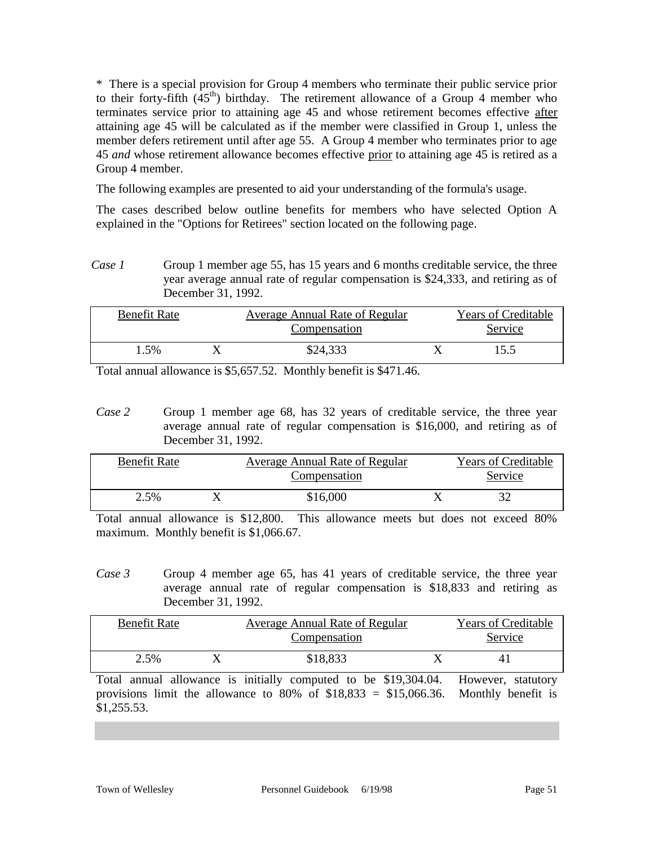\* There is a special provision for Group 4 members who terminate their public service prior to their forty-fifth  $(45<sup>th</sup>)$  birthday. The retirement allowance of a Group 4 member who terminates service prior to attaining age 45 and whose retirement becomes effective after attaining age 45 will be calculated as if the member were classified in Group 1, unless the member defers retirement until after age 55. A Group 4 member who terminates prior to age 45 *and* whose retirement allowance becomes effective prior to attaining age 45 is retired as a Group 4 member.

The following examples are presented to aid your understanding of the formula's usage.

The cases described below outline benefits for members who have selected Option A explained in the "Options for Retirees" section located on the following page.

*Case 1* Group 1 member age 55, has 15 years and 6 months creditable service, the three year average annual rate of regular compensation is \$24,333, and retiring as of December 31, 1992.

| <b>Benefit Rate</b> | Average Annual Rate of Regular<br>Compensation |  | <b>Years of Creditable</b><br>Service |  |
|---------------------|------------------------------------------------|--|---------------------------------------|--|
| L.5%                | \$24,333                                       |  | 15.5                                  |  |

Total annual allowance is \$5,657.52. Monthly benefit is \$471.46.

*Case 2* Group 1 member age 68, has 32 years of creditable service, the three year average annual rate of regular compensation is \$16,000, and retiring as of December 31, 1992.

| <b>Benefit Rate</b> | <b>Average Annual Rate of Regular</b><br>Compensation |  | <b>Years of Creditable</b><br>Service |  |
|---------------------|-------------------------------------------------------|--|---------------------------------------|--|
| 2.5%                | \$16,000                                              |  |                                       |  |

Total annual allowance is \$12,800. This allowance meets but does not exceed 80% maximum. Monthly benefit is \$1,066.67.

*Case 3* Group 4 member age 65, has 41 years of creditable service, the three year average annual rate of regular compensation is \$18,833 and retiring as December 31, 1992.

| <b>Benefit Rate</b> | Average Annual Rate of Regular<br>Compensation |  | <b>Years of Creditable</b><br>Service |  |
|---------------------|------------------------------------------------|--|---------------------------------------|--|
| 2.5%                | \$18,833                                       |  |                                       |  |

Total annual allowance is initially computed to be \$19,304.04. However, statutory provisions limit the allowance to 80% of  $$18,833 = $15,066.36$ . Monthly benefit is \$1,255.53.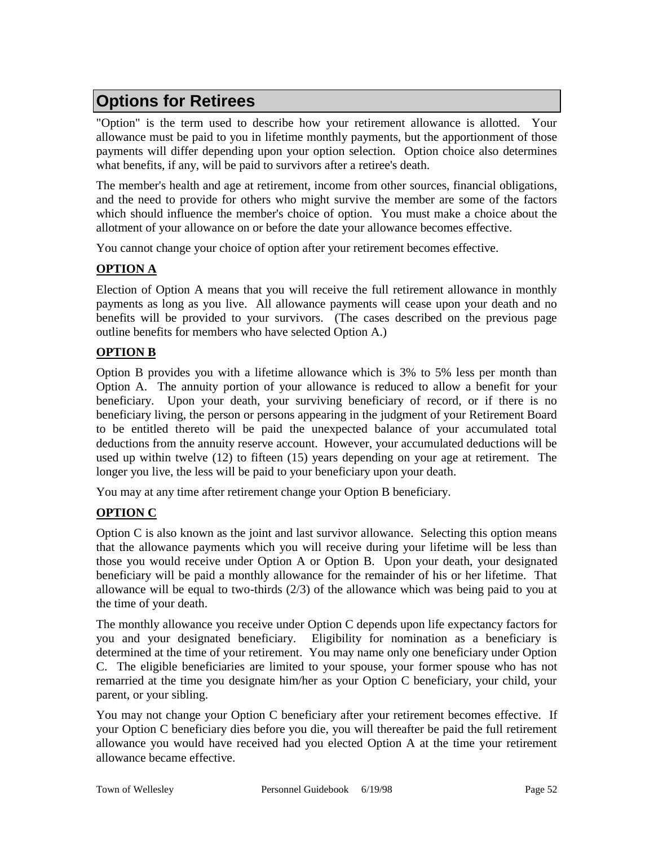## **Options for Retirees**

"Option" is the term used to describe how your retirement allowance is allotted. Your allowance must be paid to you in lifetime monthly payments, but the apportionment of those payments will differ depending upon your option selection. Option choice also determines what benefits, if any, will be paid to survivors after a retiree's death.

The member's health and age at retirement, income from other sources, financial obligations, and the need to provide for others who might survive the member are some of the factors which should influence the member's choice of option. You must make a choice about the allotment of your allowance on or before the date your allowance becomes effective.

You cannot change your choice of option after your retirement becomes effective.

#### **OPTION A**

Election of Option A means that you will receive the full retirement allowance in monthly payments as long as you live. All allowance payments will cease upon your death and no benefits will be provided to your survivors. (The cases described on the previous page outline benefits for members who have selected Option A.)

#### **OPTION B**

Option B provides you with a lifetime allowance which is 3% to 5% less per month than Option A. The annuity portion of your allowance is reduced to allow a benefit for your beneficiary. Upon your death, your surviving beneficiary of record, or if there is no beneficiary living, the person or persons appearing in the judgment of your Retirement Board to be entitled thereto will be paid the unexpected balance of your accumulated total deductions from the annuity reserve account. However, your accumulated deductions will be used up within twelve (12) to fifteen (15) years depending on your age at retirement. The longer you live, the less will be paid to your beneficiary upon your death.

You may at any time after retirement change your Option B beneficiary.

#### **OPTION C**

Option C is also known as the joint and last survivor allowance. Selecting this option means that the allowance payments which you will receive during your lifetime will be less than those you would receive under Option A or Option B. Upon your death, your designated beneficiary will be paid a monthly allowance for the remainder of his or her lifetime. That allowance will be equal to two-thirds (2/3) of the allowance which was being paid to you at the time of your death.

The monthly allowance you receive under Option C depends upon life expectancy factors for you and your designated beneficiary. Eligibility for nomination as a beneficiary is determined at the time of your retirement. You may name only one beneficiary under Option C. The eligible beneficiaries are limited to your spouse, your former spouse who has not remarried at the time you designate him/her as your Option C beneficiary, your child, your parent, or your sibling.

You may not change your Option C beneficiary after your retirement becomes effective. If your Option C beneficiary dies before you die, you will thereafter be paid the full retirement allowance you would have received had you elected Option A at the time your retirement allowance became effective.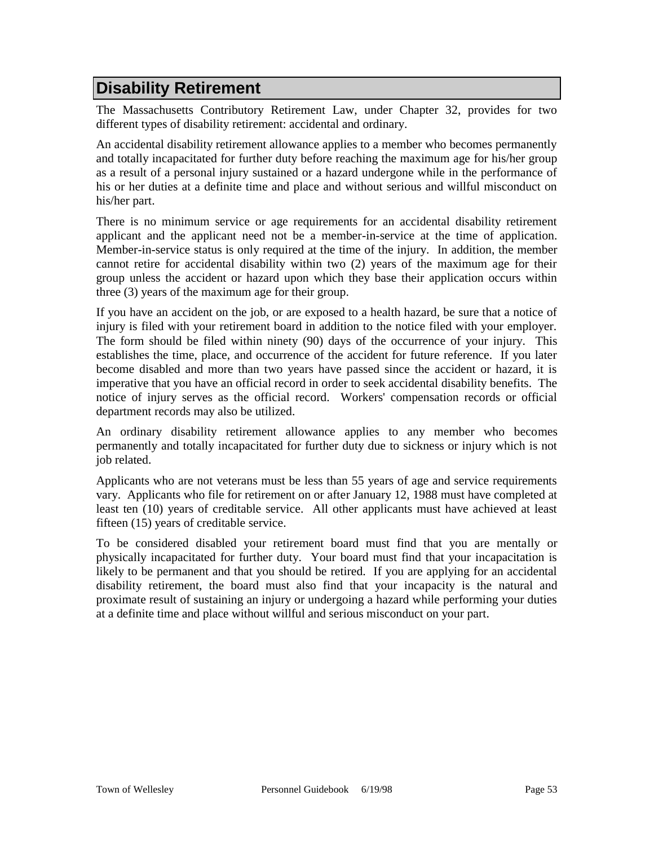## **Disability Retirement**

The Massachusetts Contributory Retirement Law, under Chapter 32, provides for two different types of disability retirement: accidental and ordinary.

An accidental disability retirement allowance applies to a member who becomes permanently and totally incapacitated for further duty before reaching the maximum age for his/her group as a result of a personal injury sustained or a hazard undergone while in the performance of his or her duties at a definite time and place and without serious and willful misconduct on his/her part.

There is no minimum service or age requirements for an accidental disability retirement applicant and the applicant need not be a member-in-service at the time of application. Member-in-service status is only required at the time of the injury. In addition, the member cannot retire for accidental disability within two (2) years of the maximum age for their group unless the accident or hazard upon which they base their application occurs within three (3) years of the maximum age for their group.

If you have an accident on the job, or are exposed to a health hazard, be sure that a notice of injury is filed with your retirement board in addition to the notice filed with your employer. The form should be filed within ninety (90) days of the occurrence of your injury. This establishes the time, place, and occurrence of the accident for future reference. If you later become disabled and more than two years have passed since the accident or hazard, it is imperative that you have an official record in order to seek accidental disability benefits. The notice of injury serves as the official record. Workers' compensation records or official department records may also be utilized.

An ordinary disability retirement allowance applies to any member who becomes permanently and totally incapacitated for further duty due to sickness or injury which is not job related.

Applicants who are not veterans must be less than 55 years of age and service requirements vary. Applicants who file for retirement on or after January 12, 1988 must have completed at least ten (10) years of creditable service. All other applicants must have achieved at least fifteen (15) years of creditable service.

To be considered disabled your retirement board must find that you are mentally or physically incapacitated for further duty. Your board must find that your incapacitation is likely to be permanent and that you should be retired. If you are applying for an accidental disability retirement, the board must also find that your incapacity is the natural and proximate result of sustaining an injury or undergoing a hazard while performing your duties at a definite time and place without willful and serious misconduct on your part.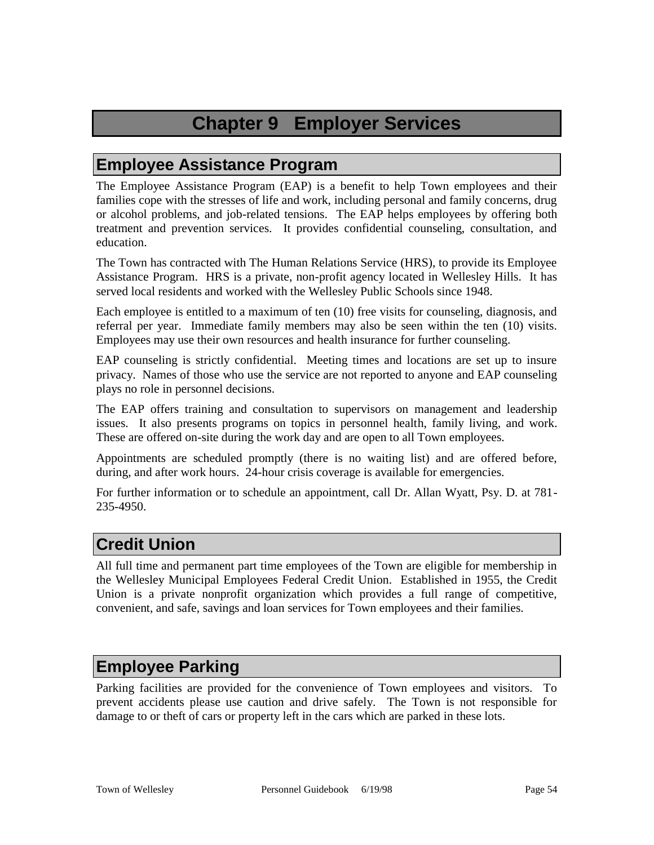# **Chapter 9 Employer Services**

### **Employee Assistance Program**

The Employee Assistance Program (EAP) is a benefit to help Town employees and their families cope with the stresses of life and work, including personal and family concerns, drug or alcohol problems, and job-related tensions. The EAP helps employees by offering both treatment and prevention services. It provides confidential counseling, consultation, and education.

The Town has contracted with The Human Relations Service (HRS), to provide its Employee Assistance Program. HRS is a private, non-profit agency located in Wellesley Hills. It has served local residents and worked with the Wellesley Public Schools since 1948.

Each employee is entitled to a maximum of ten (10) free visits for counseling, diagnosis, and referral per year. Immediate family members may also be seen within the ten (10) visits. Employees may use their own resources and health insurance for further counseling.

EAP counseling is strictly confidential. Meeting times and locations are set up to insure privacy. Names of those who use the service are not reported to anyone and EAP counseling plays no role in personnel decisions.

The EAP offers training and consultation to supervisors on management and leadership issues. It also presents programs on topics in personnel health, family living, and work. These are offered on-site during the work day and are open to all Town employees.

Appointments are scheduled promptly (there is no waiting list) and are offered before, during, and after work hours. 24-hour crisis coverage is available for emergencies.

For further information or to schedule an appointment, call Dr. Allan Wyatt, Psy. D. at 781- 235-4950.

## **Credit Union**

All full time and permanent part time employees of the Town are eligible for membership in the Wellesley Municipal Employees Federal Credit Union. Established in 1955, the Credit Union is a private nonprofit organization which provides a full range of competitive, convenient, and safe, savings and loan services for Town employees and their families.

#### **Employee Parking**

Parking facilities are provided for the convenience of Town employees and visitors. To prevent accidents please use caution and drive safely. The Town is not responsible for damage to or theft of cars or property left in the cars which are parked in these lots.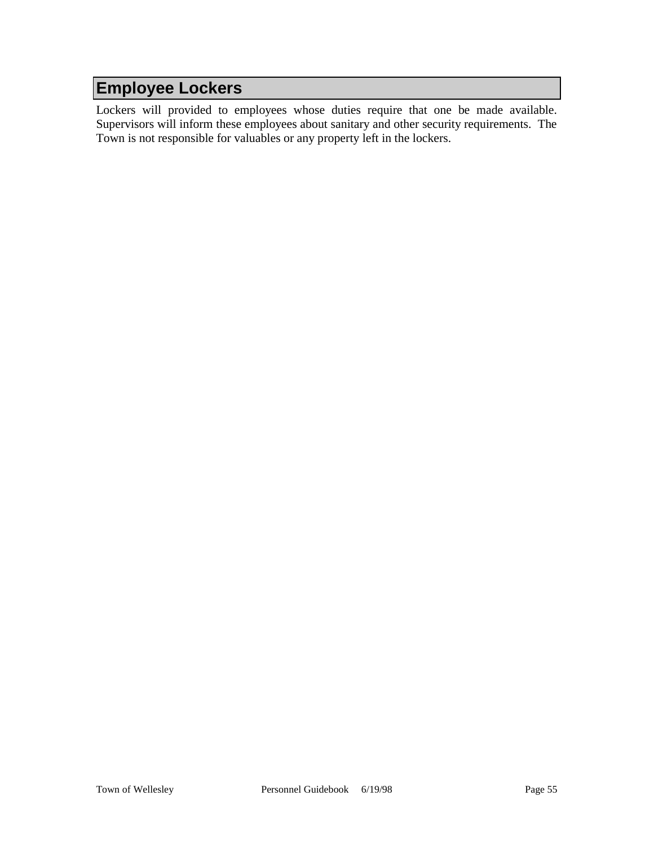# **Employee Lockers**

Lockers will provided to employees whose duties require that one be made available. Supervisors will inform these employees about sanitary and other security requirements. The Town is not responsible for valuables or any property left in the lockers.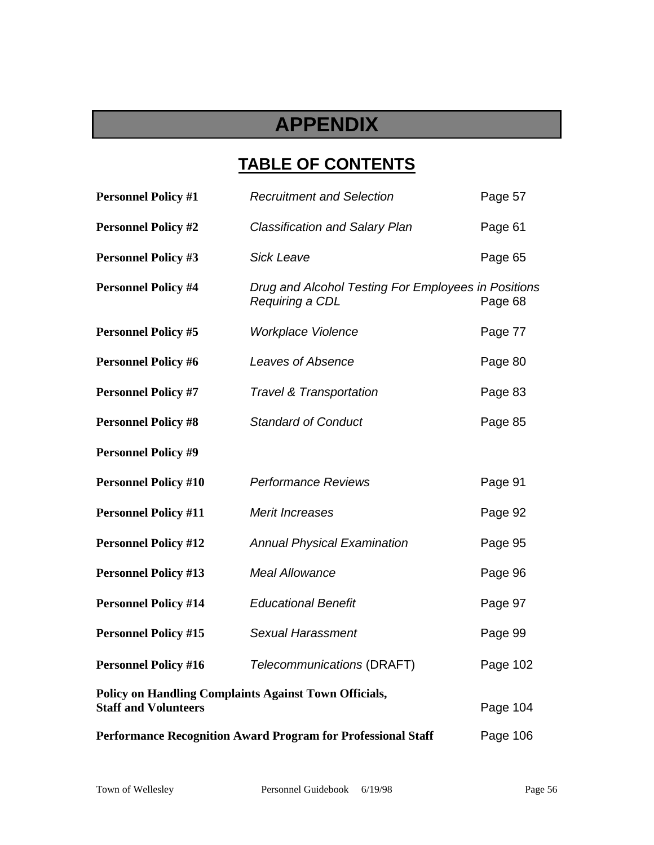# **APPENDIX**

# **TABLE OF CONTENTS**

| <b>Personnel Policy #1</b>                                                                  | <b>Recruitment and Selection</b>                                       | Page 57  |
|---------------------------------------------------------------------------------------------|------------------------------------------------------------------------|----------|
| <b>Personnel Policy #2</b>                                                                  | <b>Classification and Salary Plan</b>                                  | Page 61  |
| <b>Personnel Policy #3</b>                                                                  | <b>Sick Leave</b>                                                      | Page 65  |
| <b>Personnel Policy #4</b>                                                                  | Drug and Alcohol Testing For Employees in Positions<br>Requiring a CDL | Page 68  |
| <b>Personnel Policy #5</b>                                                                  | <b>Workplace Violence</b>                                              | Page 77  |
| <b>Personnel Policy #6</b>                                                                  | <b>Leaves of Absence</b>                                               | Page 80  |
| <b>Personnel Policy #7</b>                                                                  | <b>Travel &amp; Transportation</b>                                     | Page 83  |
| <b>Personnel Policy #8</b>                                                                  | <b>Standard of Conduct</b>                                             | Page 85  |
| <b>Personnel Policy #9</b>                                                                  |                                                                        |          |
| <b>Personnel Policy #10</b>                                                                 | <b>Performance Reviews</b>                                             | Page 91  |
| <b>Personnel Policy #11</b>                                                                 | Merit Increases                                                        | Page 92  |
| <b>Personnel Policy #12</b>                                                                 | <b>Annual Physical Examination</b>                                     | Page 95  |
| <b>Personnel Policy #13</b>                                                                 | <b>Meal Allowance</b>                                                  | Page 96  |
| <b>Personnel Policy #14</b>                                                                 | <b>Educational Benefit</b>                                             | Page 97  |
| <b>Personnel Policy #15</b>                                                                 | <b>Sexual Harassment</b>                                               | Page 99  |
| <b>Personnel Policy #16</b>                                                                 | Telecommunications (DRAFT)                                             | Page 102 |
| <b>Policy on Handling Complaints Against Town Officials,</b><br><b>Staff and Volunteers</b> |                                                                        | Page 104 |
| <b>Performance Recognition Award Program for Professional Staff</b>                         |                                                                        |          |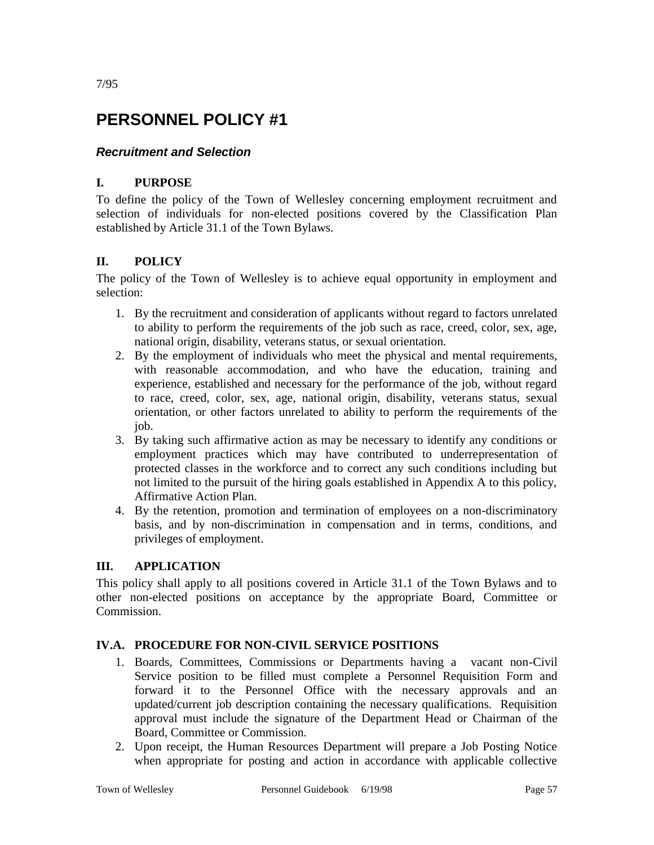#### *Recruitment and Selection*

#### **I. PURPOSE**

To define the policy of the Town of Wellesley concerning employment recruitment and selection of individuals for non-elected positions covered by the Classification Plan established by Article 31.1 of the Town Bylaws.

#### **II. POLICY**

The policy of the Town of Wellesley is to achieve equal opportunity in employment and selection:

- 1. By the recruitment and consideration of applicants without regard to factors unrelated to ability to perform the requirements of the job such as race, creed, color, sex, age, national origin, disability, veterans status, or sexual orientation.
- 2. By the employment of individuals who meet the physical and mental requirements, with reasonable accommodation, and who have the education, training and experience, established and necessary for the performance of the job, without regard to race, creed, color, sex, age, national origin, disability, veterans status, sexual orientation, or other factors unrelated to ability to perform the requirements of the job.
- 3. By taking such affirmative action as may be necessary to identify any conditions or employment practices which may have contributed to underrepresentation of protected classes in the workforce and to correct any such conditions including but not limited to the pursuit of the hiring goals established in Appendix A to this policy, Affirmative Action Plan.
- 4. By the retention, promotion and termination of employees on a non-discriminatory basis, and by non-discrimination in compensation and in terms, conditions, and privileges of employment.

#### **III. APPLICATION**

This policy shall apply to all positions covered in Article 31.1 of the Town Bylaws and to other non-elected positions on acceptance by the appropriate Board, Committee or Commission.

#### **IV.A. PROCEDURE FOR NON-CIVIL SERVICE POSITIONS**

- 1. Boards, Committees, Commissions or Departments having a vacant non-Civil Service position to be filled must complete a Personnel Requisition Form and forward it to the Personnel Office with the necessary approvals and an updated/current job description containing the necessary qualifications. Requisition approval must include the signature of the Department Head or Chairman of the Board, Committee or Commission.
- 2. Upon receipt, the Human Resources Department will prepare a Job Posting Notice when appropriate for posting and action in accordance with applicable collective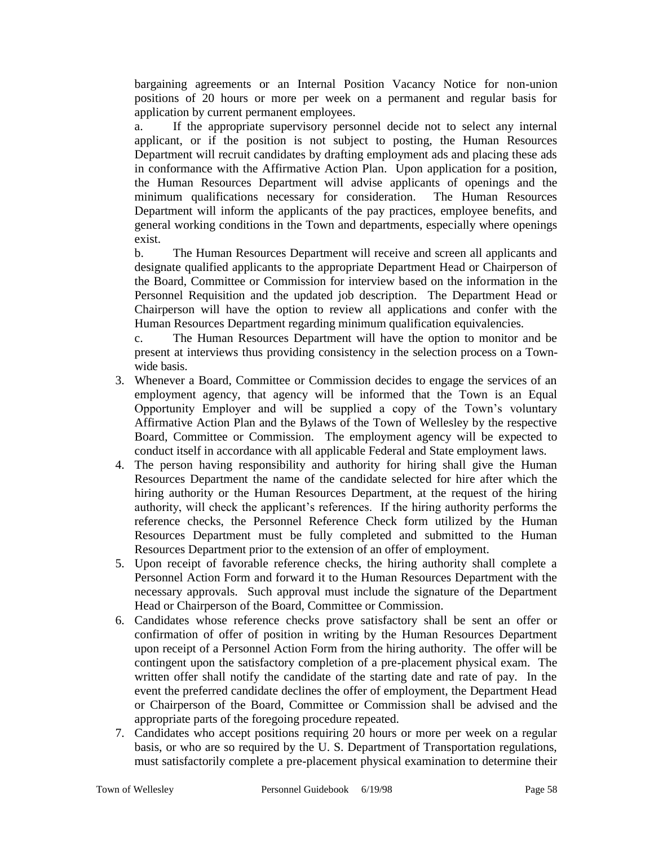bargaining agreements or an Internal Position Vacancy Notice for non-union positions of 20 hours or more per week on a permanent and regular basis for application by current permanent employees.

a. If the appropriate supervisory personnel decide not to select any internal applicant, or if the position is not subject to posting, the Human Resources Department will recruit candidates by drafting employment ads and placing these ads in conformance with the Affirmative Action Plan. Upon application for a position, the Human Resources Department will advise applicants of openings and the minimum qualifications necessary for consideration. The Human Resources Department will inform the applicants of the pay practices, employee benefits, and general working conditions in the Town and departments, especially where openings exist.

b. The Human Resources Department will receive and screen all applicants and designate qualified applicants to the appropriate Department Head or Chairperson of the Board, Committee or Commission for interview based on the information in the Personnel Requisition and the updated job description. The Department Head or Chairperson will have the option to review all applications and confer with the Human Resources Department regarding minimum qualification equivalencies.

c. The Human Resources Department will have the option to monitor and be present at interviews thus providing consistency in the selection process on a Townwide basis.

- 3. Whenever a Board, Committee or Commission decides to engage the services of an employment agency, that agency will be informed that the Town is an Equal Opportunity Employer and will be supplied a copy of the Town's voluntary Affirmative Action Plan and the Bylaws of the Town of Wellesley by the respective Board, Committee or Commission. The employment agency will be expected to conduct itself in accordance with all applicable Federal and State employment laws.
- 4. The person having responsibility and authority for hiring shall give the Human Resources Department the name of the candidate selected for hire after which the hiring authority or the Human Resources Department, at the request of the hiring authority, will check the applicant's references. If the hiring authority performs the reference checks, the Personnel Reference Check form utilized by the Human Resources Department must be fully completed and submitted to the Human Resources Department prior to the extension of an offer of employment.
- 5. Upon receipt of favorable reference checks, the hiring authority shall complete a Personnel Action Form and forward it to the Human Resources Department with the necessary approvals. Such approval must include the signature of the Department Head or Chairperson of the Board, Committee or Commission.
- 6. Candidates whose reference checks prove satisfactory shall be sent an offer or confirmation of offer of position in writing by the Human Resources Department upon receipt of a Personnel Action Form from the hiring authority. The offer will be contingent upon the satisfactory completion of a pre-placement physical exam. The written offer shall notify the candidate of the starting date and rate of pay. In the event the preferred candidate declines the offer of employment, the Department Head or Chairperson of the Board, Committee or Commission shall be advised and the appropriate parts of the foregoing procedure repeated.
- 7. Candidates who accept positions requiring 20 hours or more per week on a regular basis, or who are so required by the U. S. Department of Transportation regulations, must satisfactorily complete a pre-placement physical examination to determine their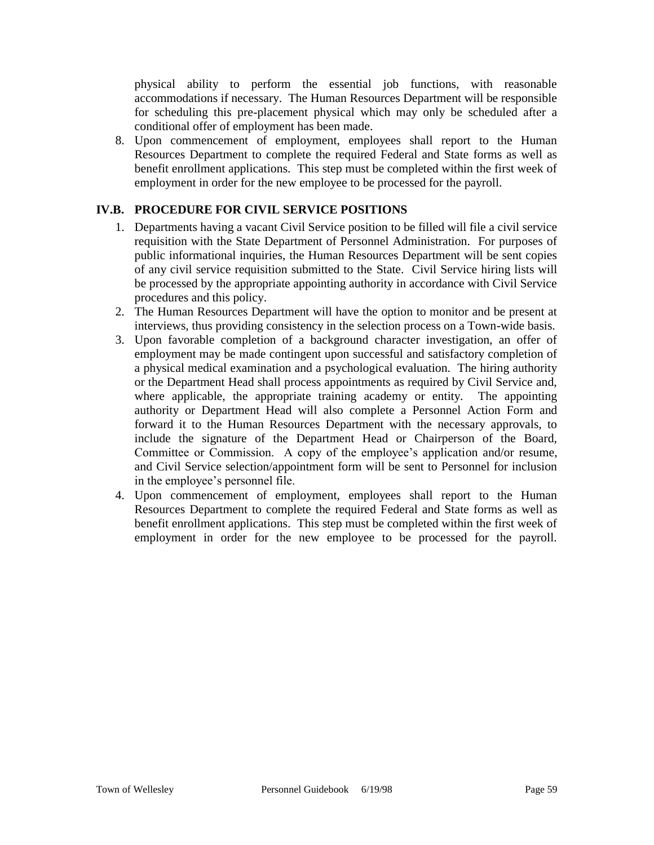physical ability to perform the essential job functions, with reasonable accommodations if necessary. The Human Resources Department will be responsible for scheduling this pre-placement physical which may only be scheduled after a conditional offer of employment has been made.

8. Upon commencement of employment, employees shall report to the Human Resources Department to complete the required Federal and State forms as well as benefit enrollment applications. This step must be completed within the first week of employment in order for the new employee to be processed for the payroll.

#### **IV.B. PROCEDURE FOR CIVIL SERVICE POSITIONS**

- 1. Departments having a vacant Civil Service position to be filled will file a civil service requisition with the State Department of Personnel Administration. For purposes of public informational inquiries, the Human Resources Department will be sent copies of any civil service requisition submitted to the State. Civil Service hiring lists will be processed by the appropriate appointing authority in accordance with Civil Service procedures and this policy.
- 2. The Human Resources Department will have the option to monitor and be present at interviews, thus providing consistency in the selection process on a Town-wide basis.
- 3. Upon favorable completion of a background character investigation, an offer of employment may be made contingent upon successful and satisfactory completion of a physical medical examination and a psychological evaluation. The hiring authority or the Department Head shall process appointments as required by Civil Service and, where applicable, the appropriate training academy or entity. The appointing authority or Department Head will also complete a Personnel Action Form and forward it to the Human Resources Department with the necessary approvals, to include the signature of the Department Head or Chairperson of the Board, Committee or Commission. A copy of the employee's application and/or resume, and Civil Service selection/appointment form will be sent to Personnel for inclusion in the employee's personnel file.
- 4. Upon commencement of employment, employees shall report to the Human Resources Department to complete the required Federal and State forms as well as benefit enrollment applications. This step must be completed within the first week of employment in order for the new employee to be processed for the payroll.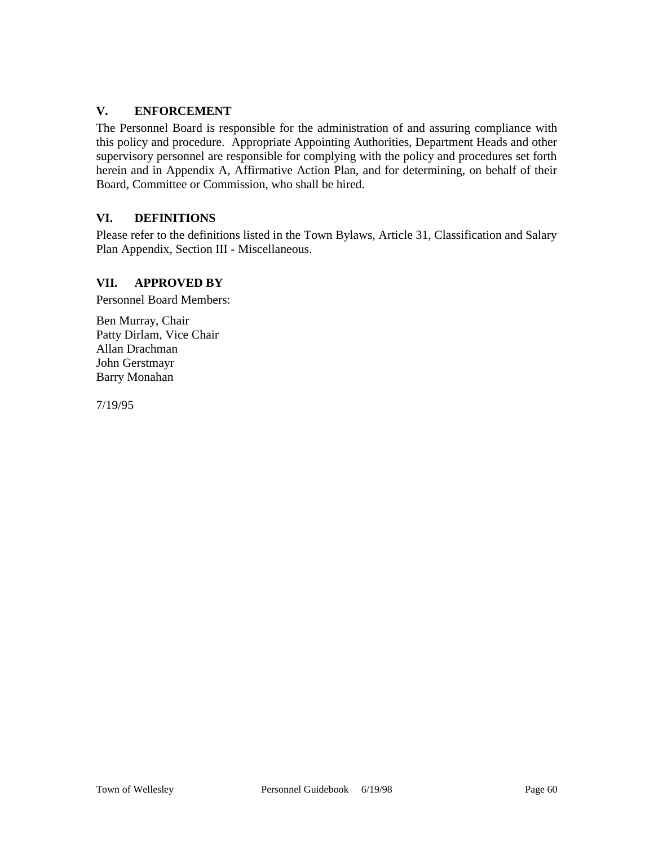## **V. ENFORCEMENT**

The Personnel Board is responsible for the administration of and assuring compliance with this policy and procedure. Appropriate Appointing Authorities, Department Heads and other supervisory personnel are responsible for complying with the policy and procedures set forth herein and in Appendix A, Affirmative Action Plan, and for determining, on behalf of their Board, Committee or Commission, who shall be hired.

## **VI. DEFINITIONS**

Please refer to the definitions listed in the Town Bylaws, Article 31, Classification and Salary Plan Appendix, Section III - Miscellaneous.

## **VII. APPROVED BY**

Personnel Board Members:

Ben Murray, Chair Patty Dirlam, Vice Chair Allan Drachman John Gerstmayr Barry Monahan

7/19/95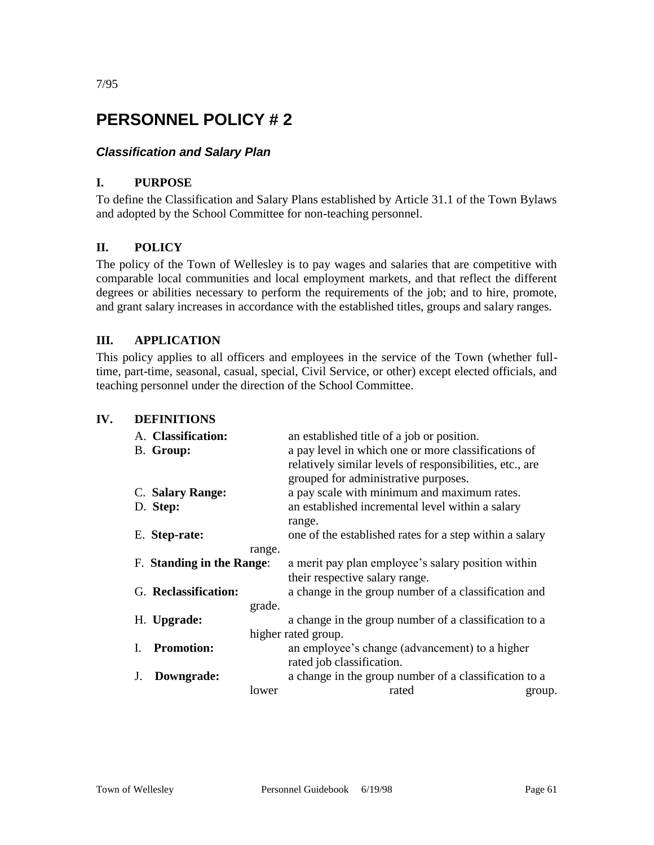# **PERSONNEL POLICY # 2**

## *Classification and Salary Plan*

## **I. PURPOSE**

To define the Classification and Salary Plans established by Article 31.1 of the Town Bylaws and adopted by the School Committee for non-teaching personnel.

## **II. POLICY**

The policy of the Town of Wellesley is to pay wages and salaries that are competitive with comparable local communities and local employment markets, and that reflect the different degrees or abilities necessary to perform the requirements of the job; and to hire, promote, and grant salary increases in accordance with the established titles, groups and salary ranges.

## **III. APPLICATION**

This policy applies to all officers and employees in the service of the Town (whether fulltime, part-time, seasonal, casual, special, Civil Service, or other) except elected officials, and teaching personnel under the direction of the School Committee.

## **IV. DEFINITIONS**

|              | A. Classification:<br>B. Group: |        | an established title of a job or position.<br>a pay level in which one or more classifications of<br>relatively similar levels of responsibilities, etc., are<br>grouped for administrative purposes. |        |
|--------------|---------------------------------|--------|-------------------------------------------------------------------------------------------------------------------------------------------------------------------------------------------------------|--------|
|              | C. Salary Range:                |        | a pay scale with minimum and maximum rates.                                                                                                                                                           |        |
|              | D. Step:                        |        | an established incremental level within a salary                                                                                                                                                      |        |
|              |                                 |        | range.                                                                                                                                                                                                |        |
|              | E. Step-rate:                   |        | one of the established rates for a step within a salary                                                                                                                                               |        |
|              |                                 | range. |                                                                                                                                                                                                       |        |
|              | F. Standing in the Range:       |        | a merit pay plan employee's salary position within                                                                                                                                                    |        |
|              |                                 |        | their respective salary range.                                                                                                                                                                        |        |
|              | G. Reclassification:            |        | a change in the group number of a classification and                                                                                                                                                  |        |
|              |                                 | grade. |                                                                                                                                                                                                       |        |
|              | H. Upgrade:                     |        | a change in the group number of a classification to a                                                                                                                                                 |        |
|              |                                 |        | higher rated group.                                                                                                                                                                                   |        |
| $\mathbf{L}$ | <b>Promotion:</b>               |        | an employee's change (advancement) to a higher                                                                                                                                                        |        |
|              |                                 |        | rated job classification.                                                                                                                                                                             |        |
| J.           | Downgrade:                      |        | a change in the group number of a classification to a                                                                                                                                                 |        |
|              |                                 | lower  | rated                                                                                                                                                                                                 | group. |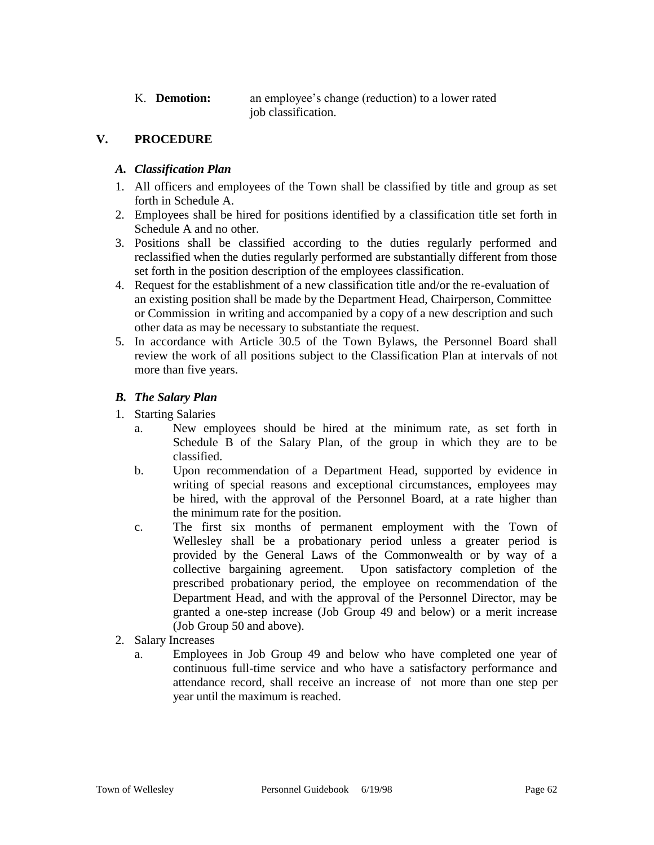| K. Demotion: | an employee's change (reduction) to a lower rated |  |
|--------------|---------------------------------------------------|--|
|              | job classification.                               |  |

#### **V. PROCEDURE**

#### *A. Classification Plan*

- 1. All officers and employees of the Town shall be classified by title and group as set forth in Schedule A.
- 2. Employees shall be hired for positions identified by a classification title set forth in Schedule A and no other.
- 3. Positions shall be classified according to the duties regularly performed and reclassified when the duties regularly performed are substantially different from those set forth in the position description of the employees classification.
- 4. Request for the establishment of a new classification title and/or the re-evaluation of an existing position shall be made by the Department Head, Chairperson, Committee or Commission in writing and accompanied by a copy of a new description and such other data as may be necessary to substantiate the request.
- 5. In accordance with Article 30.5 of the Town Bylaws, the Personnel Board shall review the work of all positions subject to the Classification Plan at intervals of not more than five years.

#### *B. The Salary Plan*

- 1. Starting Salaries
	- a. New employees should be hired at the minimum rate, as set forth in Schedule B of the Salary Plan, of the group in which they are to be classified.
	- b. Upon recommendation of a Department Head, supported by evidence in writing of special reasons and exceptional circumstances, employees may be hired, with the approval of the Personnel Board, at a rate higher than the minimum rate for the position.
	- c. The first six months of permanent employment with the Town of Wellesley shall be a probationary period unless a greater period is provided by the General Laws of the Commonwealth or by way of a collective bargaining agreement. Upon satisfactory completion of the prescribed probationary period, the employee on recommendation of the Department Head, and with the approval of the Personnel Director, may be granted a one-step increase (Job Group 49 and below) or a merit increase (Job Group 50 and above).
- 2. Salary Increases
	- a. Employees in Job Group 49 and below who have completed one year of continuous full-time service and who have a satisfactory performance and attendance record, shall receive an increase of not more than one step per year until the maximum is reached.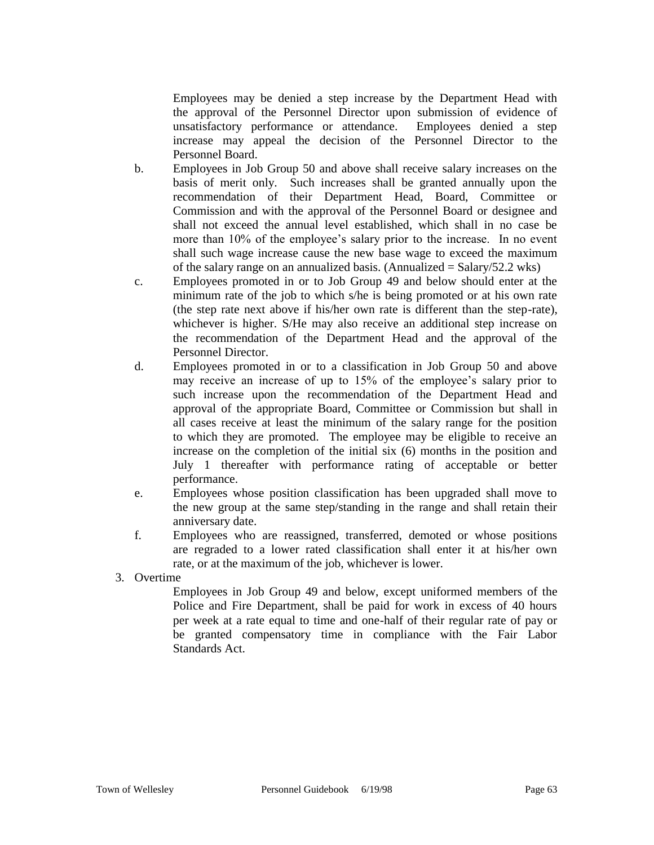Employees may be denied a step increase by the Department Head with the approval of the Personnel Director upon submission of evidence of unsatisfactory performance or attendance. Employees denied a step increase may appeal the decision of the Personnel Director to the Personnel Board.

- b. Employees in Job Group 50 and above shall receive salary increases on the basis of merit only. Such increases shall be granted annually upon the recommendation of their Department Head, Board, Committee or Commission and with the approval of the Personnel Board or designee and shall not exceed the annual level established, which shall in no case be more than 10% of the employee's salary prior to the increase. In no event shall such wage increase cause the new base wage to exceed the maximum of the salary range on an annualized basis. (Annualized  $=$  Salary/52.2 wks)
- c. Employees promoted in or to Job Group 49 and below should enter at the minimum rate of the job to which s/he is being promoted or at his own rate (the step rate next above if his/her own rate is different than the step-rate), whichever is higher. S/He may also receive an additional step increase on the recommendation of the Department Head and the approval of the Personnel Director.
- d. Employees promoted in or to a classification in Job Group 50 and above may receive an increase of up to 15% of the employee's salary prior to such increase upon the recommendation of the Department Head and approval of the appropriate Board, Committee or Commission but shall in all cases receive at least the minimum of the salary range for the position to which they are promoted. The employee may be eligible to receive an increase on the completion of the initial six (6) months in the position and July 1 thereafter with performance rating of acceptable or better performance.
- e. Employees whose position classification has been upgraded shall move to the new group at the same step/standing in the range and shall retain their anniversary date.
- f. Employees who are reassigned, transferred, demoted or whose positions are regraded to a lower rated classification shall enter it at his/her own rate, or at the maximum of the job, whichever is lower.
- 3. Overtime

Employees in Job Group 49 and below, except uniformed members of the Police and Fire Department, shall be paid for work in excess of 40 hours per week at a rate equal to time and one-half of their regular rate of pay or be granted compensatory time in compliance with the Fair Labor Standards Act.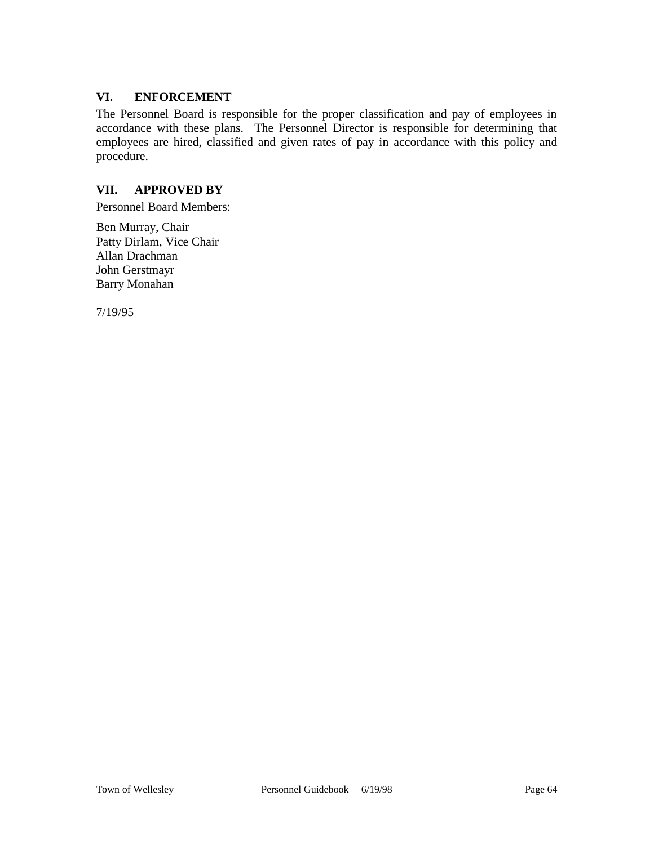## **VI. ENFORCEMENT**

The Personnel Board is responsible for the proper classification and pay of employees in accordance with these plans. The Personnel Director is responsible for determining that employees are hired, classified and given rates of pay in accordance with this policy and procedure.

## **VII. APPROVED BY**

Personnel Board Members:

Ben Murray, Chair Patty Dirlam, Vice Chair Allan Drachman John Gerstmayr Barry Monahan

7/19/95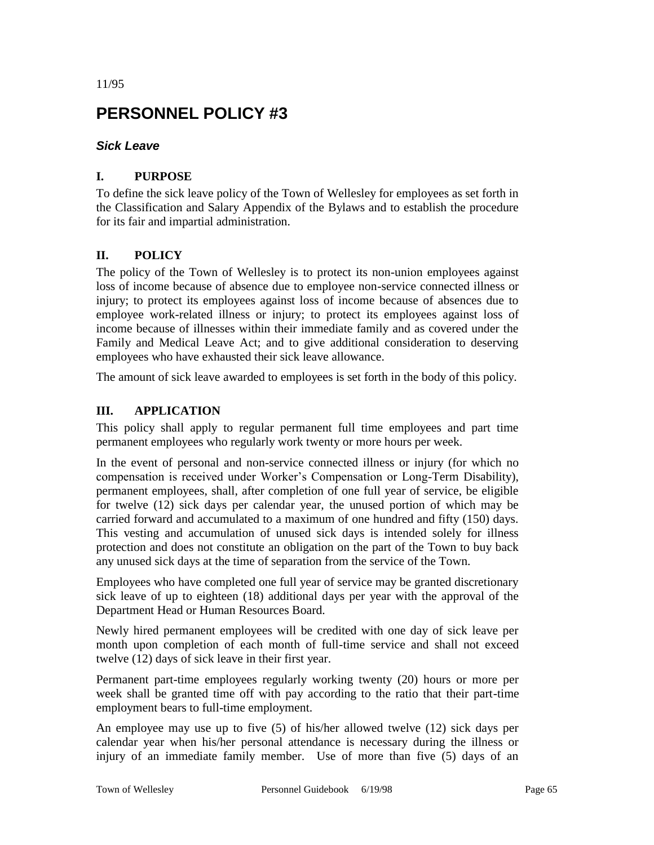11/95

# **PERSONNEL POLICY #3**

### *Sick Leave*

## **I. PURPOSE**

To define the sick leave policy of the Town of Wellesley for employees as set forth in the Classification and Salary Appendix of the Bylaws and to establish the procedure for its fair and impartial administration.

## **II. POLICY**

The policy of the Town of Wellesley is to protect its non-union employees against loss of income because of absence due to employee non-service connected illness or injury; to protect its employees against loss of income because of absences due to employee work-related illness or injury; to protect its employees against loss of income because of illnesses within their immediate family and as covered under the Family and Medical Leave Act; and to give additional consideration to deserving employees who have exhausted their sick leave allowance.

The amount of sick leave awarded to employees is set forth in the body of this policy.

## **III. APPLICATION**

This policy shall apply to regular permanent full time employees and part time permanent employees who regularly work twenty or more hours per week.

In the event of personal and non-service connected illness or injury (for which no compensation is received under Worker's Compensation or Long-Term Disability), permanent employees, shall, after completion of one full year of service, be eligible for twelve (12) sick days per calendar year, the unused portion of which may be carried forward and accumulated to a maximum of one hundred and fifty (150) days. This vesting and accumulation of unused sick days is intended solely for illness protection and does not constitute an obligation on the part of the Town to buy back any unused sick days at the time of separation from the service of the Town.

Employees who have completed one full year of service may be granted discretionary sick leave of up to eighteen (18) additional days per year with the approval of the Department Head or Human Resources Board.

Newly hired permanent employees will be credited with one day of sick leave per month upon completion of each month of full-time service and shall not exceed twelve (12) days of sick leave in their first year.

Permanent part-time employees regularly working twenty (20) hours or more per week shall be granted time off with pay according to the ratio that their part-time employment bears to full-time employment.

An employee may use up to five (5) of his/her allowed twelve (12) sick days per calendar year when his/her personal attendance is necessary during the illness or injury of an immediate family member. Use of more than five (5) days of an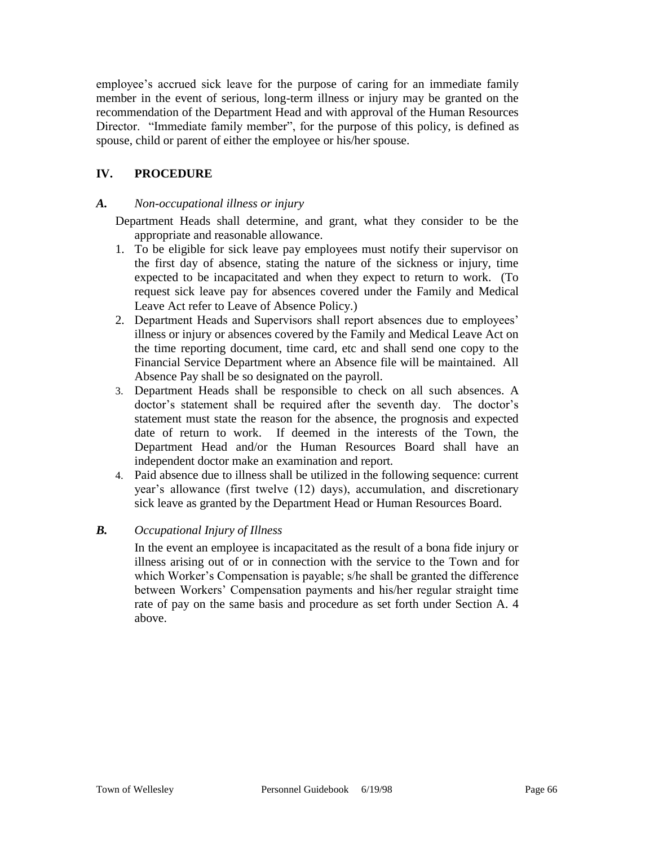employee's accrued sick leave for the purpose of caring for an immediate family member in the event of serious, long-term illness or injury may be granted on the recommendation of the Department Head and with approval of the Human Resources Director. "Immediate family member", for the purpose of this policy, is defined as spouse, child or parent of either the employee or his/her spouse.

### **IV. PROCEDURE**

#### *A. Non-occupational illness or injury*

Department Heads shall determine, and grant, what they consider to be the appropriate and reasonable allowance.

- 1. To be eligible for sick leave pay employees must notify their supervisor on the first day of absence, stating the nature of the sickness or injury, time expected to be incapacitated and when they expect to return to work. (To request sick leave pay for absences covered under the Family and Medical Leave Act refer to Leave of Absence Policy.)
- 2. Department Heads and Supervisors shall report absences due to employees' illness or injury or absences covered by the Family and Medical Leave Act on the time reporting document, time card, etc and shall send one copy to the Financial Service Department where an Absence file will be maintained. All Absence Pay shall be so designated on the payroll.
- 3. Department Heads shall be responsible to check on all such absences. A doctor's statement shall be required after the seventh day. The doctor's statement must state the reason for the absence, the prognosis and expected date of return to work. If deemed in the interests of the Town, the Department Head and/or the Human Resources Board shall have an independent doctor make an examination and report.
- 4. Paid absence due to illness shall be utilized in the following sequence: current year's allowance (first twelve (12) days), accumulation, and discretionary sick leave as granted by the Department Head or Human Resources Board.

#### *B. Occupational Injury of Illness*

In the event an employee is incapacitated as the result of a bona fide injury or illness arising out of or in connection with the service to the Town and for which Worker's Compensation is payable; s/he shall be granted the difference between Workers' Compensation payments and his/her regular straight time rate of pay on the same basis and procedure as set forth under Section A. 4 above.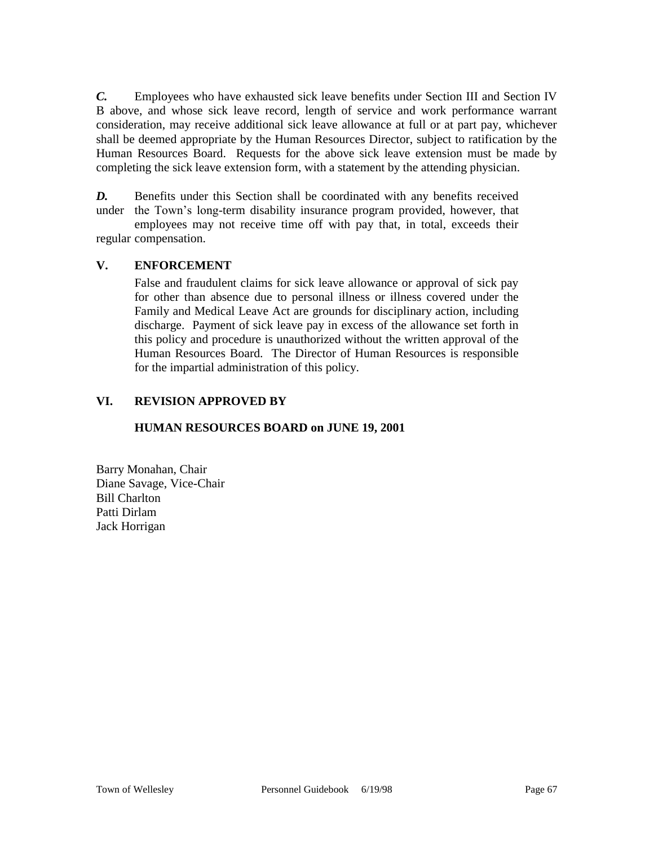*C.* Employees who have exhausted sick leave benefits under Section III and Section IV B above, and whose sick leave record, length of service and work performance warrant consideration, may receive additional sick leave allowance at full or at part pay, whichever shall be deemed appropriate by the Human Resources Director, subject to ratification by the Human Resources Board. Requests for the above sick leave extension must be made by completing the sick leave extension form, with a statement by the attending physician.

**D.** Benefits under this Section shall be coordinated with any benefits received

under the Town's long-term disability insurance program provided, however, that employees may not receive time off with pay that, in total, exceeds their regular compensation.

## **V. ENFORCEMENT**

False and fraudulent claims for sick leave allowance or approval of sick pay for other than absence due to personal illness or illness covered under the Family and Medical Leave Act are grounds for disciplinary action, including discharge. Payment of sick leave pay in excess of the allowance set forth in this policy and procedure is unauthorized without the written approval of the Human Resources Board. The Director of Human Resources is responsible for the impartial administration of this policy.

## **VI. REVISION APPROVED BY**

#### **HUMAN RESOURCES BOARD on JUNE 19, 2001**

Barry Monahan, Chair Diane Savage, Vice-Chair Bill Charlton Patti Dirlam Jack Horrigan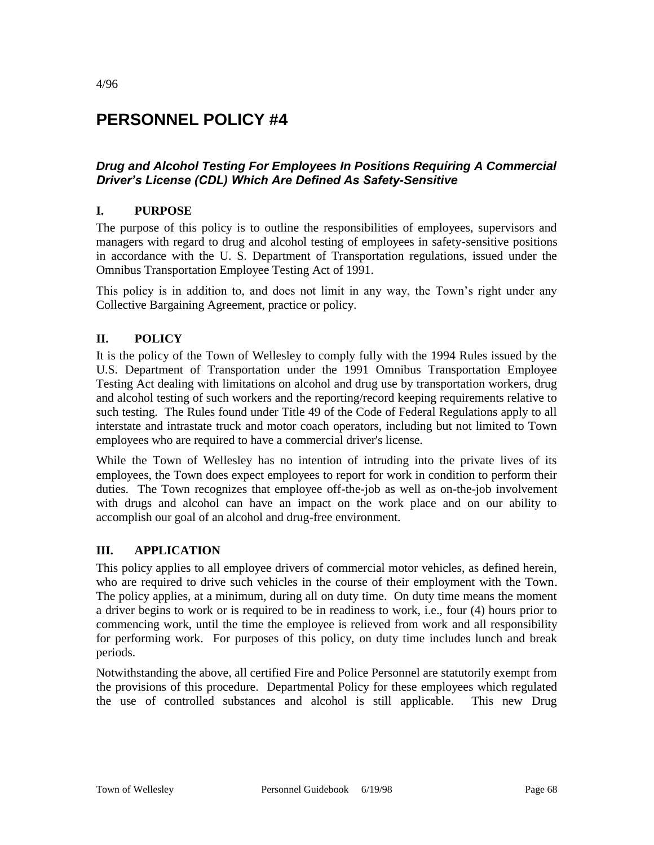## **PERSONNEL POLICY #4**

*Drug and Alcohol Testing For Employees In Positions Requiring A Commercial Driver's License (CDL) Which Are Defined As Safety-Sensitive*

## **I. PURPOSE**

The purpose of this policy is to outline the responsibilities of employees, supervisors and managers with regard to drug and alcohol testing of employees in safety-sensitive positions in accordance with the U. S. Department of Transportation regulations, issued under the Omnibus Transportation Employee Testing Act of 1991.

This policy is in addition to, and does not limit in any way, the Town's right under any Collective Bargaining Agreement, practice or policy.

## **II. POLICY**

It is the policy of the Town of Wellesley to comply fully with the 1994 Rules issued by the U.S. Department of Transportation under the 1991 Omnibus Transportation Employee Testing Act dealing with limitations on alcohol and drug use by transportation workers, drug and alcohol testing of such workers and the reporting/record keeping requirements relative to such testing. The Rules found under Title 49 of the Code of Federal Regulations apply to all interstate and intrastate truck and motor coach operators, including but not limited to Town employees who are required to have a commercial driver's license.

While the Town of Wellesley has no intention of intruding into the private lives of its employees, the Town does expect employees to report for work in condition to perform their duties. The Town recognizes that employee off-the-job as well as on-the-job involvement with drugs and alcohol can have an impact on the work place and on our ability to accomplish our goal of an alcohol and drug-free environment.

## **III. APPLICATION**

This policy applies to all employee drivers of commercial motor vehicles, as defined herein, who are required to drive such vehicles in the course of their employment with the Town. The policy applies, at a minimum, during all on duty time. On duty time means the moment a driver begins to work or is required to be in readiness to work, i.e., four (4) hours prior to commencing work, until the time the employee is relieved from work and all responsibility for performing work. For purposes of this policy, on duty time includes lunch and break periods.

Notwithstanding the above, all certified Fire and Police Personnel are statutorily exempt from the provisions of this procedure. Departmental Policy for these employees which regulated the use of controlled substances and alcohol is still applicable. This new Drug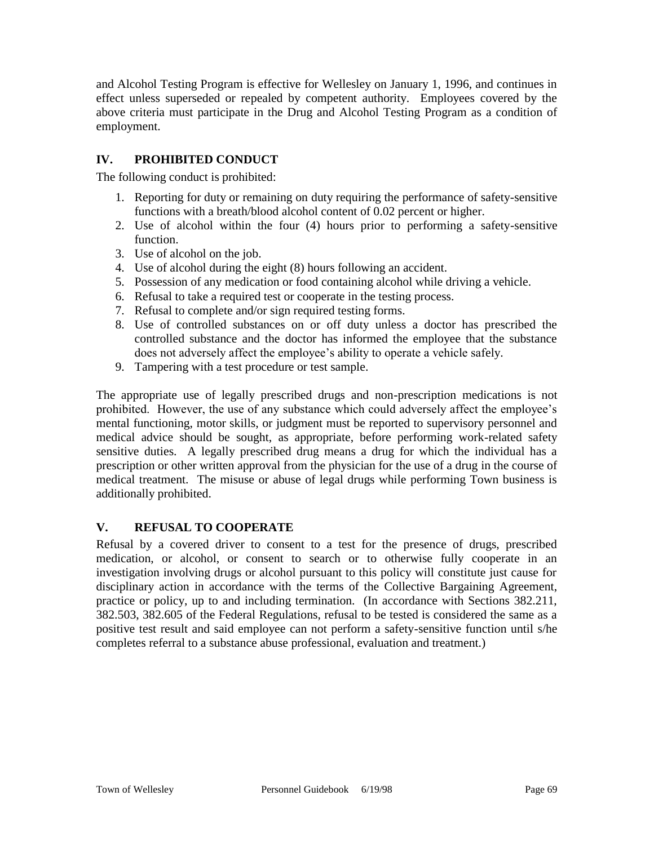and Alcohol Testing Program is effective for Wellesley on January 1, 1996, and continues in effect unless superseded or repealed by competent authority. Employees covered by the above criteria must participate in the Drug and Alcohol Testing Program as a condition of employment.

## **IV. PROHIBITED CONDUCT**

The following conduct is prohibited:

- 1. Reporting for duty or remaining on duty requiring the performance of safety-sensitive functions with a breath/blood alcohol content of 0.02 percent or higher.
- 2. Use of alcohol within the four (4) hours prior to performing a safety-sensitive function.
- 3. Use of alcohol on the job.
- 4. Use of alcohol during the eight (8) hours following an accident.
- 5. Possession of any medication or food containing alcohol while driving a vehicle.
- 6. Refusal to take a required test or cooperate in the testing process.
- 7. Refusal to complete and/or sign required testing forms.
- 8. Use of controlled substances on or off duty unless a doctor has prescribed the controlled substance and the doctor has informed the employee that the substance does not adversely affect the employee's ability to operate a vehicle safely.
- 9. Tampering with a test procedure or test sample.

The appropriate use of legally prescribed drugs and non-prescription medications is not prohibited. However, the use of any substance which could adversely affect the employee's mental functioning, motor skills, or judgment must be reported to supervisory personnel and medical advice should be sought, as appropriate, before performing work-related safety sensitive duties. A legally prescribed drug means a drug for which the individual has a prescription or other written approval from the physician for the use of a drug in the course of medical treatment. The misuse or abuse of legal drugs while performing Town business is additionally prohibited.

#### **V. REFUSAL TO COOPERATE**

Refusal by a covered driver to consent to a test for the presence of drugs, prescribed medication, or alcohol, or consent to search or to otherwise fully cooperate in an investigation involving drugs or alcohol pursuant to this policy will constitute just cause for disciplinary action in accordance with the terms of the Collective Bargaining Agreement, practice or policy, up to and including termination. (In accordance with Sections 382.211, 382.503, 382.605 of the Federal Regulations, refusal to be tested is considered the same as a positive test result and said employee can not perform a safety-sensitive function until s/he completes referral to a substance abuse professional, evaluation and treatment.)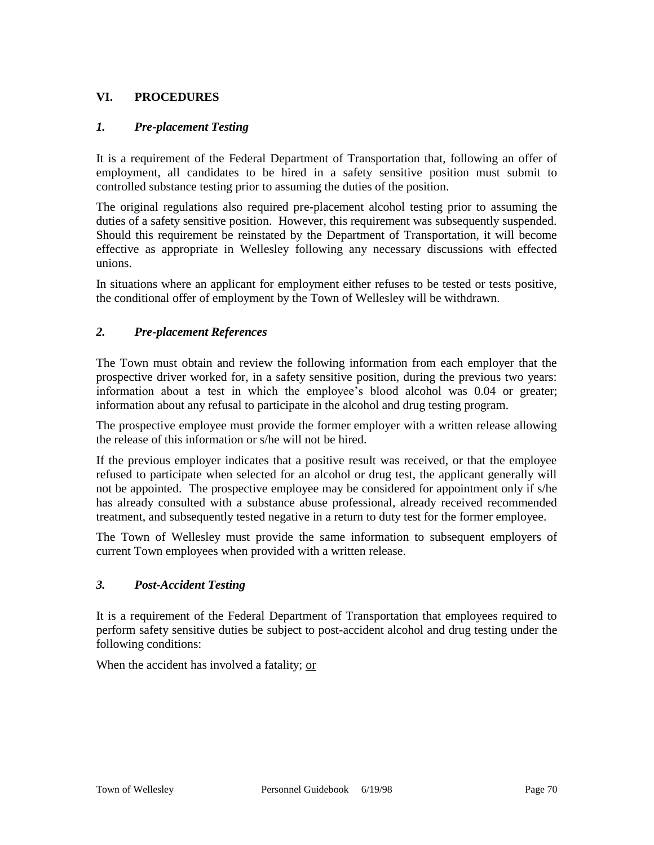## **VI. PROCEDURES**

## *1. Pre-placement Testing*

It is a requirement of the Federal Department of Transportation that, following an offer of employment, all candidates to be hired in a safety sensitive position must submit to controlled substance testing prior to assuming the duties of the position.

The original regulations also required pre-placement alcohol testing prior to assuming the duties of a safety sensitive position. However, this requirement was subsequently suspended. Should this requirement be reinstated by the Department of Transportation, it will become effective as appropriate in Wellesley following any necessary discussions with effected unions.

In situations where an applicant for employment either refuses to be tested or tests positive, the conditional offer of employment by the Town of Wellesley will be withdrawn.

#### *2. Pre-placement References*

The Town must obtain and review the following information from each employer that the prospective driver worked for, in a safety sensitive position, during the previous two years: information about a test in which the employee's blood alcohol was 0.04 or greater; information about any refusal to participate in the alcohol and drug testing program.

The prospective employee must provide the former employer with a written release allowing the release of this information or s/he will not be hired.

If the previous employer indicates that a positive result was received, or that the employee refused to participate when selected for an alcohol or drug test, the applicant generally will not be appointed. The prospective employee may be considered for appointment only if s/he has already consulted with a substance abuse professional, already received recommended treatment, and subsequently tested negative in a return to duty test for the former employee.

The Town of Wellesley must provide the same information to subsequent employers of current Town employees when provided with a written release.

#### *3. Post-Accident Testing*

It is a requirement of the Federal Department of Transportation that employees required to perform safety sensitive duties be subject to post-accident alcohol and drug testing under the following conditions:

When the accident has involved a fatality; or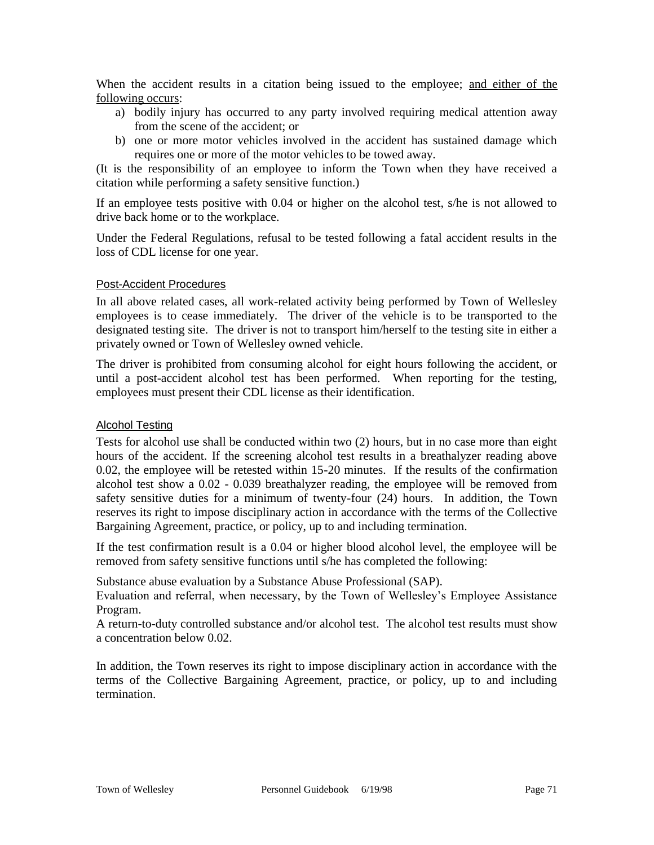When the accident results in a citation being issued to the employee; and either of the following occurs:

- a) bodily injury has occurred to any party involved requiring medical attention away from the scene of the accident; or
- b) one or more motor vehicles involved in the accident has sustained damage which requires one or more of the motor vehicles to be towed away.

(It is the responsibility of an employee to inform the Town when they have received a citation while performing a safety sensitive function.)

If an employee tests positive with 0.04 or higher on the alcohol test, s/he is not allowed to drive back home or to the workplace.

Under the Federal Regulations, refusal to be tested following a fatal accident results in the loss of CDL license for one year.

#### Post-Accident Procedures

In all above related cases, all work-related activity being performed by Town of Wellesley employees is to cease immediately. The driver of the vehicle is to be transported to the designated testing site. The driver is not to transport him/herself to the testing site in either a privately owned or Town of Wellesley owned vehicle.

The driver is prohibited from consuming alcohol for eight hours following the accident, or until a post-accident alcohol test has been performed. When reporting for the testing, employees must present their CDL license as their identification.

#### Alcohol Testing

Tests for alcohol use shall be conducted within two (2) hours, but in no case more than eight hours of the accident. If the screening alcohol test results in a breathalyzer reading above 0.02, the employee will be retested within 15-20 minutes. If the results of the confirmation alcohol test show a 0.02 - 0.039 breathalyzer reading, the employee will be removed from safety sensitive duties for a minimum of twenty-four (24) hours. In addition, the Town reserves its right to impose disciplinary action in accordance with the terms of the Collective Bargaining Agreement, practice, or policy, up to and including termination.

If the test confirmation result is a 0.04 or higher blood alcohol level, the employee will be removed from safety sensitive functions until s/he has completed the following:

Substance abuse evaluation by a Substance Abuse Professional (SAP).

Evaluation and referral, when necessary, by the Town of Wellesley's Employee Assistance Program.

A return-to-duty controlled substance and/or alcohol test. The alcohol test results must show a concentration below 0.02.

In addition, the Town reserves its right to impose disciplinary action in accordance with the terms of the Collective Bargaining Agreement, practice, or policy, up to and including termination.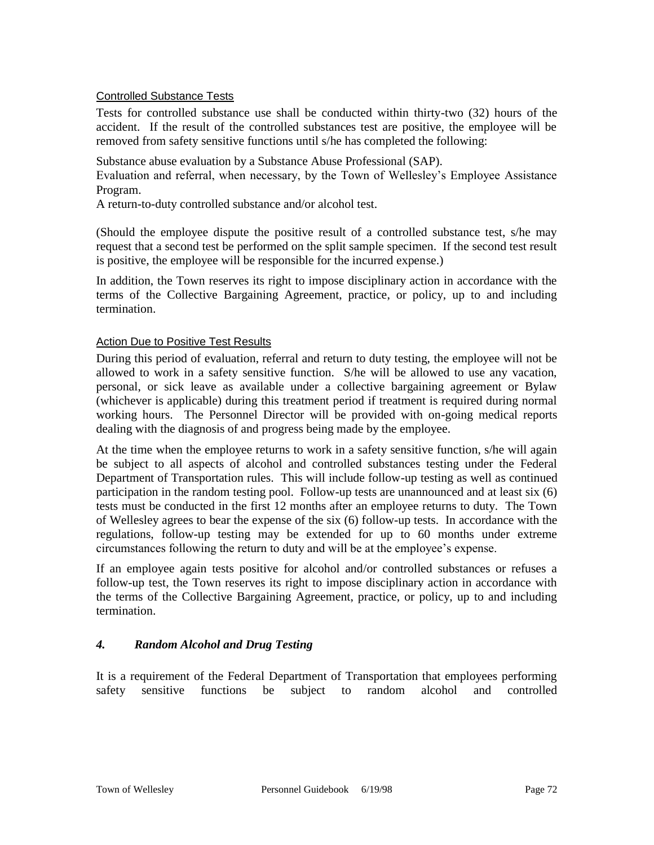#### Controlled Substance Tests

Tests for controlled substance use shall be conducted within thirty-two (32) hours of the accident. If the result of the controlled substances test are positive, the employee will be removed from safety sensitive functions until s/he has completed the following:

Substance abuse evaluation by a Substance Abuse Professional (SAP).

Evaluation and referral, when necessary, by the Town of Wellesley's Employee Assistance Program.

A return-to-duty controlled substance and/or alcohol test.

(Should the employee dispute the positive result of a controlled substance test, s/he may request that a second test be performed on the split sample specimen. If the second test result is positive, the employee will be responsible for the incurred expense.)

In addition, the Town reserves its right to impose disciplinary action in accordance with the terms of the Collective Bargaining Agreement, practice, or policy, up to and including termination.

#### Action Due to Positive Test Results

During this period of evaluation, referral and return to duty testing, the employee will not be allowed to work in a safety sensitive function. S/he will be allowed to use any vacation, personal, or sick leave as available under a collective bargaining agreement or Bylaw (whichever is applicable) during this treatment period if treatment is required during normal working hours. The Personnel Director will be provided with on-going medical reports dealing with the diagnosis of and progress being made by the employee.

At the time when the employee returns to work in a safety sensitive function, s/he will again be subject to all aspects of alcohol and controlled substances testing under the Federal Department of Transportation rules. This will include follow-up testing as well as continued participation in the random testing pool. Follow-up tests are unannounced and at least six (6) tests must be conducted in the first 12 months after an employee returns to duty. The Town of Wellesley agrees to bear the expense of the six (6) follow-up tests. In accordance with the regulations, follow-up testing may be extended for up to 60 months under extreme circumstances following the return to duty and will be at the employee's expense.

If an employee again tests positive for alcohol and/or controlled substances or refuses a follow-up test, the Town reserves its right to impose disciplinary action in accordance with the terms of the Collective Bargaining Agreement, practice, or policy, up to and including termination.

#### *4. Random Alcohol and Drug Testing*

It is a requirement of the Federal Department of Transportation that employees performing safety sensitive functions be subject to random alcohol and controlled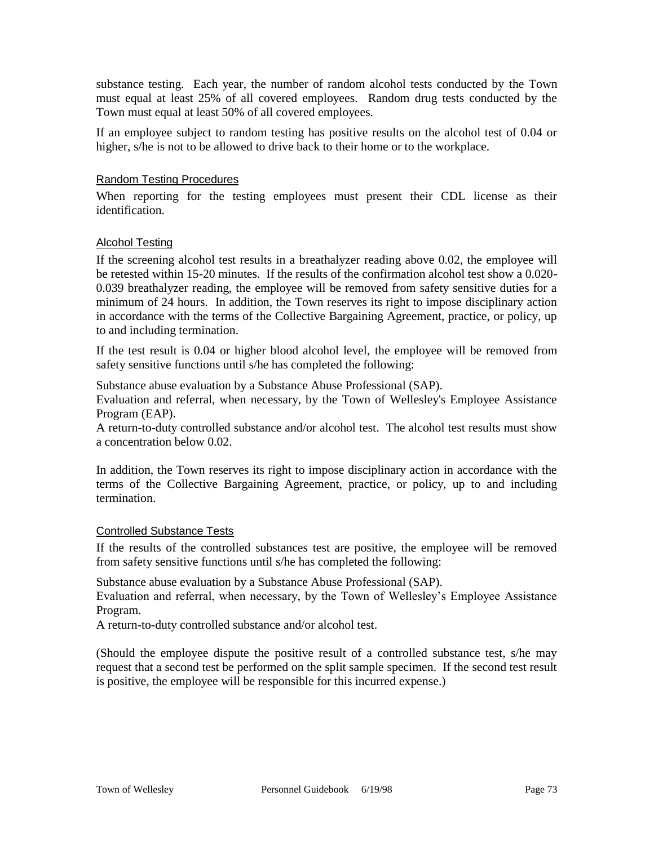substance testing. Each year, the number of random alcohol tests conducted by the Town must equal at least 25% of all covered employees. Random drug tests conducted by the Town must equal at least 50% of all covered employees.

If an employee subject to random testing has positive results on the alcohol test of 0.04 or higher, s/he is not to be allowed to drive back to their home or to the workplace.

#### Random Testing Procedures

When reporting for the testing employees must present their CDL license as their identification.

#### Alcohol Testing

If the screening alcohol test results in a breathalyzer reading above 0.02, the employee will be retested within 15-20 minutes. If the results of the confirmation alcohol test show a 0.020- 0.039 breathalyzer reading, the employee will be removed from safety sensitive duties for a minimum of 24 hours. In addition, the Town reserves its right to impose disciplinary action in accordance with the terms of the Collective Bargaining Agreement, practice, or policy, up to and including termination.

If the test result is 0.04 or higher blood alcohol level, the employee will be removed from safety sensitive functions until s/he has completed the following:

Substance abuse evaluation by a Substance Abuse Professional (SAP).

Evaluation and referral, when necessary, by the Town of Wellesley's Employee Assistance Program (EAP).

A return-to-duty controlled substance and/or alcohol test. The alcohol test results must show a concentration below 0.02.

In addition, the Town reserves its right to impose disciplinary action in accordance with the terms of the Collective Bargaining Agreement, practice, or policy, up to and including termination.

#### Controlled Substance Tests

If the results of the controlled substances test are positive, the employee will be removed from safety sensitive functions until s/he has completed the following:

Substance abuse evaluation by a Substance Abuse Professional (SAP).

Evaluation and referral, when necessary, by the Town of Wellesley's Employee Assistance Program.

A return-to-duty controlled substance and/or alcohol test.

(Should the employee dispute the positive result of a controlled substance test, s/he may request that a second test be performed on the split sample specimen. If the second test result is positive, the employee will be responsible for this incurred expense.)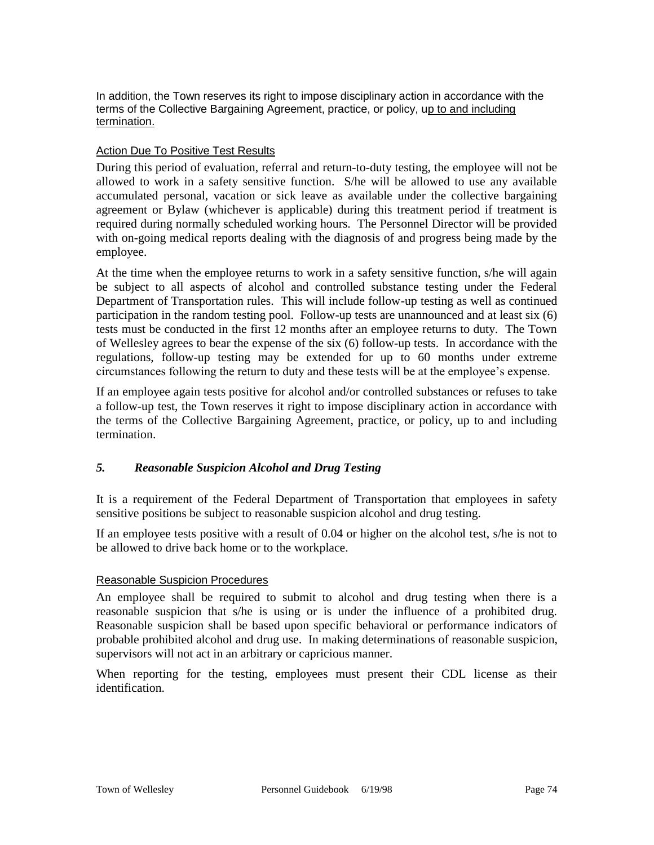In addition, the Town reserves its right to impose disciplinary action in accordance with the terms of the Collective Bargaining Agreement, practice, or policy, up to and including termination.

#### Action Due To Positive Test Results

During this period of evaluation, referral and return-to-duty testing, the employee will not be allowed to work in a safety sensitive function. S/he will be allowed to use any available accumulated personal, vacation or sick leave as available under the collective bargaining agreement or Bylaw (whichever is applicable) during this treatment period if treatment is required during normally scheduled working hours. The Personnel Director will be provided with on-going medical reports dealing with the diagnosis of and progress being made by the employee.

At the time when the employee returns to work in a safety sensitive function, s/he will again be subject to all aspects of alcohol and controlled substance testing under the Federal Department of Transportation rules. This will include follow-up testing as well as continued participation in the random testing pool. Follow-up tests are unannounced and at least six (6) tests must be conducted in the first 12 months after an employee returns to duty. The Town of Wellesley agrees to bear the expense of the six (6) follow-up tests. In accordance with the regulations, follow-up testing may be extended for up to 60 months under extreme circumstances following the return to duty and these tests will be at the employee's expense.

If an employee again tests positive for alcohol and/or controlled substances or refuses to take a follow-up test, the Town reserves it right to impose disciplinary action in accordance with the terms of the Collective Bargaining Agreement, practice, or policy, up to and including termination.

#### *5. Reasonable Suspicion Alcohol and Drug Testing*

It is a requirement of the Federal Department of Transportation that employees in safety sensitive positions be subject to reasonable suspicion alcohol and drug testing.

If an employee tests positive with a result of 0.04 or higher on the alcohol test, s/he is not to be allowed to drive back home or to the workplace.

#### Reasonable Suspicion Procedures

An employee shall be required to submit to alcohol and drug testing when there is a reasonable suspicion that s/he is using or is under the influence of a prohibited drug. Reasonable suspicion shall be based upon specific behavioral or performance indicators of probable prohibited alcohol and drug use. In making determinations of reasonable suspicion, supervisors will not act in an arbitrary or capricious manner.

When reporting for the testing, employees must present their CDL license as their identification.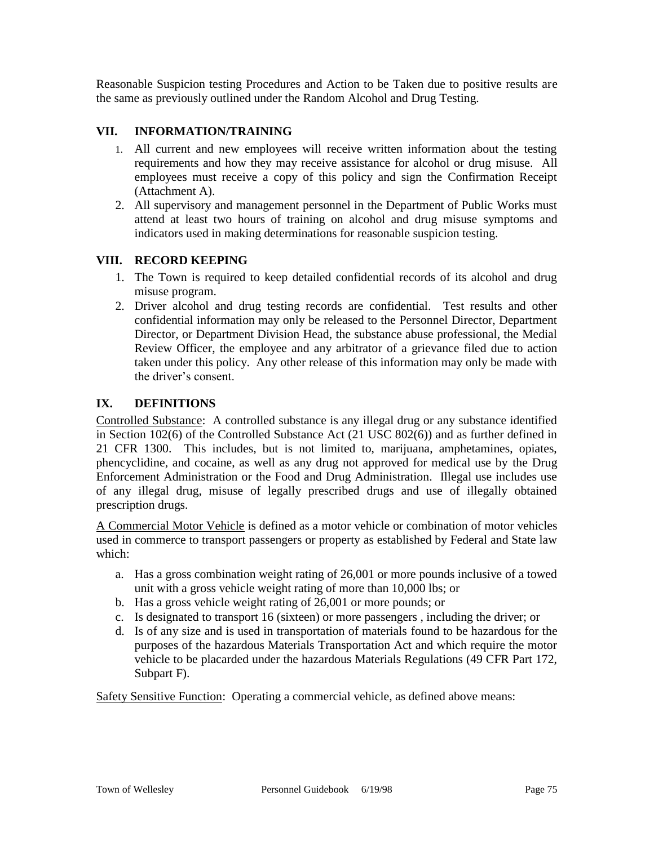Reasonable Suspicion testing Procedures and Action to be Taken due to positive results are the same as previously outlined under the Random Alcohol and Drug Testing.

### **VII. INFORMATION/TRAINING**

- 1. All current and new employees will receive written information about the testing requirements and how they may receive assistance for alcohol or drug misuse. All employees must receive a copy of this policy and sign the Confirmation Receipt (Attachment A).
- 2. All supervisory and management personnel in the Department of Public Works must attend at least two hours of training on alcohol and drug misuse symptoms and indicators used in making determinations for reasonable suspicion testing.

## **VIII. RECORD KEEPING**

- 1. The Town is required to keep detailed confidential records of its alcohol and drug misuse program.
- 2. Driver alcohol and drug testing records are confidential. Test results and other confidential information may only be released to the Personnel Director, Department Director, or Department Division Head, the substance abuse professional, the Medial Review Officer, the employee and any arbitrator of a grievance filed due to action taken under this policy. Any other release of this information may only be made with the driver's consent.

## **IX. DEFINITIONS**

Controlled Substance: A controlled substance is any illegal drug or any substance identified in Section 102(6) of the Controlled Substance Act (21 USC 802(6)) and as further defined in 21 CFR 1300. This includes, but is not limited to, marijuana, amphetamines, opiates, phencyclidine, and cocaine, as well as any drug not approved for medical use by the Drug Enforcement Administration or the Food and Drug Administration. Illegal use includes use of any illegal drug, misuse of legally prescribed drugs and use of illegally obtained prescription drugs.

A Commercial Motor Vehicle is defined as a motor vehicle or combination of motor vehicles used in commerce to transport passengers or property as established by Federal and State law which:

- a. Has a gross combination weight rating of 26,001 or more pounds inclusive of a towed unit with a gross vehicle weight rating of more than 10,000 lbs; or
- b. Has a gross vehicle weight rating of 26,001 or more pounds; or
- c. Is designated to transport 16 (sixteen) or more passengers , including the driver; or
- d. Is of any size and is used in transportation of materials found to be hazardous for the purposes of the hazardous Materials Transportation Act and which require the motor vehicle to be placarded under the hazardous Materials Regulations (49 CFR Part 172, Subpart F).

Safety Sensitive Function: Operating a commercial vehicle, as defined above means: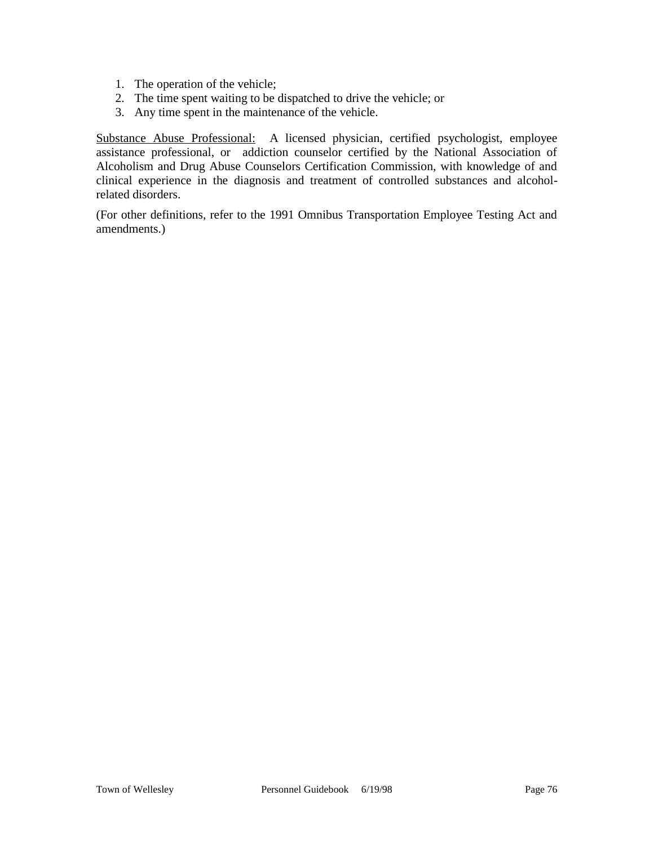- 1. The operation of the vehicle;
- 2. The time spent waiting to be dispatched to drive the vehicle; or
- 3. Any time spent in the maintenance of the vehicle.

Substance Abuse Professional: A licensed physician, certified psychologist, employee assistance professional, or addiction counselor certified by the National Association of Alcoholism and Drug Abuse Counselors Certification Commission, with knowledge of and clinical experience in the diagnosis and treatment of controlled substances and alcoholrelated disorders.

(For other definitions, refer to the 1991 Omnibus Transportation Employee Testing Act and amendments.)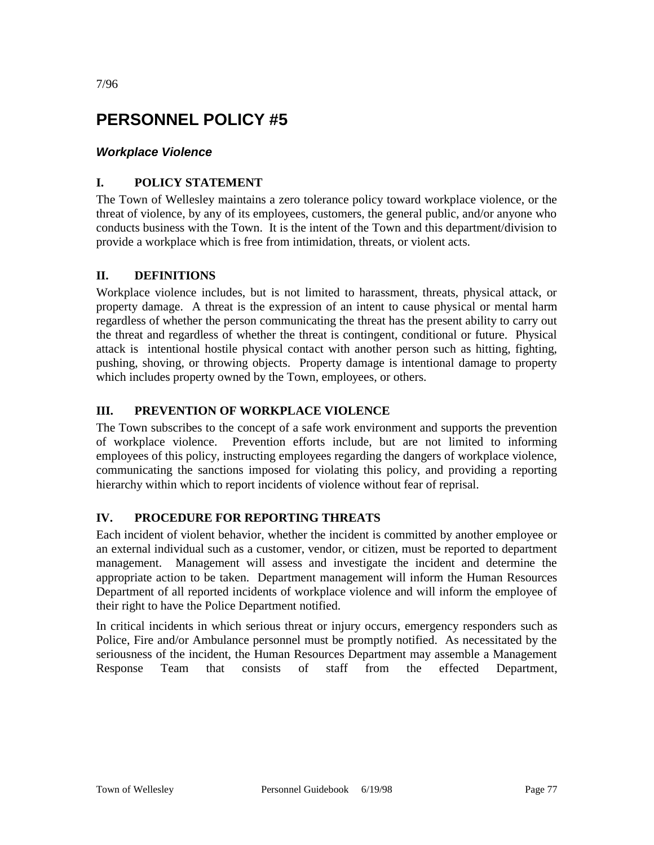## *Workplace Violence*

## **I. POLICY STATEMENT**

The Town of Wellesley maintains a zero tolerance policy toward workplace violence, or the threat of violence, by any of its employees, customers, the general public, and/or anyone who conducts business with the Town. It is the intent of the Town and this department/division to provide a workplace which is free from intimidation, threats, or violent acts.

## **II. DEFINITIONS**

Workplace violence includes, but is not limited to harassment, threats, physical attack, or property damage. A threat is the expression of an intent to cause physical or mental harm regardless of whether the person communicating the threat has the present ability to carry out the threat and regardless of whether the threat is contingent, conditional or future. Physical attack is intentional hostile physical contact with another person such as hitting, fighting, pushing, shoving, or throwing objects. Property damage is intentional damage to property which includes property owned by the Town, employees, or others.

## **III. PREVENTION OF WORKPLACE VIOLENCE**

The Town subscribes to the concept of a safe work environment and supports the prevention of workplace violence. Prevention efforts include, but are not limited to informing employees of this policy, instructing employees regarding the dangers of workplace violence, communicating the sanctions imposed for violating this policy, and providing a reporting hierarchy within which to report incidents of violence without fear of reprisal.

## **IV. PROCEDURE FOR REPORTING THREATS**

Each incident of violent behavior, whether the incident is committed by another employee or an external individual such as a customer, vendor, or citizen, must be reported to department management. Management will assess and investigate the incident and determine the appropriate action to be taken. Department management will inform the Human Resources Department of all reported incidents of workplace violence and will inform the employee of their right to have the Police Department notified.

In critical incidents in which serious threat or injury occurs, emergency responders such as Police, Fire and/or Ambulance personnel must be promptly notified. As necessitated by the seriousness of the incident, the Human Resources Department may assemble a Management Response Team that consists of staff from the effected Department,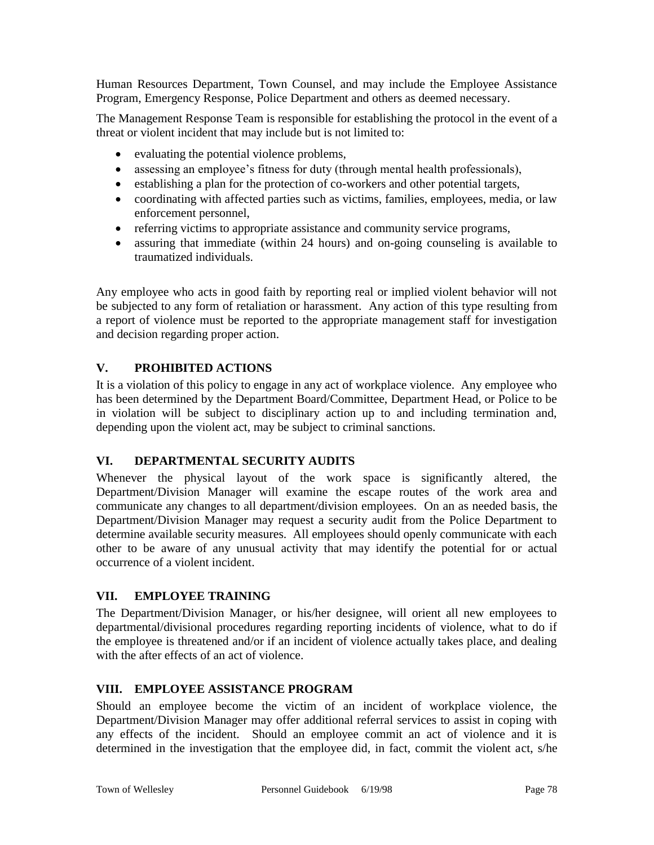Human Resources Department, Town Counsel, and may include the Employee Assistance Program, Emergency Response, Police Department and others as deemed necessary.

The Management Response Team is responsible for establishing the protocol in the event of a threat or violent incident that may include but is not limited to:

- evaluating the potential violence problems,
- assessing an employee's fitness for duty (through mental health professionals),
- establishing a plan for the protection of co-workers and other potential targets,
- coordinating with affected parties such as victims, families, employees, media, or law enforcement personnel,
- referring victims to appropriate assistance and community service programs,
- assuring that immediate (within 24 hours) and on-going counseling is available to traumatized individuals.

Any employee who acts in good faith by reporting real or implied violent behavior will not be subjected to any form of retaliation or harassment. Any action of this type resulting from a report of violence must be reported to the appropriate management staff for investigation and decision regarding proper action.

## **V. PROHIBITED ACTIONS**

It is a violation of this policy to engage in any act of workplace violence. Any employee who has been determined by the Department Board/Committee, Department Head, or Police to be in violation will be subject to disciplinary action up to and including termination and, depending upon the violent act, may be subject to criminal sanctions.

## **VI. DEPARTMENTAL SECURITY AUDITS**

Whenever the physical layout of the work space is significantly altered, the Department/Division Manager will examine the escape routes of the work area and communicate any changes to all department/division employees. On an as needed basis, the Department/Division Manager may request a security audit from the Police Department to determine available security measures. All employees should openly communicate with each other to be aware of any unusual activity that may identify the potential for or actual occurrence of a violent incident.

#### **VII. EMPLOYEE TRAINING**

The Department/Division Manager, or his/her designee, will orient all new employees to departmental/divisional procedures regarding reporting incidents of violence, what to do if the employee is threatened and/or if an incident of violence actually takes place, and dealing with the after effects of an act of violence.

#### **VIII. EMPLOYEE ASSISTANCE PROGRAM**

Should an employee become the victim of an incident of workplace violence, the Department/Division Manager may offer additional referral services to assist in coping with any effects of the incident. Should an employee commit an act of violence and it is determined in the investigation that the employee did, in fact, commit the violent act, s/he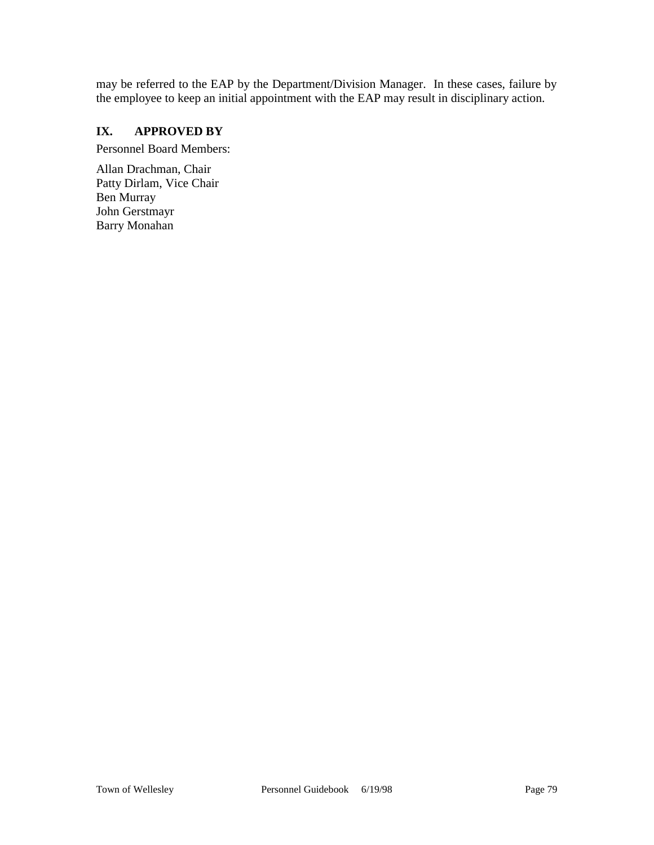may be referred to the EAP by the Department/Division Manager. In these cases, failure by the employee to keep an initial appointment with the EAP may result in disciplinary action.

### **IX. APPROVED BY**

Personnel Board Members:

Allan Drachman, Chair Patty Dirlam, Vice Chair Ben Murray John Gerstmayr Barry Monahan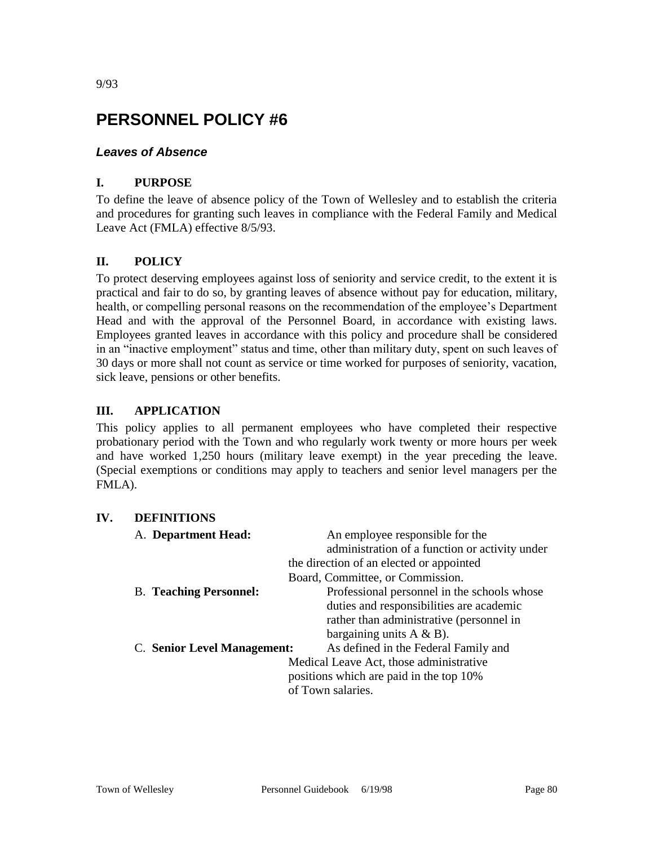# **PERSONNEL POLICY #6**

## *Leaves of Absence*

## **I. PURPOSE**

To define the leave of absence policy of the Town of Wellesley and to establish the criteria and procedures for granting such leaves in compliance with the Federal Family and Medical Leave Act (FMLA) effective 8/5/93.

## **II. POLICY**

To protect deserving employees against loss of seniority and service credit, to the extent it is practical and fair to do so, by granting leaves of absence without pay for education, military, health, or compelling personal reasons on the recommendation of the employee's Department Head and with the approval of the Personnel Board, in accordance with existing laws. Employees granted leaves in accordance with this policy and procedure shall be considered in an "inactive employment" status and time, other than military duty, spent on such leaves of 30 days or more shall not count as service or time worked for purposes of seniority, vacation, sick leave, pensions or other benefits.

## **III. APPLICATION**

This policy applies to all permanent employees who have completed their respective probationary period with the Town and who regularly work twenty or more hours per week and have worked 1,250 hours (military leave exempt) in the year preceding the leave. (Special exemptions or conditions may apply to teachers and senior level managers per the FMLA).

## **IV. DEFINITIONS**

| A. Department Head:           | An employee responsible for the                |
|-------------------------------|------------------------------------------------|
|                               | administration of a function or activity under |
|                               | the direction of an elected or appointed       |
|                               | Board, Committee, or Commission.               |
| <b>B.</b> Teaching Personnel: | Professional personnel in the schools whose    |
|                               | duties and responsibilities are academic       |
|                               | rather than administrative (personnel in       |
|                               | bargaining units $A \& B$ ).                   |
| C. Senior Level Management:   | As defined in the Federal Family and           |
|                               | Medical Leave Act, those administrative        |
|                               | positions which are paid in the top 10%        |
|                               | of Town salaries.                              |
|                               |                                                |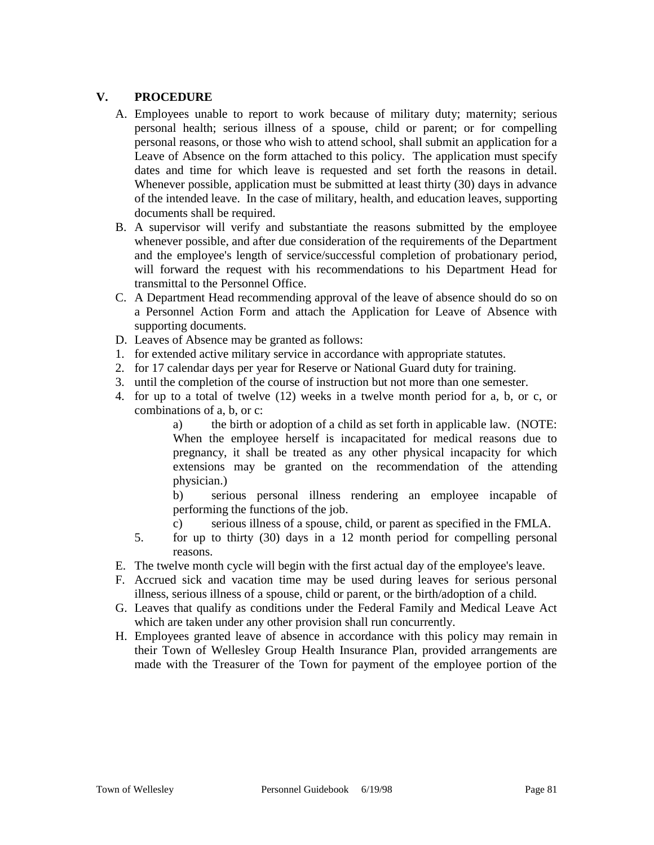#### **V. PROCEDURE**

- A. Employees unable to report to work because of military duty; maternity; serious personal health; serious illness of a spouse, child or parent; or for compelling personal reasons, or those who wish to attend school, shall submit an application for a Leave of Absence on the form attached to this policy. The application must specify dates and time for which leave is requested and set forth the reasons in detail. Whenever possible, application must be submitted at least thirty (30) days in advance of the intended leave. In the case of military, health, and education leaves, supporting documents shall be required.
- B. A supervisor will verify and substantiate the reasons submitted by the employee whenever possible, and after due consideration of the requirements of the Department and the employee's length of service/successful completion of probationary period, will forward the request with his recommendations to his Department Head for transmittal to the Personnel Office.
- C. A Department Head recommending approval of the leave of absence should do so on a Personnel Action Form and attach the Application for Leave of Absence with supporting documents.
- D. Leaves of Absence may be granted as follows:
- 1. for extended active military service in accordance with appropriate statutes.
- 2. for 17 calendar days per year for Reserve or National Guard duty for training.
- 3. until the completion of the course of instruction but not more than one semester.
- 4. for up to a total of twelve (12) weeks in a twelve month period for a, b, or c, or combinations of a, b, or c:

a) the birth or adoption of a child as set forth in applicable law. (NOTE: When the employee herself is incapacitated for medical reasons due to pregnancy, it shall be treated as any other physical incapacity for which extensions may be granted on the recommendation of the attending physician.)

b) serious personal illness rendering an employee incapable of performing the functions of the job.

- c) serious illness of a spouse, child, or parent as specified in the FMLA.
- 5. for up to thirty (30) days in a 12 month period for compelling personal reasons.
- E. The twelve month cycle will begin with the first actual day of the employee's leave.
- F. Accrued sick and vacation time may be used during leaves for serious personal illness, serious illness of a spouse, child or parent, or the birth/adoption of a child.
- G. Leaves that qualify as conditions under the Federal Family and Medical Leave Act which are taken under any other provision shall run concurrently.
- H. Employees granted leave of absence in accordance with this policy may remain in their Town of Wellesley Group Health Insurance Plan, provided arrangements are made with the Treasurer of the Town for payment of the employee portion of the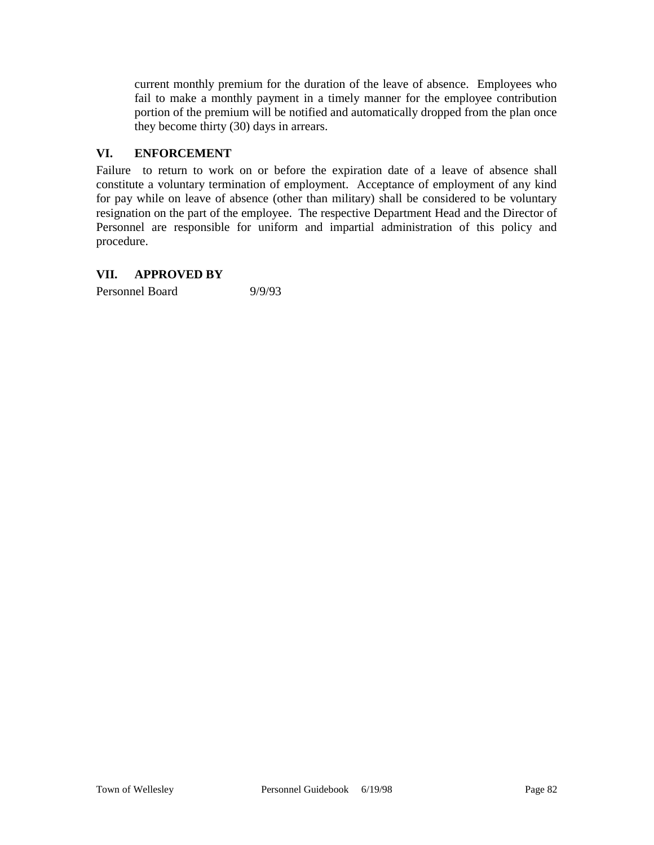current monthly premium for the duration of the leave of absence. Employees who fail to make a monthly payment in a timely manner for the employee contribution portion of the premium will be notified and automatically dropped from the plan once they become thirty (30) days in arrears.

### **VI. ENFORCEMENT**

Failure to return to work on or before the expiration date of a leave of absence shall constitute a voluntary termination of employment. Acceptance of employment of any kind for pay while on leave of absence (other than military) shall be considered to be voluntary resignation on the part of the employee. The respective Department Head and the Director of Personnel are responsible for uniform and impartial administration of this policy and procedure.

#### **VII. APPROVED BY**

Personnel Board 9/9/93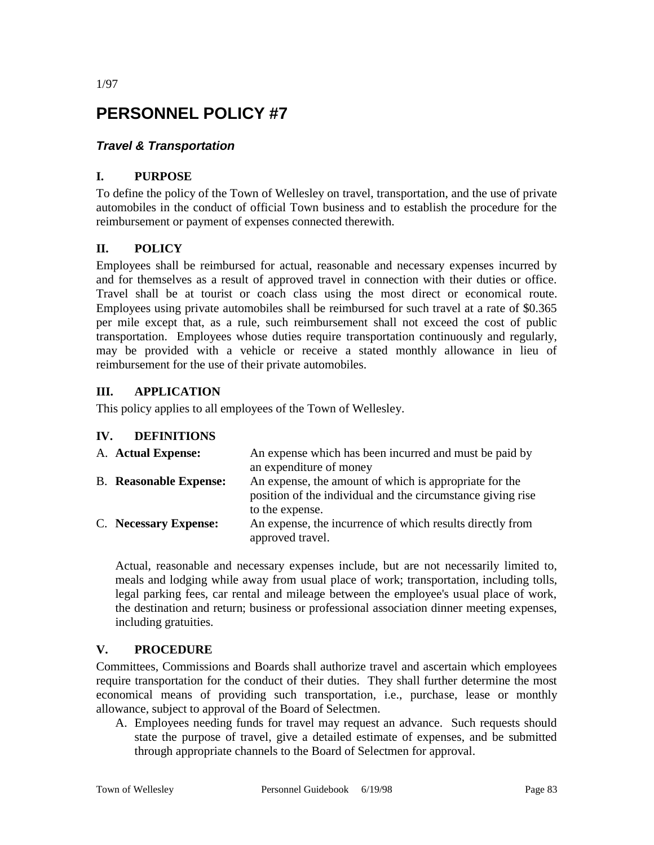# **PERSONNEL POLICY #7**

## *Travel & Transportation*

## **I. PURPOSE**

To define the policy of the Town of Wellesley on travel, transportation, and the use of private automobiles in the conduct of official Town business and to establish the procedure for the reimbursement or payment of expenses connected therewith.

## **II. POLICY**

Employees shall be reimbursed for actual, reasonable and necessary expenses incurred by and for themselves as a result of approved travel in connection with their duties or office. Travel shall be at tourist or coach class using the most direct or economical route. Employees using private automobiles shall be reimbursed for such travel at a rate of \$0.365 per mile except that, as a rule, such reimbursement shall not exceed the cost of public transportation. Employees whose duties require transportation continuously and regularly, may be provided with a vehicle or receive a stated monthly allowance in lieu of reimbursement for the use of their private automobiles.

## **III. APPLICATION**

This policy applies to all employees of the Town of Wellesley.

## **IV. DEFINITIONS**

| A. Actual Expense:            | An expense which has been incurred and must be paid by      |
|-------------------------------|-------------------------------------------------------------|
|                               | an expenditure of money                                     |
| <b>B.</b> Reasonable Expense: | An expense, the amount of which is appropriate for the      |
|                               | position of the individual and the circumstance giving rise |
|                               | to the expense.                                             |
| C. Necessary Expense:         | An expense, the incurrence of which results directly from   |
|                               | approved travel.                                            |

Actual, reasonable and necessary expenses include, but are not necessarily limited to, meals and lodging while away from usual place of work; transportation, including tolls, legal parking fees, car rental and mileage between the employee's usual place of work, the destination and return; business or professional association dinner meeting expenses, including gratuities.

## **V. PROCEDURE**

Committees, Commissions and Boards shall authorize travel and ascertain which employees require transportation for the conduct of their duties. They shall further determine the most economical means of providing such transportation, i.e., purchase, lease or monthly allowance, subject to approval of the Board of Selectmen.

A. Employees needing funds for travel may request an advance. Such requests should state the purpose of travel, give a detailed estimate of expenses, and be submitted through appropriate channels to the Board of Selectmen for approval.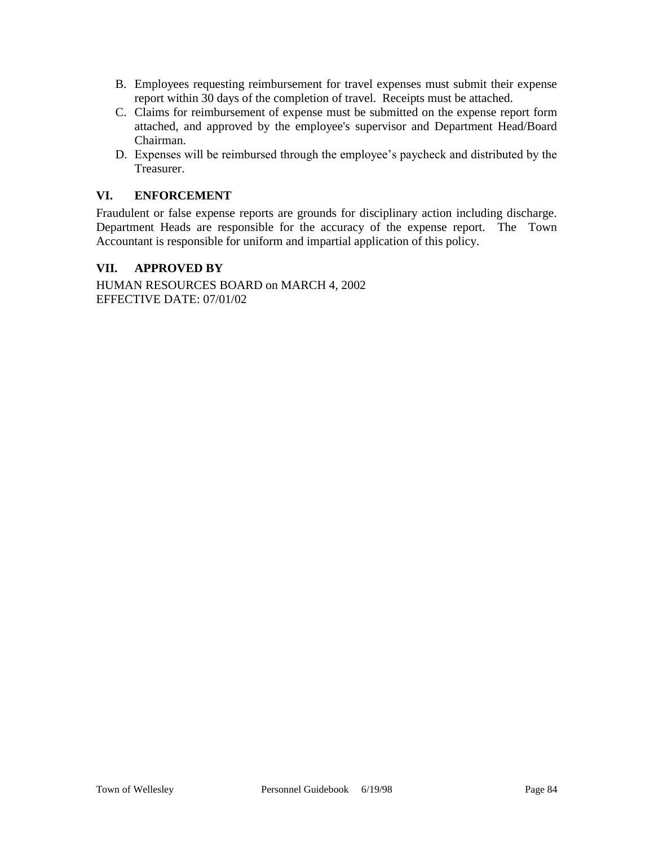- B. Employees requesting reimbursement for travel expenses must submit their expense report within 30 days of the completion of travel. Receipts must be attached.
- C. Claims for reimbursement of expense must be submitted on the expense report form attached, and approved by the employee's supervisor and Department Head/Board Chairman.
- D. Expenses will be reimbursed through the employee's paycheck and distributed by the Treasurer.

### **VI. ENFORCEMENT**

Fraudulent or false expense reports are grounds for disciplinary action including discharge. Department Heads are responsible for the accuracy of the expense report. The Town Accountant is responsible for uniform and impartial application of this policy.

## **VII. APPROVED BY**

HUMAN RESOURCES BOARD on MARCH 4, 2002 EFFECTIVE DATE: 07/01/02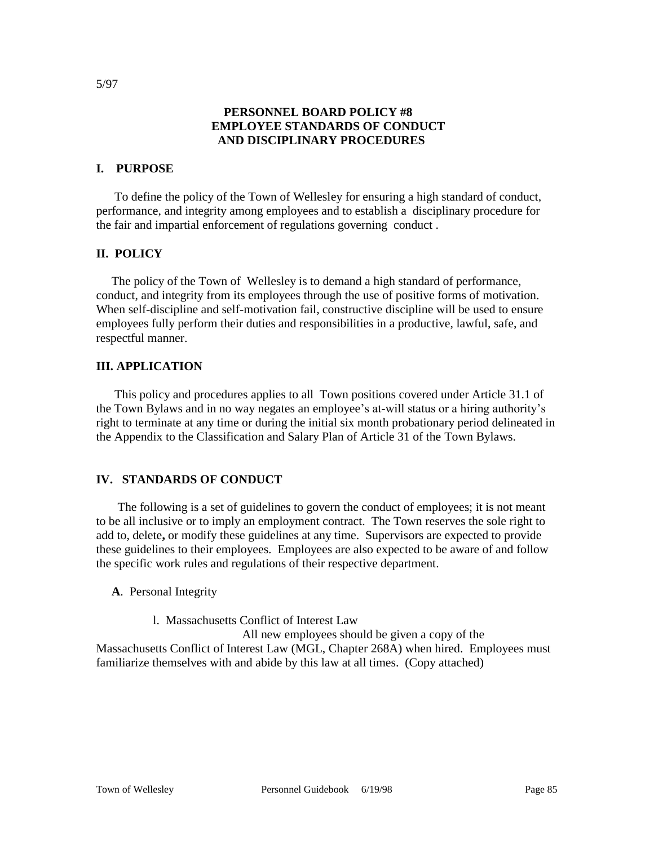### **PERSONNEL BOARD POLICY #8 EMPLOYEE STANDARDS OF CONDUCT AND DISCIPLINARY PROCEDURES**

#### **I. PURPOSE**

 To define the policy of the Town of Wellesley for ensuring a high standard of conduct, performance, and integrity among employees and to establish a disciplinary procedure for the fair and impartial enforcement of regulations governing conduct .

#### **II. POLICY**

 The policy of the Town of Wellesley is to demand a high standard of performance, conduct, and integrity from its employees through the use of positive forms of motivation. When self-discipline and self-motivation fail, constructive discipline will be used to ensure employees fully perform their duties and responsibilities in a productive, lawful, safe, and respectful manner.

#### **III. APPLICATION**

 This policy and procedures applies to all Town positions covered under Article 31.1 of the Town Bylaws and in no way negates an employee's at-will status or a hiring authority's right to terminate at any time or during the initial six month probationary period delineated in the Appendix to the Classification and Salary Plan of Article 31 of the Town Bylaws.

#### **IV. STANDARDS OF CONDUCT**

 The following is a set of guidelines to govern the conduct of employees; it is not meant to be all inclusive or to imply an employment contract. The Town reserves the sole right to add to, delete**,** or modify these guidelines at any time. Supervisors are expected to provide these guidelines to their employees. Employees are also expected to be aware of and follow the specific work rules and regulations of their respective department.

#### **A**. Personal Integrity

l. Massachusetts Conflict of Interest Law

 All new employees should be given a copy of the Massachusetts Conflict of Interest Law (MGL, Chapter 268A) when hired. Employees must familiarize themselves with and abide by this law at all times. (Copy attached)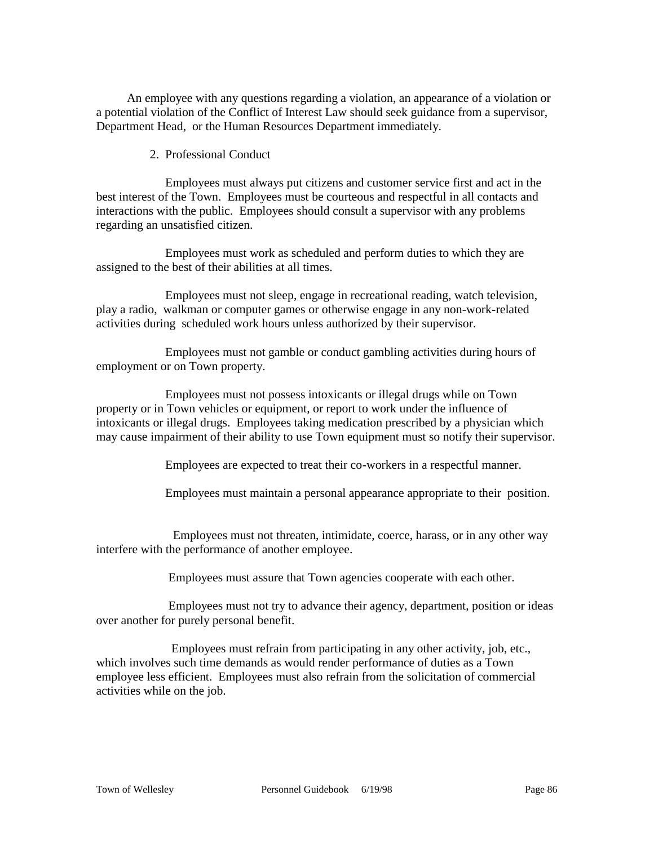An employee with any questions regarding a violation, an appearance of a violation or a potential violation of the Conflict of Interest Law should seek guidance from a supervisor, Department Head, or the Human Resources Department immediately.

2. Professional Conduct

 Employees must always put citizens and customer service first and act in the best interest of the Town. Employees must be courteous and respectful in all contacts and interactions with the public. Employees should consult a supervisor with any problems regarding an unsatisfied citizen.

 Employees must work as scheduled and perform duties to which they are assigned to the best of their abilities at all times.

 Employees must not sleep, engage in recreational reading, watch television, play a radio, walkman or computer games or otherwise engage in any non-work**-**related activities during scheduled work hours unless authorized by their supervisor.

 Employees must not gamble or conduct gambling activities during hours of employment or on Town property.

 Employees must not possess intoxicants or illegal drugs while on Town property or in Town vehicles or equipment, or report to work under the influence of intoxicants or illegal drugs. Employees taking medication prescribed by a physician which may cause impairment of their ability to use Town equipment must so notify their supervisor.

Employees are expected to treat their co-workers in a respectful manner.

Employees must maintain a personal appearance appropriate to their position.

 Employees must not threaten, intimidate, coerce, harass, or in any other way interfere with the performance of another employee.

Employees must assure that Town agencies cooperate with each other.

 Employees must not try to advance their agency, department, position or ideas over another for purely personal benefit.

 Employees must refrain from participating in any other activity, job, etc., which involves such time demands as would render performance of duties as a Town employee less efficient. Employees must also refrain from the solicitation of commercial activities while on the job.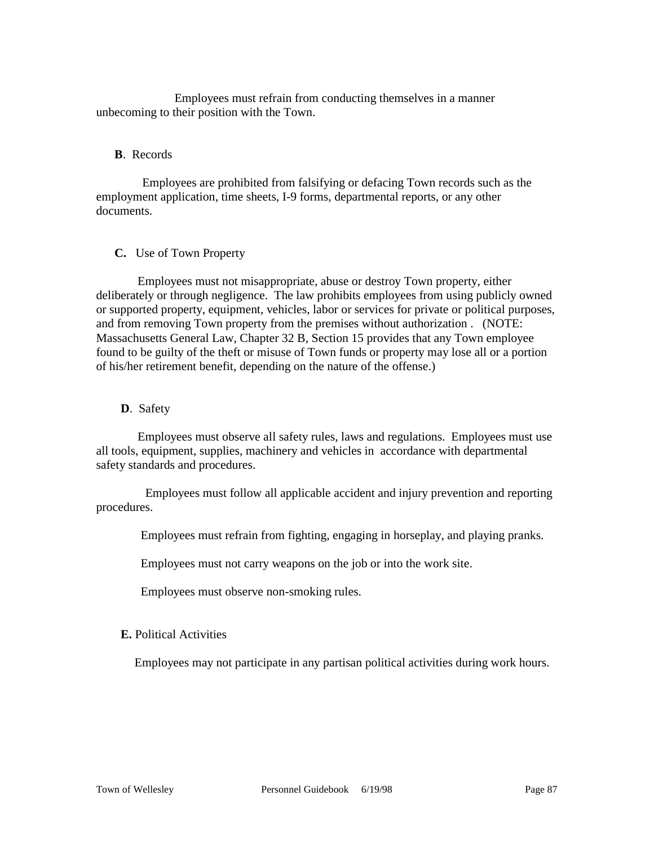Employees must refrain from conducting themselves in a manner unbecoming to their position with the Town.

#### **B**. Records

 Employees are prohibited from falsifying or defacing Town records such as the employment application, time sheets, I-9 forms, departmental reports, or any other documents.

#### **C.** Use of Town Property

Employees must not misappropriate, abuse or destroy Town property, either deliberately or through negligence. The law prohibits employees from using publicly owned or supported property, equipment, vehicles, labor or services for private or political purposes, and from removing Town property from the premises without authorization . (NOTE: Massachusetts General Law, Chapter 32 B, Section 15 provides that any Town employee found to be guilty of the theft or misuse of Town funds or property may lose all or a portion of his/her retirement benefit, depending on the nature of the offense.)

#### **D**. Safety

Employees must observe all safety rules, laws and regulations. Employees must use all tools, equipment, supplies, machinery and vehicles in accordance with departmental safety standards and procedures.

 Employees must follow all applicable accident and injury prevention and reporting procedures.

Employees must refrain from fighting, engaging in horseplay, and playing pranks.

Employees must not carry weapons on the job or into the work site.

Employees must observe non-smoking rules.

#### **E.** Political Activities

Employees may not participate in any partisan political activities during work hours.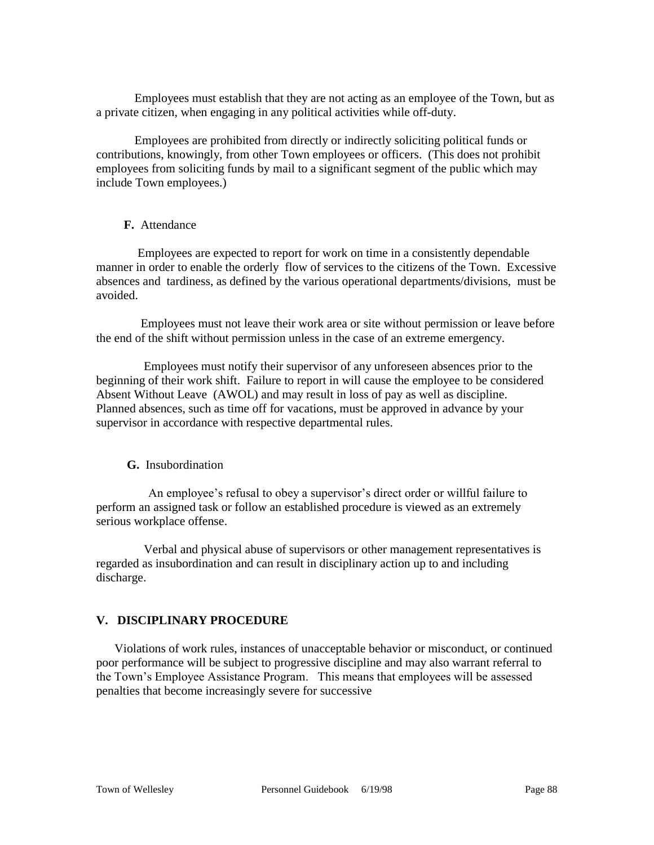Employees must establish that they are not acting as an employee of the Town, but as a private citizen, when engaging in any political activities while off-duty.

Employees are prohibited from directly or indirectly soliciting political funds or contributions, knowingly, from other Town employees or officers. (This does not prohibit employees from soliciting funds by mail to a significant segment of the public which may include Town employees.)

#### **F.** Attendance

Employees are expected to report for work on time in a consistently dependable manner in order to enable the orderly flow of services to the citizens of the Town. Excessive absences and tardiness, as defined by the various operational departments/divisions, must be avoided.

 Employees must not leave their work area or site without permission or leave before the end of the shift without permission unless in the case of an extreme emergency.

 Employees must notify their supervisor of any unforeseen absences prior to the beginning of their work shift. Failure to report in will cause the employee to be considered Absent Without Leave (AWOL) and may result in loss of pay as well as discipline. Planned absences, such as time off for vacations, must be approved in advance by your supervisor in accordance with respective departmental rules.

#### **G.** Insubordination

 An employee's refusal to obey a supervisor's direct order or willful failure to perform an assigned task or follow an established procedure is viewed as an extremely serious workplace offense.

 Verbal and physical abuse of supervisors or other management representatives is regarded as insubordination and can result in disciplinary action up to and including discharge.

#### **V. DISCIPLINARY PROCEDURE**

 Violations of work rules, instances of unacceptable behavior or misconduct, or continued poor performance will be subject to progressive discipline and may also warrant referral to the Town's Employee Assistance Program. This means that employees will be assessed penalties that become increasingly severe for successive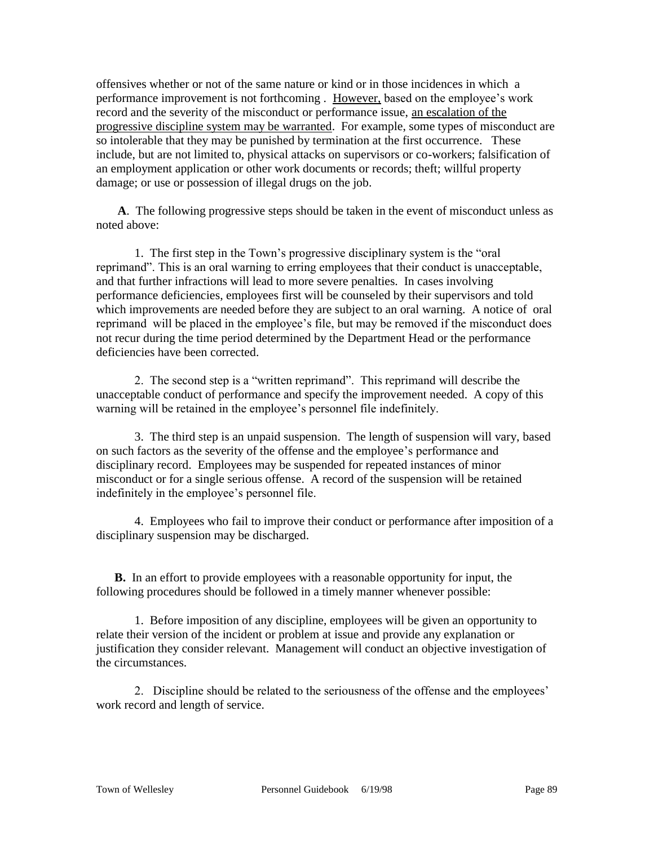offensives whether or not of the same nature or kind or in those incidences in which a performance improvement is not forthcoming . However, based on the employee's work record and the severity of the misconduct or performance issue, an escalation of the progressive discipline system may be warranted. For example, some types of misconduct are so intolerable that they may be punished by termination at the first occurrence. These include, but are not limited to, physical attacks on supervisors or co-workers; falsification of an employment application or other work documents or records; theft; willful property damage; or use or possession of illegal drugs on the job.

 **A**. The following progressive steps should be taken in the event of misconduct unless as noted above:

1. The first step in the Town's progressive disciplinary system is the "oral reprimand". This is an oral warning to erring employees that their conduct is unacceptable, and that further infractions will lead to more severe penalties. In cases involving performance deficiencies, employees first will be counseled by their supervisors and told which improvements are needed before they are subject to an oral warning. A notice of oral reprimand will be placed in the employee's file, but may be removed if the misconduct does not recur during the time period determined by the Department Head or the performance deficiencies have been corrected.

2. The second step is a "written reprimand". This reprimand will describe the unacceptable conduct of performance and specify the improvement needed. A copy of this warning will be retained in the employee's personnel file indefinitely.

3. The third step is an unpaid suspension. The length of suspension will vary, based on such factors as the severity of the offense and the employee's performance and disciplinary record. Employees may be suspended for repeated instances of minor misconduct or for a single serious offense. A record of the suspension will be retained indefinitely in the employee's personnel file.

4. Employees who fail to improve their conduct or performance after imposition of a disciplinary suspension may be discharged.

 **B.** In an effort to provide employees with a reasonable opportunity for input, the following procedures should be followed in a timely manner whenever possible:

1. Before imposition of any discipline, employees will be given an opportunity to relate their version of the incident or problem at issue and provide any explanation or justification they consider relevant. Management will conduct an objective investigation of the circumstances.

2. Discipline should be related to the seriousness of the offense and the employees' work record and length of service.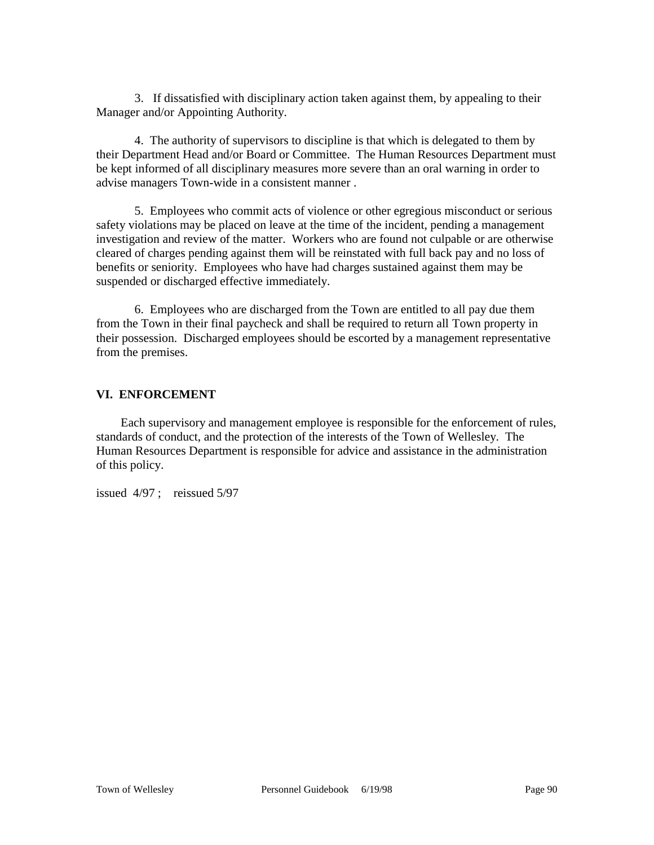3. If dissatisfied with disciplinary action taken against them, by appealing to their Manager and/or Appointing Authority.

4. The authority of supervisors to discipline is that which is delegated to them by their Department Head and/or Board or Committee. The Human Resources Department must be kept informed of all disciplinary measures more severe than an oral warning in order to advise managers Town-wide in a consistent manner .

5. Employees who commit acts of violence or other egregious misconduct or serious safety violations may be placed on leave at the time of the incident, pending a management investigation and review of the matter. Workers who are found not culpable or are otherwise cleared of charges pending against them will be reinstated with full back pay and no loss of benefits or seniority. Employees who have had charges sustained against them may be suspended or discharged effective immediately.

6. Employees who are discharged from the Town are entitled to all pay due them from the Town in their final paycheck and shall be required to return all Town property in their possession. Discharged employees should be escorted by a management representative from the premises.

#### **VI. ENFORCEMENT**

 Each supervisory and management employee is responsible for the enforcement of rules, standards of conduct, and the protection of the interests of the Town of Wellesley. The Human Resources Department is responsible for advice and assistance in the administration of this policy.

issued 4/97 ; reissued 5/97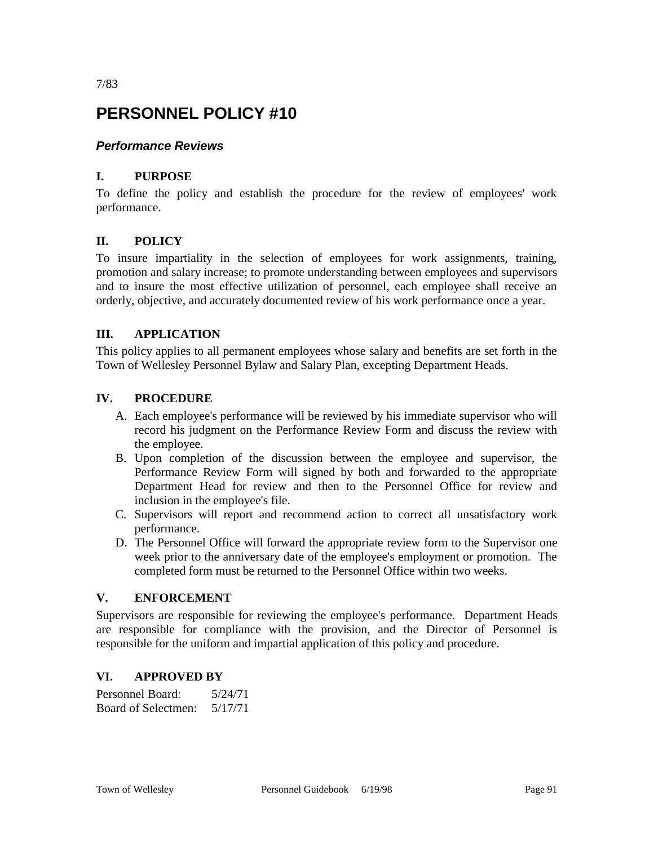# **PERSONNEL POLICY #10**

## *Performance Reviews*

## **I. PURPOSE**

To define the policy and establish the procedure for the review of employees' work performance.

## **II. POLICY**

To insure impartiality in the selection of employees for work assignments, training, promotion and salary increase; to promote understanding between employees and supervisors and to insure the most effective utilization of personnel, each employee shall receive an orderly, objective, and accurately documented review of his work performance once a year.

## **III. APPLICATION**

This policy applies to all permanent employees whose salary and benefits are set forth in the Town of Wellesley Personnel Bylaw and Salary Plan, excepting Department Heads.

#### **IV. PROCEDURE**

- A. Each employee's performance will be reviewed by his immediate supervisor who will record his judgment on the Performance Review Form and discuss the review with the employee.
- B. Upon completion of the discussion between the employee and supervisor, the Performance Review Form will signed by both and forwarded to the appropriate Department Head for review and then to the Personnel Office for review and inclusion in the employee's file.
- C. Supervisors will report and recommend action to correct all unsatisfactory work performance.
- D. The Personnel Office will forward the appropriate review form to the Supervisor one week prior to the anniversary date of the employee's employment or promotion. The completed form must be returned to the Personnel Office within two weeks.

#### **V. ENFORCEMENT**

Supervisors are responsible for reviewing the employee's performance. Department Heads are responsible for compliance with the provision, and the Director of Personnel is responsible for the uniform and impartial application of this policy and procedure.

#### **VI. APPROVED BY**

Personnel Board: 5/24/71 Board of Selectmen: 5/17/71

7/83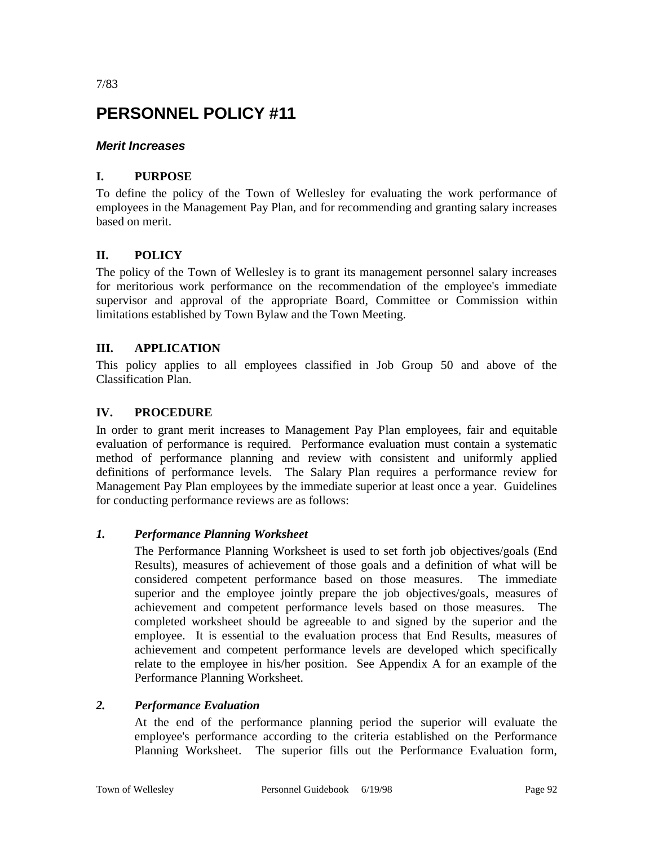**PERSONNEL POLICY #11**

#### *Merit Increases*

#### **I. PURPOSE**

To define the policy of the Town of Wellesley for evaluating the work performance of employees in the Management Pay Plan, and for recommending and granting salary increases based on merit.

#### **II. POLICY**

The policy of the Town of Wellesley is to grant its management personnel salary increases for meritorious work performance on the recommendation of the employee's immediate supervisor and approval of the appropriate Board, Committee or Commission within limitations established by Town Bylaw and the Town Meeting.

#### **III. APPLICATION**

This policy applies to all employees classified in Job Group 50 and above of the Classification Plan.

#### **IV. PROCEDURE**

In order to grant merit increases to Management Pay Plan employees, fair and equitable evaluation of performance is required. Performance evaluation must contain a systematic method of performance planning and review with consistent and uniformly applied definitions of performance levels. The Salary Plan requires a performance review for Management Pay Plan employees by the immediate superior at least once a year. Guidelines for conducting performance reviews are as follows:

#### *1. Performance Planning Worksheet*

The Performance Planning Worksheet is used to set forth job objectives/goals (End Results), measures of achievement of those goals and a definition of what will be considered competent performance based on those measures. The immediate superior and the employee jointly prepare the job objectives/goals, measures of achievement and competent performance levels based on those measures. The completed worksheet should be agreeable to and signed by the superior and the employee. It is essential to the evaluation process that End Results, measures of achievement and competent performance levels are developed which specifically relate to the employee in his/her position. See Appendix A for an example of the Performance Planning Worksheet.

#### *2. Performance Evaluation*

At the end of the performance planning period the superior will evaluate the employee's performance according to the criteria established on the Performance Planning Worksheet. The superior fills out the Performance Evaluation form,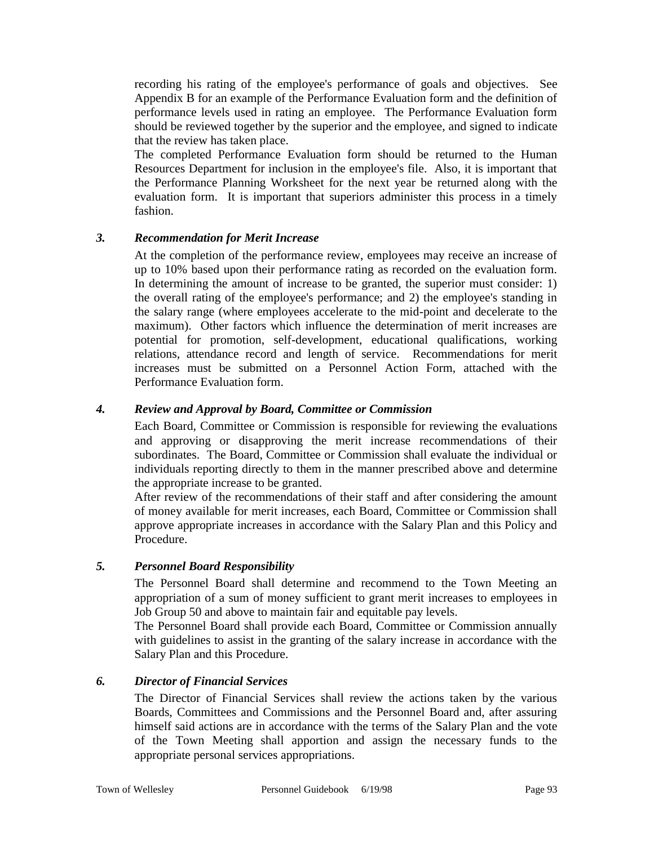recording his rating of the employee's performance of goals and objectives. See Appendix B for an example of the Performance Evaluation form and the definition of performance levels used in rating an employee. The Performance Evaluation form should be reviewed together by the superior and the employee, and signed to indicate that the review has taken place.

The completed Performance Evaluation form should be returned to the Human Resources Department for inclusion in the employee's file. Also, it is important that the Performance Planning Worksheet for the next year be returned along with the evaluation form. It is important that superiors administer this process in a timely fashion.

#### *3. Recommendation for Merit Increase*

At the completion of the performance review, employees may receive an increase of up to 10% based upon their performance rating as recorded on the evaluation form. In determining the amount of increase to be granted, the superior must consider: 1) the overall rating of the employee's performance; and 2) the employee's standing in the salary range (where employees accelerate to the mid-point and decelerate to the maximum). Other factors which influence the determination of merit increases are potential for promotion, self-development, educational qualifications, working relations, attendance record and length of service. Recommendations for merit increases must be submitted on a Personnel Action Form, attached with the Performance Evaluation form.

#### *4. Review and Approval by Board, Committee or Commission*

Each Board, Committee or Commission is responsible for reviewing the evaluations and approving or disapproving the merit increase recommendations of their subordinates. The Board, Committee or Commission shall evaluate the individual or individuals reporting directly to them in the manner prescribed above and determine the appropriate increase to be granted.

After review of the recommendations of their staff and after considering the amount of money available for merit increases, each Board, Committee or Commission shall approve appropriate increases in accordance with the Salary Plan and this Policy and Procedure.

#### *5. Personnel Board Responsibility*

The Personnel Board shall determine and recommend to the Town Meeting an appropriation of a sum of money sufficient to grant merit increases to employees in Job Group 50 and above to maintain fair and equitable pay levels.

The Personnel Board shall provide each Board, Committee or Commission annually with guidelines to assist in the granting of the salary increase in accordance with the Salary Plan and this Procedure.

#### *6. Director of Financial Services*

The Director of Financial Services shall review the actions taken by the various Boards, Committees and Commissions and the Personnel Board and, after assuring himself said actions are in accordance with the terms of the Salary Plan and the vote of the Town Meeting shall apportion and assign the necessary funds to the appropriate personal services appropriations.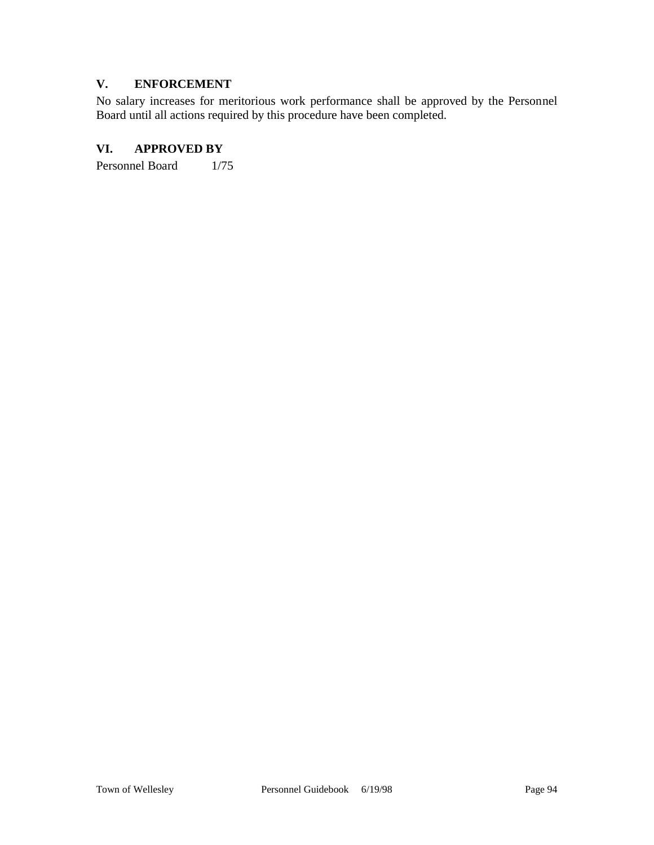## **V. ENFORCEMENT**

No salary increases for meritorious work performance shall be approved by the Personnel Board until all actions required by this procedure have been completed.

### **VI. APPROVED BY**

Personnel Board 1/75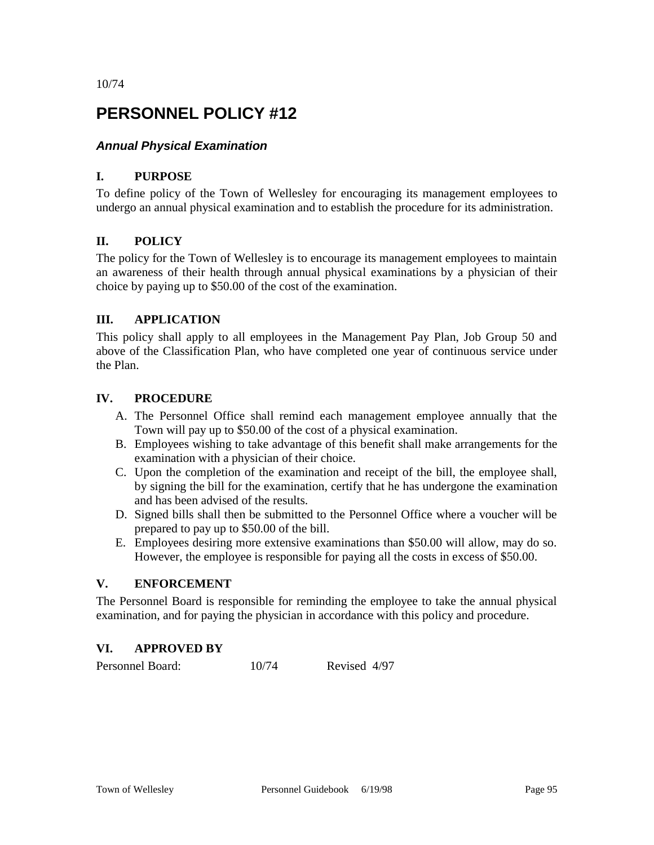10/74

## **PERSONNEL POLICY #12**

## *Annual Physical Examination*

### **I. PURPOSE**

To define policy of the Town of Wellesley for encouraging its management employees to undergo an annual physical examination and to establish the procedure for its administration.

## **II. POLICY**

The policy for the Town of Wellesley is to encourage its management employees to maintain an awareness of their health through annual physical examinations by a physician of their choice by paying up to \$50.00 of the cost of the examination.

#### **III. APPLICATION**

This policy shall apply to all employees in the Management Pay Plan, Job Group 50 and above of the Classification Plan, who have completed one year of continuous service under the Plan.

#### **IV. PROCEDURE**

- A. The Personnel Office shall remind each management employee annually that the Town will pay up to \$50.00 of the cost of a physical examination.
- B. Employees wishing to take advantage of this benefit shall make arrangements for the examination with a physician of their choice.
- C. Upon the completion of the examination and receipt of the bill, the employee shall, by signing the bill for the examination, certify that he has undergone the examination and has been advised of the results.
- D. Signed bills shall then be submitted to the Personnel Office where a voucher will be prepared to pay up to \$50.00 of the bill.
- E. Employees desiring more extensive examinations than \$50.00 will allow, may do so. However, the employee is responsible for paying all the costs in excess of \$50.00.

#### **V. ENFORCEMENT**

The Personnel Board is responsible for reminding the employee to take the annual physical examination, and for paying the physician in accordance with this policy and procedure.

#### **VI. APPROVED BY**

| Personnel Board: | 10/74 | Revised 4/97 |
|------------------|-------|--------------|
|------------------|-------|--------------|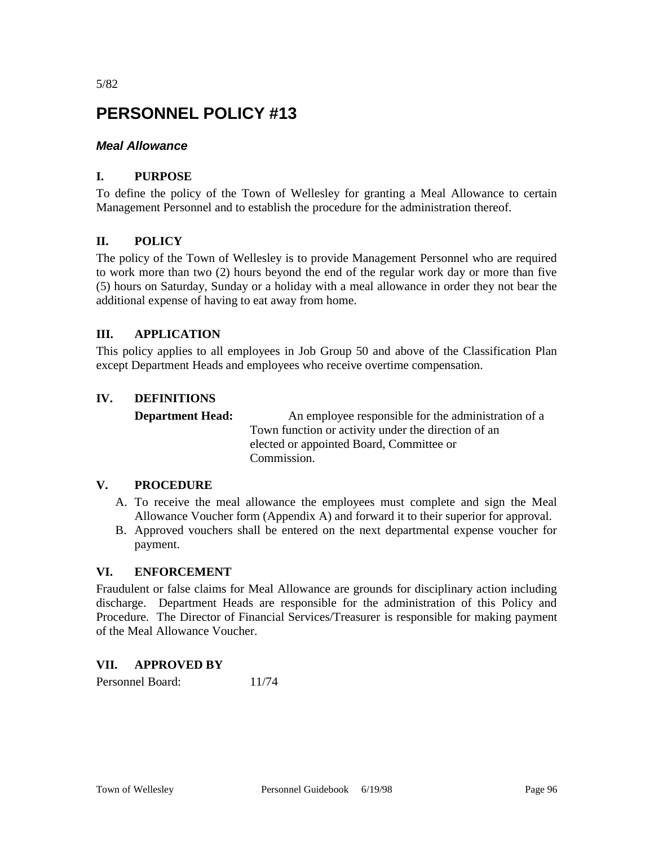# *Meal Allowance*

## **I. PURPOSE**

To define the policy of the Town of Wellesley for granting a Meal Allowance to certain Management Personnel and to establish the procedure for the administration thereof.

## **II. POLICY**

The policy of the Town of Wellesley is to provide Management Personnel who are required to work more than two (2) hours beyond the end of the regular work day or more than five (5) hours on Saturday, Sunday or a holiday with a meal allowance in order they not bear the additional expense of having to eat away from home.

## **III. APPLICATION**

This policy applies to all employees in Job Group 50 and above of the Classification Plan except Department Heads and employees who receive overtime compensation.

### **IV. DEFINITIONS**

**Department Head:** An employee responsible for the administration of a Town function or activity under the direction of an elected or appointed Board, Committee or Commission.

### **V. PROCEDURE**

- A. To receive the meal allowance the employees must complete and sign the Meal Allowance Voucher form (Appendix A) and forward it to their superior for approval.
- B. Approved vouchers shall be entered on the next departmental expense voucher for payment.

### **VI. ENFORCEMENT**

Fraudulent or false claims for Meal Allowance are grounds for disciplinary action including discharge. Department Heads are responsible for the administration of this Policy and Procedure. The Director of Financial Services/Treasurer is responsible for making payment of the Meal Allowance Voucher.

### **VII. APPROVED BY**

Personnel Board: 11/74

5/82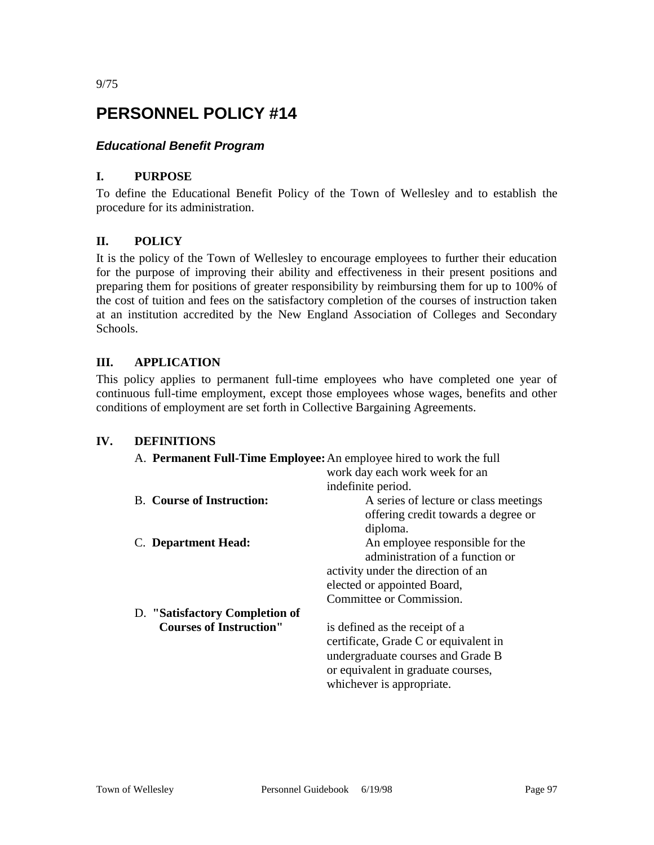# *Educational Benefit Program*

# **I. PURPOSE**

To define the Educational Benefit Policy of the Town of Wellesley and to establish the procedure for its administration.

# **II. POLICY**

It is the policy of the Town of Wellesley to encourage employees to further their education for the purpose of improving their ability and effectiveness in their present positions and preparing them for positions of greater responsibility by reimbursing them for up to 100% of the cost of tuition and fees on the satisfactory completion of the courses of instruction taken at an institution accredited by the New England Association of Colleges and Secondary Schools.

## **III. APPLICATION**

This policy applies to permanent full-time employees who have completed one year of continuous full-time employment, except those employees whose wages, benefits and other conditions of employment are set forth in Collective Bargaining Agreements.

### **IV. DEFINITIONS**

| A. Permanent Full-Time Employee: An employee hired to work the full |                                       |
|---------------------------------------------------------------------|---------------------------------------|
|                                                                     | work day each work week for an        |
|                                                                     | indefinite period.                    |
| <b>B.</b> Course of Instruction:                                    | A series of lecture or class meetings |
|                                                                     | offering credit towards a degree or   |
|                                                                     | diploma.                              |
| C. Department Head:                                                 | An employee responsible for the       |
|                                                                     | administration of a function or       |
|                                                                     | activity under the direction of an    |
|                                                                     | elected or appointed Board,           |
|                                                                     | Committee or Commission.              |
| D. "Satisfactory Completion of                                      |                                       |
| <b>Courses of Instruction"</b>                                      | is defined as the receipt of a        |
|                                                                     | certificate, Grade C or equivalent in |
|                                                                     | undergraduate courses and Grade B     |
|                                                                     | or equivalent in graduate courses,    |
|                                                                     | whichever is appropriate.             |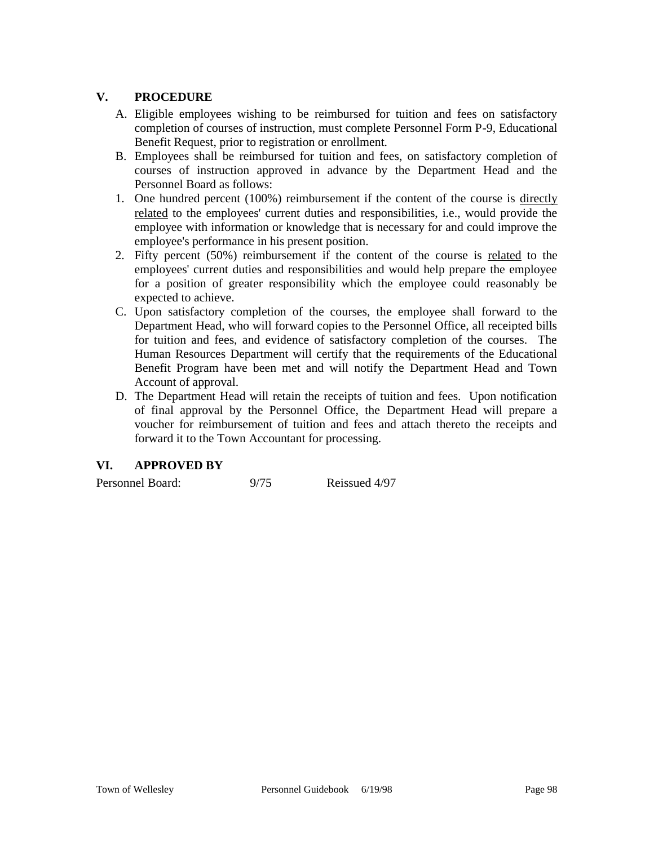### **V. PROCEDURE**

- A. Eligible employees wishing to be reimbursed for tuition and fees on satisfactory completion of courses of instruction, must complete Personnel Form P-9, Educational Benefit Request, prior to registration or enrollment.
- B. Employees shall be reimbursed for tuition and fees, on satisfactory completion of courses of instruction approved in advance by the Department Head and the Personnel Board as follows:
- 1. One hundred percent (100%) reimbursement if the content of the course is directly related to the employees' current duties and responsibilities, i.e., would provide the employee with information or knowledge that is necessary for and could improve the employee's performance in his present position.
- 2. Fifty percent (50%) reimbursement if the content of the course is related to the employees' current duties and responsibilities and would help prepare the employee for a position of greater responsibility which the employee could reasonably be expected to achieve.
- C. Upon satisfactory completion of the courses, the employee shall forward to the Department Head, who will forward copies to the Personnel Office, all receipted bills for tuition and fees, and evidence of satisfactory completion of the courses. The Human Resources Department will certify that the requirements of the Educational Benefit Program have been met and will notify the Department Head and Town Account of approval.
- D. The Department Head will retain the receipts of tuition and fees. Upon notification of final approval by the Personnel Office, the Department Head will prepare a voucher for reimbursement of tuition and fees and attach thereto the receipts and forward it to the Town Accountant for processing.

### **VI. APPROVED BY**

Personnel Board: 9/75 Reissued 4/97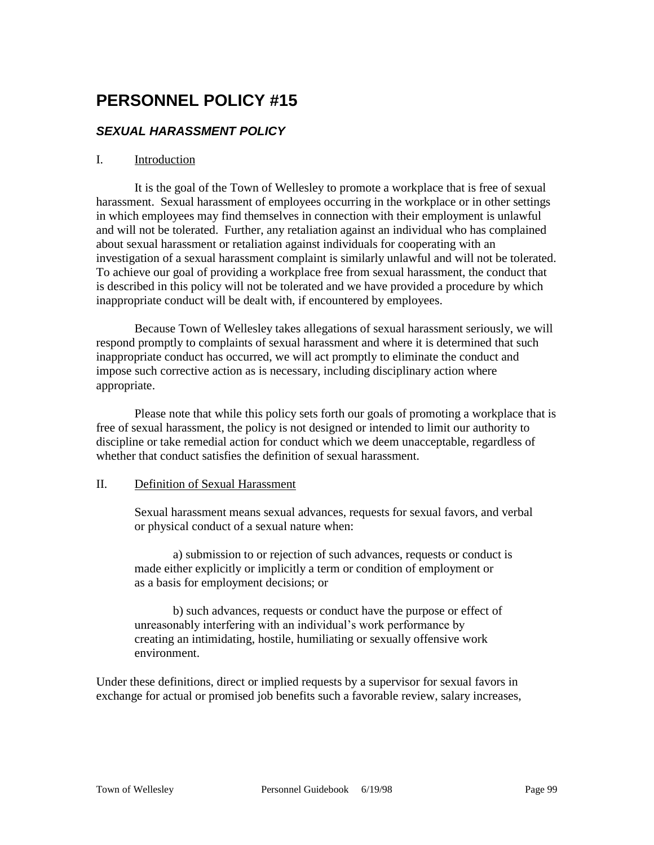# *SEXUAL HARASSMENT POLICY*

#### I. Introduction

It is the goal of the Town of Wellesley to promote a workplace that is free of sexual harassment. Sexual harassment of employees occurring in the workplace or in other settings in which employees may find themselves in connection with their employment is unlawful and will not be tolerated. Further, any retaliation against an individual who has complained about sexual harassment or retaliation against individuals for cooperating with an investigation of a sexual harassment complaint is similarly unlawful and will not be tolerated. To achieve our goal of providing a workplace free from sexual harassment, the conduct that is described in this policy will not be tolerated and we have provided a procedure by which inappropriate conduct will be dealt with, if encountered by employees.

Because Town of Wellesley takes allegations of sexual harassment seriously, we will respond promptly to complaints of sexual harassment and where it is determined that such inappropriate conduct has occurred, we will act promptly to eliminate the conduct and impose such corrective action as is necessary, including disciplinary action where appropriate.

Please note that while this policy sets forth our goals of promoting a workplace that is free of sexual harassment, the policy is not designed or intended to limit our authority to discipline or take remedial action for conduct which we deem unacceptable, regardless of whether that conduct satisfies the definition of sexual harassment.

#### II. Definition of Sexual Harassment

Sexual harassment means sexual advances, requests for sexual favors, and verbal or physical conduct of a sexual nature when:

a) submission to or rejection of such advances, requests or conduct is made either explicitly or implicitly a term or condition of employment or as a basis for employment decisions; or

b) such advances, requests or conduct have the purpose or effect of unreasonably interfering with an individual's work performance by creating an intimidating, hostile, humiliating or sexually offensive work environment.

Under these definitions, direct or implied requests by a supervisor for sexual favors in exchange for actual or promised job benefits such a favorable review, salary increases,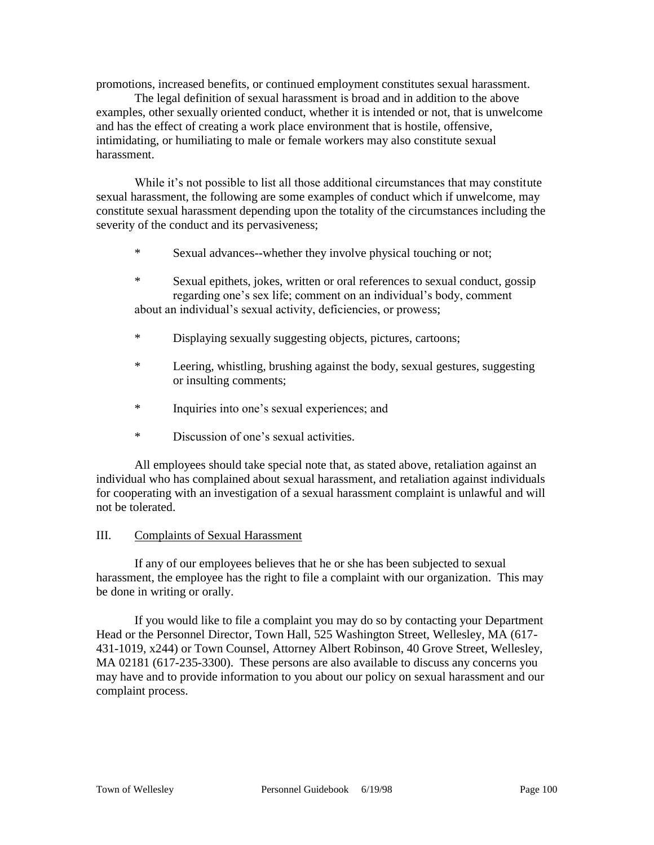promotions, increased benefits, or continued employment constitutes sexual harassment.

The legal definition of sexual harassment is broad and in addition to the above examples, other sexually oriented conduct, whether it is intended or not, that is unwelcome and has the effect of creating a work place environment that is hostile, offensive, intimidating, or humiliating to male or female workers may also constitute sexual harassment.

While it's not possible to list all those additional circumstances that may constitute sexual harassment, the following are some examples of conduct which if unwelcome, may constitute sexual harassment depending upon the totality of the circumstances including the severity of the conduct and its pervasiveness;

- \* Sexual advances--whether they involve physical touching or not;
- \* Sexual epithets, jokes, written or oral references to sexual conduct, gossip regarding one's sex life; comment on an individual's body, comment about an individual's sexual activity, deficiencies, or prowess;
- \* Displaying sexually suggesting objects, pictures, cartoons;
- \* Leering, whistling, brushing against the body, sexual gestures, suggesting or insulting comments;
- \* Inquiries into one's sexual experiences; and
- \* Discussion of one's sexual activities.

All employees should take special note that, as stated above, retaliation against an individual who has complained about sexual harassment, and retaliation against individuals for cooperating with an investigation of a sexual harassment complaint is unlawful and will not be tolerated.

#### III. Complaints of Sexual Harassment

If any of our employees believes that he or she has been subjected to sexual harassment, the employee has the right to file a complaint with our organization. This may be done in writing or orally.

If you would like to file a complaint you may do so by contacting your Department Head or the Personnel Director, Town Hall, 525 Washington Street, Wellesley, MA (617- 431-1019, x244) or Town Counsel, Attorney Albert Robinson, 40 Grove Street, Wellesley, MA 02181 (617-235-3300). These persons are also available to discuss any concerns you may have and to provide information to you about our policy on sexual harassment and our complaint process.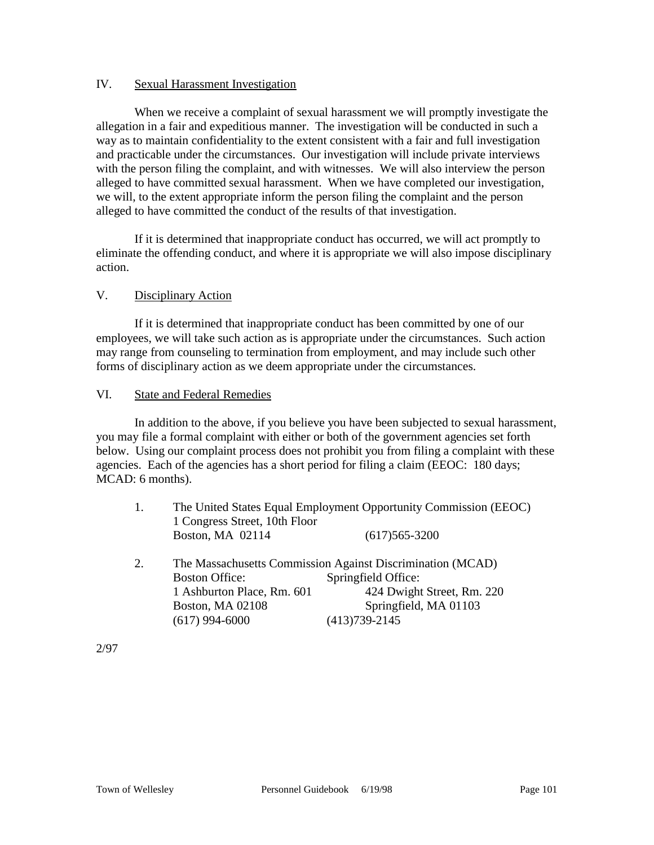#### IV. Sexual Harassment Investigation

When we receive a complaint of sexual harassment we will promptly investigate the allegation in a fair and expeditious manner. The investigation will be conducted in such a way as to maintain confidentiality to the extent consistent with a fair and full investigation and practicable under the circumstances. Our investigation will include private interviews with the person filing the complaint, and with witnesses. We will also interview the person alleged to have committed sexual harassment. When we have completed our investigation, we will, to the extent appropriate inform the person filing the complaint and the person alleged to have committed the conduct of the results of that investigation.

If it is determined that inappropriate conduct has occurred, we will act promptly to eliminate the offending conduct, and where it is appropriate we will also impose disciplinary action.

#### V. Disciplinary Action

If it is determined that inappropriate conduct has been committed by one of our employees, we will take such action as is appropriate under the circumstances. Such action may range from counseling to termination from employment, and may include such other forms of disciplinary action as we deem appropriate under the circumstances.

#### VI. State and Federal Remedies

In addition to the above, if you believe you have been subjected to sexual harassment, you may file a formal complaint with either or both of the government agencies set forth below. Using our complaint process does not prohibit you from filing a complaint with these agencies. Each of the agencies has a short period for filing a claim (EEOC: 180 days; MCAD: 6 months).

| 1 Congress Street, 10th Floor                                                               | The United States Equal Employment Opportunity Commission (EEOC)                                                                                              |
|---------------------------------------------------------------------------------------------|---------------------------------------------------------------------------------------------------------------------------------------------------------------|
| Boston, MA 02114                                                                            | $(617)565 - 3200$                                                                                                                                             |
| <b>Boston Office:</b><br>1 Ashburton Place, Rm. 601<br>Boston, MA 02108<br>$(617)$ 994-6000 | The Massachusetts Commission Against Discrimination (MCAD)<br>Springfield Office:<br>424 Dwight Street, Rm. 220<br>Springfield, MA 01103<br>$(413)739 - 2145$ |
|                                                                                             |                                                                                                                                                               |

2/97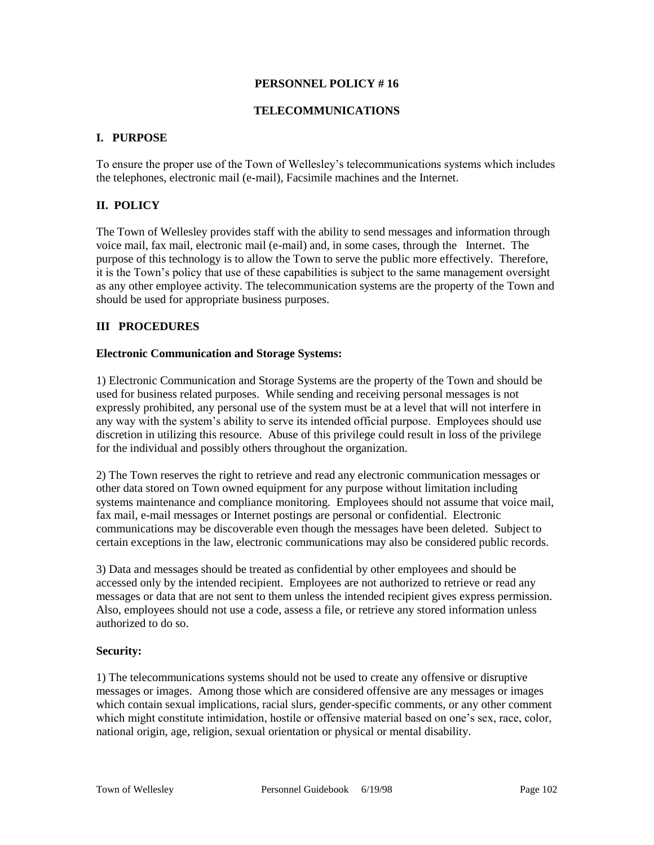#### **TELECOMMUNICATIONS**

#### **I. PURPOSE**

To ensure the proper use of the Town of Wellesley's telecommunications systems which includes the telephones, electronic mail (e-mail), Facsimile machines and the Internet.

#### **II. POLICY**

The Town of Wellesley provides staff with the ability to send messages and information through voice mail, fax mail, electronic mail (e-mail) and, in some cases, through the Internet. The purpose of this technology is to allow the Town to serve the public more effectively. Therefore, it is the Town's policy that use of these capabilities is subject to the same management oversight as any other employee activity. The telecommunication systems are the property of the Town and should be used for appropriate business purposes.

#### **III PROCEDURES**

#### **Electronic Communication and Storage Systems:**

1) Electronic Communication and Storage Systems are the property of the Town and should be used for business related purposes. While sending and receiving personal messages is not expressly prohibited, any personal use of the system must be at a level that will not interfere in any way with the system's ability to serve its intended official purpose. Employees should use discretion in utilizing this resource. Abuse of this privilege could result in loss of the privilege for the individual and possibly others throughout the organization.

2) The Town reserves the right to retrieve and read any electronic communication messages or other data stored on Town owned equipment for any purpose without limitation including systems maintenance and compliance monitoring. Employees should not assume that voice mail, fax mail, e-mail messages or Internet postings are personal or confidential. Electronic communications may be discoverable even though the messages have been deleted. Subject to certain exceptions in the law, electronic communications may also be considered public records.

3) Data and messages should be treated as confidential by other employees and should be accessed only by the intended recipient. Employees are not authorized to retrieve or read any messages or data that are not sent to them unless the intended recipient gives express permission. Also, employees should not use a code, assess a file, or retrieve any stored information unless authorized to do so.

#### **Security:**

1) The telecommunications systems should not be used to create any offensive or disruptive messages or images. Among those which are considered offensive are any messages or images which contain sexual implications, racial slurs, gender-specific comments, or any other comment which might constitute intimidation, hostile or offensive material based on one's sex, race, color, national origin, age, religion, sexual orientation or physical or mental disability.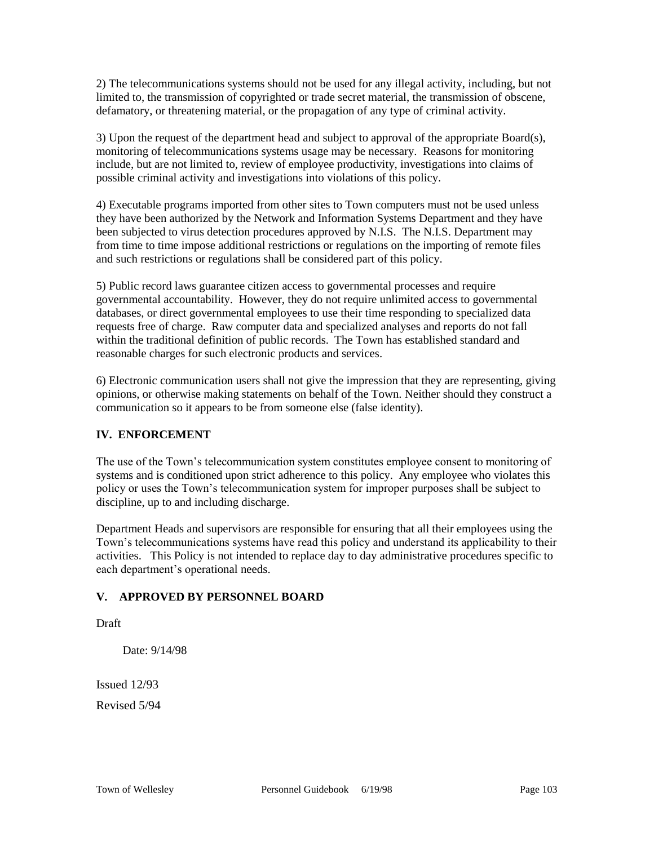2) The telecommunications systems should not be used for any illegal activity, including, but not limited to, the transmission of copyrighted or trade secret material, the transmission of obscene, defamatory, or threatening material, or the propagation of any type of criminal activity.

3) Upon the request of the department head and subject to approval of the appropriate Board(s), monitoring of telecommunications systems usage may be necessary. Reasons for monitoring include, but are not limited to, review of employee productivity, investigations into claims of possible criminal activity and investigations into violations of this policy.

4) Executable programs imported from other sites to Town computers must not be used unless they have been authorized by the Network and Information Systems Department and they have been subjected to virus detection procedures approved by N.I.S. The N.I.S. Department may from time to time impose additional restrictions or regulations on the importing of remote files and such restrictions or regulations shall be considered part of this policy.

5) Public record laws guarantee citizen access to governmental processes and require governmental accountability. However, they do not require unlimited access to governmental databases, or direct governmental employees to use their time responding to specialized data requests free of charge. Raw computer data and specialized analyses and reports do not fall within the traditional definition of public records. The Town has established standard and reasonable charges for such electronic products and services.

6) Electronic communication users shall not give the impression that they are representing, giving opinions, or otherwise making statements on behalf of the Town. Neither should they construct a communication so it appears to be from someone else (false identity).

### **IV. ENFORCEMENT**

The use of the Town's telecommunication system constitutes employee consent to monitoring of systems and is conditioned upon strict adherence to this policy. Any employee who violates this policy or uses the Town's telecommunication system for improper purposes shall be subject to discipline, up to and including discharge.

Department Heads and supervisors are responsible for ensuring that all their employees using the Town's telecommunications systems have read this policy and understand its applicability to their activities. This Policy is not intended to replace day to day administrative procedures specific to each department's operational needs.

### **V. APPROVED BY PERSONNEL BOARD**

Draft

Date: 9/14/98

Issued 12/93

Revised 5/94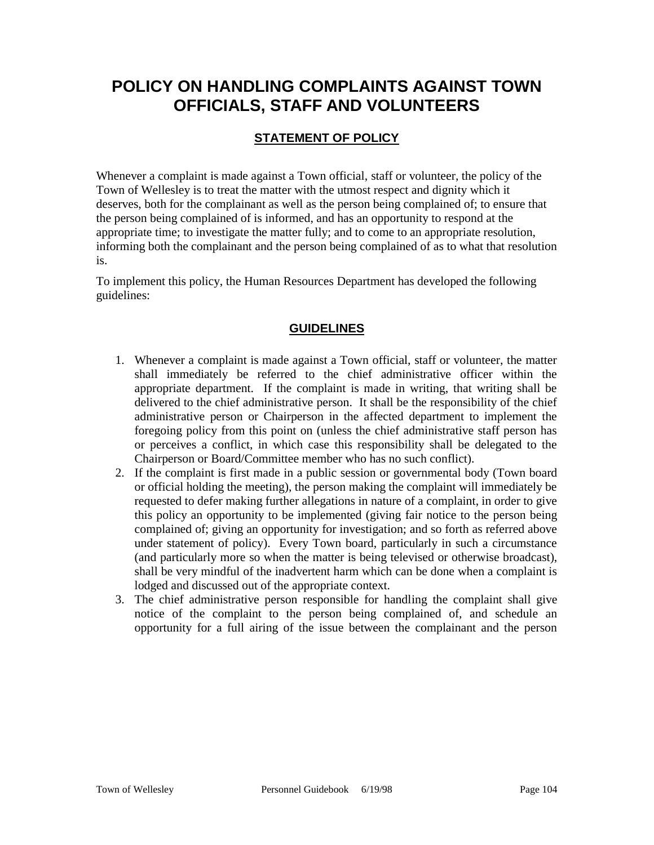# **POLICY ON HANDLING COMPLAINTS AGAINST TOWN OFFICIALS, STAFF AND VOLUNTEERS**

# **STATEMENT OF POLICY**

Whenever a complaint is made against a Town official, staff or volunteer, the policy of the Town of Wellesley is to treat the matter with the utmost respect and dignity which it deserves, both for the complainant as well as the person being complained of; to ensure that the person being complained of is informed, and has an opportunity to respond at the appropriate time; to investigate the matter fully; and to come to an appropriate resolution, informing both the complainant and the person being complained of as to what that resolution is.

To implement this policy, the Human Resources Department has developed the following guidelines:

# **GUIDELINES**

- 1. Whenever a complaint is made against a Town official, staff or volunteer, the matter shall immediately be referred to the chief administrative officer within the appropriate department. If the complaint is made in writing, that writing shall be delivered to the chief administrative person. It shall be the responsibility of the chief administrative person or Chairperson in the affected department to implement the foregoing policy from this point on (unless the chief administrative staff person has or perceives a conflict, in which case this responsibility shall be delegated to the Chairperson or Board/Committee member who has no such conflict).
- 2. If the complaint is first made in a public session or governmental body (Town board or official holding the meeting), the person making the complaint will immediately be requested to defer making further allegations in nature of a complaint, in order to give this policy an opportunity to be implemented (giving fair notice to the person being complained of; giving an opportunity for investigation; and so forth as referred above under statement of policy). Every Town board, particularly in such a circumstance (and particularly more so when the matter is being televised or otherwise broadcast), shall be very mindful of the inadvertent harm which can be done when a complaint is lodged and discussed out of the appropriate context.
- 3. The chief administrative person responsible for handling the complaint shall give notice of the complaint to the person being complained of, and schedule an opportunity for a full airing of the issue between the complainant and the person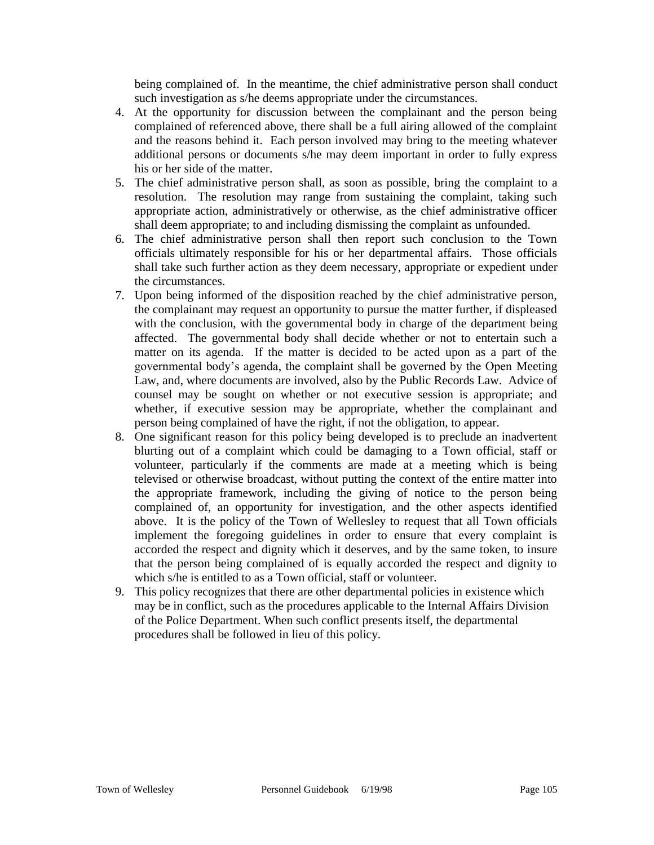being complained of. In the meantime, the chief administrative person shall conduct such investigation as s/he deems appropriate under the circumstances.

- 4. At the opportunity for discussion between the complainant and the person being complained of referenced above, there shall be a full airing allowed of the complaint and the reasons behind it. Each person involved may bring to the meeting whatever additional persons or documents s/he may deem important in order to fully express his or her side of the matter.
- 5. The chief administrative person shall, as soon as possible, bring the complaint to a resolution. The resolution may range from sustaining the complaint, taking such appropriate action, administratively or otherwise, as the chief administrative officer shall deem appropriate; to and including dismissing the complaint as unfounded.
- 6. The chief administrative person shall then report such conclusion to the Town officials ultimately responsible for his or her departmental affairs. Those officials shall take such further action as they deem necessary, appropriate or expedient under the circumstances.
- 7. Upon being informed of the disposition reached by the chief administrative person, the complainant may request an opportunity to pursue the matter further, if displeased with the conclusion, with the governmental body in charge of the department being affected. The governmental body shall decide whether or not to entertain such a matter on its agenda. If the matter is decided to be acted upon as a part of the governmental body's agenda, the complaint shall be governed by the Open Meeting Law, and, where documents are involved, also by the Public Records Law. Advice of counsel may be sought on whether or not executive session is appropriate; and whether, if executive session may be appropriate, whether the complainant and person being complained of have the right, if not the obligation, to appear.
- 8. One significant reason for this policy being developed is to preclude an inadvertent blurting out of a complaint which could be damaging to a Town official, staff or volunteer, particularly if the comments are made at a meeting which is being televised or otherwise broadcast, without putting the context of the entire matter into the appropriate framework, including the giving of notice to the person being complained of, an opportunity for investigation, and the other aspects identified above. It is the policy of the Town of Wellesley to request that all Town officials implement the foregoing guidelines in order to ensure that every complaint is accorded the respect and dignity which it deserves, and by the same token, to insure that the person being complained of is equally accorded the respect and dignity to which s/he is entitled to as a Town official, staff or volunteer.
- 9. This policy recognizes that there are other departmental policies in existence which may be in conflict, such as the procedures applicable to the Internal Affairs Division of the Police Department. When such conflict presents itself, the departmental procedures shall be followed in lieu of this policy.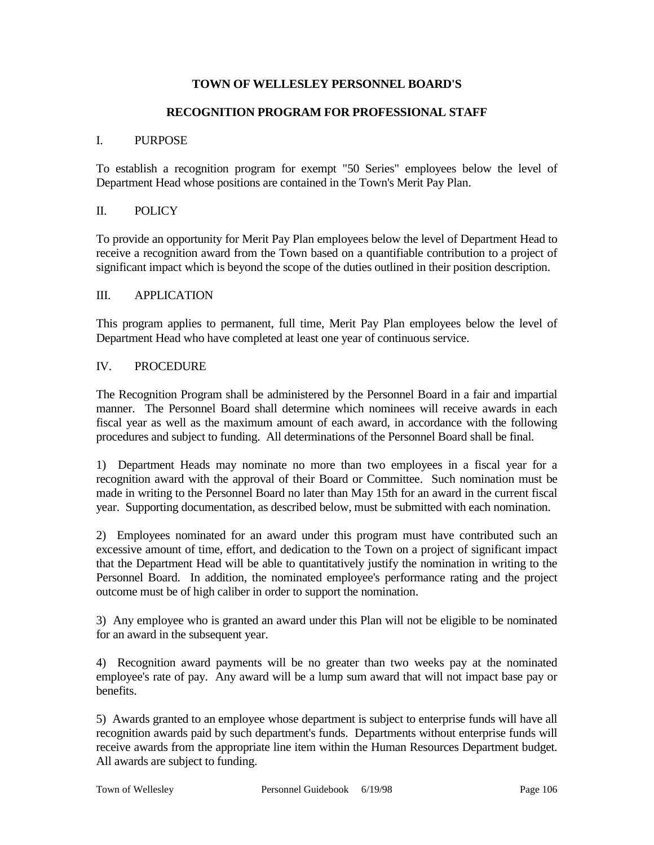#### **TOWN OF WELLESLEY PERSONNEL BOARD'S**

#### **RECOGNITION PROGRAM FOR PROFESSIONAL STAFF**

#### I. PURPOSE

To establish a recognition program for exempt "50 Series" employees below the level of Department Head whose positions are contained in the Town's Merit Pay Plan.

#### II. POLICY

To provide an opportunity for Merit Pay Plan employees below the level of Department Head to receive a recognition award from the Town based on a quantifiable contribution to a project of significant impact which is beyond the scope of the duties outlined in their position description.

#### III. APPLICATION

This program applies to permanent, full time, Merit Pay Plan employees below the level of Department Head who have completed at least one year of continuous service.

#### IV. PROCEDURE

The Recognition Program shall be administered by the Personnel Board in a fair and impartial manner. The Personnel Board shall determine which nominees will receive awards in each fiscal year as well as the maximum amount of each award, in accordance with the following procedures and subject to funding. All determinations of the Personnel Board shall be final.

1) Department Heads may nominate no more than two employees in a fiscal year for a recognition award with the approval of their Board or Committee. Such nomination must be made in writing to the Personnel Board no later than May 15th for an award in the current fiscal year. Supporting documentation, as described below, must be submitted with each nomination.

2) Employees nominated for an award under this program must have contributed such an excessive amount of time, effort, and dedication to the Town on a project of significant impact that the Department Head will be able to quantitatively justify the nomination in writing to the Personnel Board. In addition, the nominated employee's performance rating and the project outcome must be of high caliber in order to support the nomination.

3) Any employee who is granted an award under this Plan will not be eligible to be nominated for an award in the subsequent year.

4) Recognition award payments will be no greater than two weeks pay at the nominated employee's rate of pay. Any award will be a lump sum award that will not impact base pay or benefits.

5) Awards granted to an employee whose department is subject to enterprise funds will have all recognition awards paid by such department's funds. Departments without enterprise funds will receive awards from the appropriate line item within the Human Resources Department budget. All awards are subject to funding.